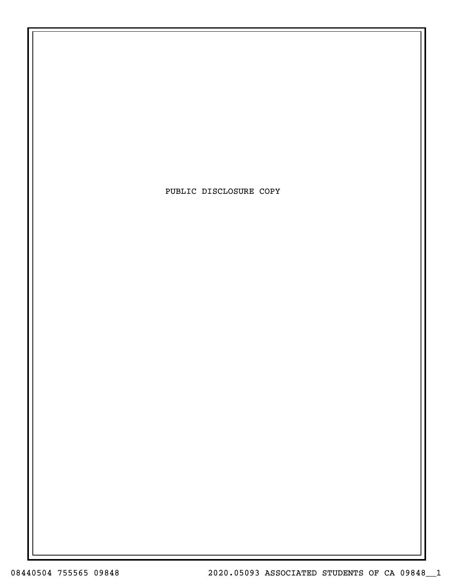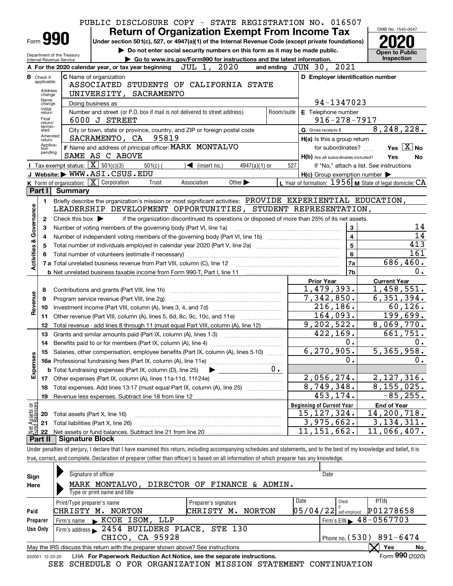|                                                                                                                                                                                               |                                                                           | PUBLIC DISCLOSURE COPY - STATE REGISTRATION NO. 016507                                                                                                                     |            |                                                     |                                                           |  |  |  |
|-----------------------------------------------------------------------------------------------------------------------------------------------------------------------------------------------|---------------------------------------------------------------------------|----------------------------------------------------------------------------------------------------------------------------------------------------------------------------|------------|-----------------------------------------------------|-----------------------------------------------------------|--|--|--|
|                                                                                                                                                                                               | OMB No. 1545-0047<br><b>Return of Organization Exempt From Income Tax</b> |                                                                                                                                                                            |            |                                                     |                                                           |  |  |  |
| Form 990<br>Under section 501(c), 527, or 4947(a)(1) of the Internal Revenue Code (except private foundations)<br>Do not enter social security numbers on this form as it may be made public. |                                                                           |                                                                                                                                                                            |            |                                                     |                                                           |  |  |  |
|                                                                                                                                                                                               | <b>Open to Public</b>                                                     |                                                                                                                                                                            |            |                                                     |                                                           |  |  |  |
| Department of the Treasury<br>Inspection<br>Go to www.irs.gov/Form990 for instructions and the latest information.<br>Internal Revenue Service                                                |                                                                           |                                                                                                                                                                            |            |                                                     |                                                           |  |  |  |
|                                                                                                                                                                                               |                                                                           | 2020<br>JUL 1,<br>A For the 2020 calendar year, or tax year beginning                                                                                                      |            | 2021<br>and ending $JUN$ 30,                        |                                                           |  |  |  |
|                                                                                                                                                                                               | <b>B</b> Check if<br>applicable:                                          | <b>C</b> Name of organization                                                                                                                                              |            | D Employer identification number                    |                                                           |  |  |  |
|                                                                                                                                                                                               | Address                                                                   | ASSOCIATED STUDENTS OF CALIFORNIA STATE                                                                                                                                    |            |                                                     |                                                           |  |  |  |
|                                                                                                                                                                                               | change<br>Name                                                            | UNIVERSITY, SACRAMENTO                                                                                                                                                     |            |                                                     |                                                           |  |  |  |
|                                                                                                                                                                                               | change<br>Initial                                                         | Doing business as                                                                                                                                                          |            | 94-1347023                                          |                                                           |  |  |  |
|                                                                                                                                                                                               | return<br>Final                                                           | Number and street (or P.O. box if mail is not delivered to street address)                                                                                                 | Room/suite | E Telephone number                                  |                                                           |  |  |  |
|                                                                                                                                                                                               | return/<br>termin-                                                        | 6000 J STREET                                                                                                                                                              |            | $916 - 278 - 7917$                                  |                                                           |  |  |  |
|                                                                                                                                                                                               | ated<br>Amended                                                           | City or town, state or province, country, and ZIP or foreign postal code                                                                                                   |            | G Gross receipts \$                                 | 8, 248, 228.                                              |  |  |  |
|                                                                                                                                                                                               | return<br>Applica-                                                        | 95819<br>SACRAMENTO, CA                                                                                                                                                    |            | H(a) Is this a group return                         |                                                           |  |  |  |
|                                                                                                                                                                                               | tion<br>pending                                                           | F Name and address of principal officer: MARK MONTALVO                                                                                                                     |            | for subordinates?                                   | Yes $X$ No                                                |  |  |  |
|                                                                                                                                                                                               |                                                                           | SAME AS C ABOVE                                                                                                                                                            |            | H(b) Are all subordinates included?                 | Yes<br>No                                                 |  |  |  |
|                                                                                                                                                                                               |                                                                           | Tax-exempt status: $\boxed{\mathbf{X}}$ 501(c)(3)<br>$501(c)$ (<br>$\sqrt{\bullet}$ (insert no.)<br>$4947(a)(1)$ or<br>J Website: WWW.ASI.CSUS.EDU                         | 527        |                                                     | If "No," attach a list. See instructions                  |  |  |  |
|                                                                                                                                                                                               |                                                                           | <b>K</b> Form of organization: $\boxed{\textbf{X}}$ Corporation<br>Other $\blacktriangleright$<br>Trust<br>Association                                                     |            | $H(c)$ Group exemption number $\blacktriangleright$ | L Year of formation: $1956$ M State of legal domicile: CA |  |  |  |
|                                                                                                                                                                                               | Part I                                                                    | <b>Summary</b>                                                                                                                                                             |            |                                                     |                                                           |  |  |  |
|                                                                                                                                                                                               |                                                                           | Briefly describe the organization's mission or most significant activities: PROVIDE EXPERIENTIAL EDUCATION,                                                                |            |                                                     |                                                           |  |  |  |
|                                                                                                                                                                                               | 1.                                                                        | LEADERSHIP DEVELOPMENT OPPORTUNITIES, STUDENT REPRESENTATION,                                                                                                              |            |                                                     |                                                           |  |  |  |
|                                                                                                                                                                                               | 2                                                                         | if the organization discontinued its operations or disposed of more than 25% of its net assets.<br>Check this box $\blacktriangleright$                                    |            |                                                     |                                                           |  |  |  |
| Governance                                                                                                                                                                                    | 3                                                                         | Number of voting members of the governing body (Part VI, line 1a)                                                                                                          |            | 3                                                   | 14                                                        |  |  |  |
|                                                                                                                                                                                               | 4                                                                         |                                                                                                                                                                            |            | $\overline{\mathbf{4}}$                             | 14                                                        |  |  |  |
|                                                                                                                                                                                               | 5                                                                         |                                                                                                                                                                            |            | $\overline{5}$                                      | 413                                                       |  |  |  |
| Activities &                                                                                                                                                                                  | 6                                                                         |                                                                                                                                                                            |            | $\bf 6$                                             | 161                                                       |  |  |  |
|                                                                                                                                                                                               |                                                                           |                                                                                                                                                                            |            | 7a                                                  | $\overline{686,460}$ .                                    |  |  |  |
|                                                                                                                                                                                               |                                                                           |                                                                                                                                                                            |            | 7b                                                  | 0.                                                        |  |  |  |
|                                                                                                                                                                                               |                                                                           |                                                                                                                                                                            |            | <b>Prior Year</b>                                   | <b>Current Year</b>                                       |  |  |  |
|                                                                                                                                                                                               | 8                                                                         | Contributions and grants (Part VIII, line 1h)                                                                                                                              |            | 1,479,393.                                          | $\overline{1,458,551}$ .                                  |  |  |  |
| Revenue                                                                                                                                                                                       | 9                                                                         | Program service revenue (Part VIII, line 2g)                                                                                                                               |            | 7,342,850.                                          | 6, 351, 394.                                              |  |  |  |
|                                                                                                                                                                                               | 10                                                                        |                                                                                                                                                                            |            | 216, 186.                                           | 60, 126.                                                  |  |  |  |
|                                                                                                                                                                                               | 11                                                                        | Other revenue (Part VIII, column (A), lines 5, 6d, 8c, 9c, 10c, and 11e)                                                                                                   |            | 164,093.                                            | 199,699.                                                  |  |  |  |
|                                                                                                                                                                                               | 12                                                                        | Total revenue - add lines 8 through 11 (must equal Part VIII, column (A), line 12)                                                                                         |            | 9, 202, 522.                                        | 8,069,770.                                                |  |  |  |
|                                                                                                                                                                                               | 13                                                                        | Grants and similar amounts paid (Part IX, column (A), lines 1-3)                                                                                                           |            | 422, 169.                                           | 661,751.                                                  |  |  |  |
|                                                                                                                                                                                               |                                                                           |                                                                                                                                                                            |            | Ο.                                                  | 0.                                                        |  |  |  |
|                                                                                                                                                                                               |                                                                           | Salaries, other compensation, employee benefits (Part IX, column (A), lines 5-10)                                                                                          |            | 6, 270, 905.                                        | 5,365,958.                                                |  |  |  |
|                                                                                                                                                                                               |                                                                           |                                                                                                                                                                            |            | о.                                                  | Ο.                                                        |  |  |  |
| Expenses                                                                                                                                                                                      |                                                                           | <b>b</b> Total fundraising expenses (Part IX, column (D), line 25)                                                                                                         | 0.         |                                                     |                                                           |  |  |  |
|                                                                                                                                                                                               |                                                                           |                                                                                                                                                                            |            | 2,056,274.                                          | 2, 127, 316.                                              |  |  |  |
|                                                                                                                                                                                               | 18                                                                        | Total expenses. Add lines 13-17 (must equal Part IX, column (A), line 25) <i></i>                                                                                          |            | 8,749,348.                                          | 8,155,025.                                                |  |  |  |
|                                                                                                                                                                                               | 19                                                                        |                                                                                                                                                                            |            | 453, 174.                                           | $-85, 255.$                                               |  |  |  |
| Net Assets or<br>Eund Balances                                                                                                                                                                |                                                                           |                                                                                                                                                                            |            | <b>Beginning of Current Year</b>                    | <b>End of Year</b>                                        |  |  |  |
|                                                                                                                                                                                               | 20                                                                        | Total assets (Part X, line 16)                                                                                                                                             |            | 15, 127, 324.                                       | 14,200,718.                                               |  |  |  |
|                                                                                                                                                                                               | 21                                                                        | Total liabilities (Part X, line 26)                                                                                                                                        |            | $\overline{3,975,662}$ .                            | 3, 134, 311.                                              |  |  |  |
|                                                                                                                                                                                               | 22                                                                        |                                                                                                                                                                            |            | 11, 151, 662.                                       | 11,066,407.                                               |  |  |  |
|                                                                                                                                                                                               | Part II                                                                   | <b>Signature Block</b>                                                                                                                                                     |            |                                                     |                                                           |  |  |  |
|                                                                                                                                                                                               |                                                                           | Under penalties of perjury, I declare that I have examined this return, including accompanying schedules and statements, and to the best of my knowledge and belief, it is |            |                                                     |                                                           |  |  |  |
|                                                                                                                                                                                               |                                                                           | true, correct, and complete. Declaration of preparer (other than officer) is based on all information of which preparer has any knowledge.                                 |            |                                                     |                                                           |  |  |  |
|                                                                                                                                                                                               |                                                                           |                                                                                                                                                                            |            |                                                     |                                                           |  |  |  |

| Sign     | Signature of officer                                                                                           |                         |      | Date                     |                                             |  |  |  |
|----------|----------------------------------------------------------------------------------------------------------------|-------------------------|------|--------------------------|---------------------------------------------|--|--|--|
| Here     | MARK MONTALVO, DIRECTOR OF FINANCE & ADMIN.                                                                    |                         |      |                          |                                             |  |  |  |
|          | Type or print name and title                                                                                   |                         |      |                          |                                             |  |  |  |
|          | Print/Type preparer's name                                                                                     | Preparer's signature    | Date | Check                    | PTIN                                        |  |  |  |
| Paid     | CHRISTY M.<br>NORTON                                                                                           | CHRISTY<br>NORTON<br>м. |      | $05/04/22$ self-employed | P01278658                                   |  |  |  |
| Preparer | KCOE ISOM, LLP<br>Firm's name                                                                                  |                         |      |                          | Firm's EIN $\blacktriangleright$ 48-0567703 |  |  |  |
| Use Only | Firm's address 2454 BUILDERS PLACE, STE 130                                                                    |                         |      |                          |                                             |  |  |  |
|          | CHICO, CA 95928<br>Phone no. $(530)$ 891-6474                                                                  |                         |      |                          |                                             |  |  |  |
|          | Yes<br>May the IRS discuss this return with the preparer shown above? See instructions<br>No                   |                         |      |                          |                                             |  |  |  |
|          | Form $990$ (2020)<br>LHA For Paperwork Reduction Act Notice, see the separate instructions.<br>032001 12-23-20 |                         |      |                          |                                             |  |  |  |
|          | SEE SCHEDULE O FOR ORGANIZATION MISSION STATEMENT CONTINUATION                                                 |                         |      |                          |                                             |  |  |  |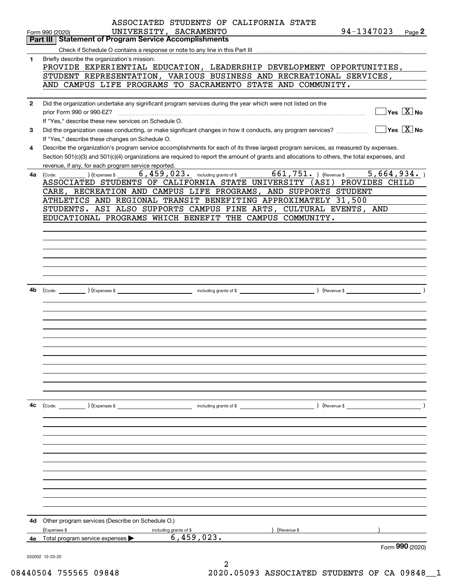|              | ASSOCIATED STUDENTS OF CALIFORNIA STATE                                                                                                      |                |                                                 |
|--------------|----------------------------------------------------------------------------------------------------------------------------------------------|----------------|-------------------------------------------------|
|              | UNIVERSITY, SACRAMENTO<br>Form 990 (2020)                                                                                                    | 94-1347023     | Page $2$                                        |
|              | <b>Part III Statement of Program Service Accomplishments</b>                                                                                 |                |                                                 |
|              |                                                                                                                                              |                |                                                 |
| 1            | Briefly describe the organization's mission:                                                                                                 |                |                                                 |
|              | PROVIDE EXPERIENTIAL EDUCATION, LEADERSHIP DEVELOPMENT OPPORTUNITIES,                                                                        |                |                                                 |
|              | STUDENT REPRESENTATION, VARIOUS BUSINESS AND RECREATIONAL SERVICES,<br>AND CAMPUS LIFE PROGRAMS TO SACRAMENTO STATE AND COMMUNITY.           |                |                                                 |
|              |                                                                                                                                              |                |                                                 |
| $\mathbf{2}$ | Did the organization undertake any significant program services during the year which were not listed on the                                 |                |                                                 |
|              | prior Form 990 or 990-EZ?                                                                                                                    |                | $\boxed{\phantom{1}}$ Yes $\boxed{\text{X}}$ No |
|              | If "Yes." describe these new services on Schedule O.                                                                                         |                |                                                 |
|              | Did the organization cease conducting, or make significant changes in how it conducts, any program services?                                 |                | $\Box$ Yes $\Box$ No                            |
| 3            | If "Yes," describe these changes on Schedule O.                                                                                              |                |                                                 |
| 4            | Describe the organization's program service accomplishments for each of its three largest program services, as measured by expenses.         |                |                                                 |
|              | Section 501(c)(3) and 501(c)(4) organizations are required to report the amount of grants and allocations to others, the total expenses, and |                |                                                 |
|              | revenue, if any, for each program service reported.                                                                                          |                |                                                 |
| 4a           | $_$ (Expenses \$ $_6$ , 459, 023. including grants of \$ $_6$ 661, 751. ) (Revenue \$<br>(Code:                                              |                | 5,664,934.                                      |
|              | ASSOCIATED STUDENTS OF CALIFORNIA STATE UNIVERSITY (ASI) PROVIDES CHILD                                                                      |                |                                                 |
|              | CARE, RECREATION AND CAMPUS LIFE PROGRAMS, AND SUPPORTS STUDENT                                                                              |                |                                                 |
|              | ATHLETICS AND REGIONAL TRANSIT BENEFITING APPROXIMATELY 31,500                                                                               |                |                                                 |
|              | STUDENTS. ASI ALSO SUPPORTS CAMPUS FINE ARTS, CULTURAL EVENTS, AND                                                                           |                |                                                 |
|              | EDUCATIONAL PROGRAMS WHICH BENEFIT THE CAMPUS COMMUNITY.                                                                                     |                |                                                 |
|              |                                                                                                                                              |                |                                                 |
|              |                                                                                                                                              |                |                                                 |
|              |                                                                                                                                              |                |                                                 |
|              |                                                                                                                                              |                |                                                 |
|              |                                                                                                                                              |                |                                                 |
|              |                                                                                                                                              |                |                                                 |
|              |                                                                                                                                              |                |                                                 |
| 4b           |                                                                                                                                              |                |                                                 |
|              |                                                                                                                                              |                |                                                 |
|              |                                                                                                                                              |                |                                                 |
|              |                                                                                                                                              |                |                                                 |
|              |                                                                                                                                              |                |                                                 |
|              |                                                                                                                                              |                |                                                 |
|              |                                                                                                                                              |                |                                                 |
|              |                                                                                                                                              |                |                                                 |
|              |                                                                                                                                              |                |                                                 |
|              |                                                                                                                                              |                |                                                 |
|              |                                                                                                                                              |                |                                                 |
|              |                                                                                                                                              |                |                                                 |
|              |                                                                                                                                              |                |                                                 |
| 4c           |                                                                                                                                              | $($ Revenue \$ |                                                 |
|              |                                                                                                                                              |                |                                                 |
|              |                                                                                                                                              |                |                                                 |
|              |                                                                                                                                              |                |                                                 |
|              |                                                                                                                                              |                |                                                 |
|              |                                                                                                                                              |                |                                                 |
|              |                                                                                                                                              |                |                                                 |
|              |                                                                                                                                              |                |                                                 |
|              |                                                                                                                                              |                |                                                 |
|              |                                                                                                                                              |                |                                                 |
|              |                                                                                                                                              |                |                                                 |
|              |                                                                                                                                              |                |                                                 |
|              |                                                                                                                                              |                |                                                 |
|              | 4d Other program services (Describe on Schedule O.)                                                                                          |                |                                                 |
|              | (Revenue \$<br>(Expenses \$<br>including grants of \$                                                                                        |                |                                                 |
| 4е           | 6,459,023.<br>Total program service expenses                                                                                                 |                |                                                 |
|              |                                                                                                                                              |                | Form 990 (2020)                                 |
|              | 032002 12-23-20                                                                                                                              |                |                                                 |
|              |                                                                                                                                              |                |                                                 |

 <sup>08440504 755565 09848</sup> 2020.05093 ASSOCIATED STUDENTS OF CA 09848\_\_1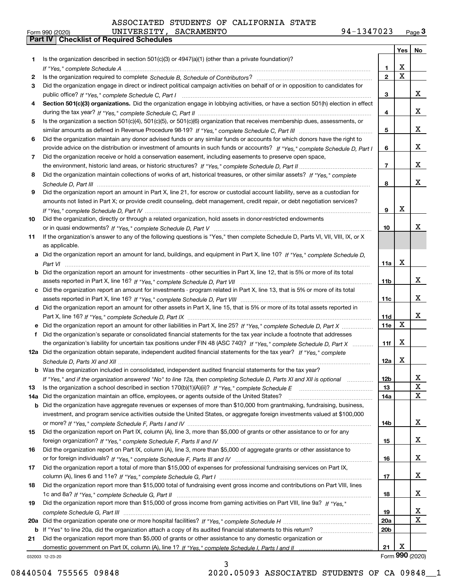| ASSOCIATED STUDENTS OF CALIFORNIA STATE |
|-----------------------------------------|
|-----------------------------------------|

|          |                                                                                                                                                                                                                                                   |                  | <b>Yes</b>              | No                      |
|----------|---------------------------------------------------------------------------------------------------------------------------------------------------------------------------------------------------------------------------------------------------|------------------|-------------------------|-------------------------|
| 1        | Is the organization described in section $501(c)(3)$ or $4947(a)(1)$ (other than a private foundation)?                                                                                                                                           |                  |                         |                         |
|          |                                                                                                                                                                                                                                                   | $\mathbf{1}$     | х                       |                         |
| 2        |                                                                                                                                                                                                                                                   | $\mathbf 2$      | $\overline{\mathbf{x}}$ |                         |
| 3        | Did the organization engage in direct or indirect political campaign activities on behalf of or in opposition to candidates for                                                                                                                   |                  |                         |                         |
|          |                                                                                                                                                                                                                                                   | 3                |                         | x                       |
| 4        | Section 501(c)(3) organizations. Did the organization engage in lobbying activities, or have a section 501(h) election in effect                                                                                                                  |                  |                         |                         |
|          |                                                                                                                                                                                                                                                   | 4                |                         | x                       |
| 5        | Is the organization a section 501(c)(4), 501(c)(5), or 501(c)(6) organization that receives membership dues, assessments, or                                                                                                                      |                  |                         |                         |
|          |                                                                                                                                                                                                                                                   | 5                |                         | x                       |
| 6        | Did the organization maintain any donor advised funds or any similar funds or accounts for which donors have the right to                                                                                                                         |                  |                         | x                       |
| 7        | provide advice on the distribution or investment of amounts in such funds or accounts? If "Yes," complete Schedule D, Part I                                                                                                                      | 6                |                         |                         |
|          | Did the organization receive or hold a conservation easement, including easements to preserve open space,                                                                                                                                         | $\overline{7}$   |                         | x                       |
| 8        | Did the organization maintain collections of works of art, historical treasures, or other similar assets? If "Yes," complete                                                                                                                      |                  |                         |                         |
|          |                                                                                                                                                                                                                                                   | 8                |                         | x                       |
| 9        | Did the organization report an amount in Part X, line 21, for escrow or custodial account liability, serve as a custodian for                                                                                                                     |                  |                         |                         |
|          | amounts not listed in Part X; or provide credit counseling, debt management, credit repair, or debt negotiation services?                                                                                                                         |                  |                         |                         |
|          |                                                                                                                                                                                                                                                   | 9                | X                       |                         |
| 10       | Did the organization, directly or through a related organization, hold assets in donor-restricted endowments                                                                                                                                      |                  |                         |                         |
|          |                                                                                                                                                                                                                                                   | 10               |                         | x                       |
| 11       | If the organization's answer to any of the following questions is "Yes," then complete Schedule D, Parts VI, VII, VIII, IX, or X                                                                                                                  |                  |                         |                         |
|          | as applicable.                                                                                                                                                                                                                                    |                  |                         |                         |
|          | a Did the organization report an amount for land, buildings, and equipment in Part X, line 10? If "Yes," complete Schedule D,                                                                                                                     |                  |                         |                         |
|          |                                                                                                                                                                                                                                                   | 11a              | X                       |                         |
|          | <b>b</b> Did the organization report an amount for investments - other securities in Part X, line 12, that is 5% or more of its total                                                                                                             |                  |                         |                         |
|          |                                                                                                                                                                                                                                                   | 11 <sub>b</sub>  |                         | x                       |
|          | c Did the organization report an amount for investments - program related in Part X, line 13, that is 5% or more of its total                                                                                                                     |                  |                         |                         |
|          |                                                                                                                                                                                                                                                   | 11c              |                         | x                       |
|          | d Did the organization report an amount for other assets in Part X, line 15, that is 5% or more of its total assets reported in                                                                                                                   |                  |                         |                         |
|          |                                                                                                                                                                                                                                                   | 11d              | X                       | x                       |
|          |                                                                                                                                                                                                                                                   | 11e              |                         |                         |
| f        | Did the organization's separate or consolidated financial statements for the tax year include a footnote that addresses<br>the organization's liability for uncertain tax positions under FIN 48 (ASC 740)? If "Yes," complete Schedule D. Part X | 11f              | X                       |                         |
|          | 12a Did the organization obtain separate, independent audited financial statements for the tax year? If "Yes," complete                                                                                                                           |                  |                         |                         |
|          |                                                                                                                                                                                                                                                   | 12a              | X                       |                         |
|          | <b>b</b> Was the organization included in consolidated, independent audited financial statements for the tax year?                                                                                                                                |                  |                         |                         |
|          | If "Yes," and if the organization answered "No" to line 12a, then completing Schedule D, Parts XI and XII is optional                                                                                                                             | 12b              |                         | X,                      |
| 13       |                                                                                                                                                                                                                                                   | 13               |                         | X                       |
| 14a      | Did the organization maintain an office, employees, or agents outside of the United States?                                                                                                                                                       | 14a              |                         | $\overline{\mathbf{x}}$ |
| b        | Did the organization have aggregate revenues or expenses of more than \$10,000 from grantmaking, fundraising, business,                                                                                                                           |                  |                         |                         |
|          | investment, and program service activities outside the United States, or aggregate foreign investments valued at \$100,000                                                                                                                        |                  |                         |                         |
|          |                                                                                                                                                                                                                                                   | 14b              |                         | x                       |
| 15       | Did the organization report on Part IX, column (A), line 3, more than \$5,000 of grants or other assistance to or for any                                                                                                                         |                  |                         |                         |
|          |                                                                                                                                                                                                                                                   | 15               |                         | X                       |
| 16       | Did the organization report on Part IX, column (A), line 3, more than \$5,000 of aggregate grants or other assistance to                                                                                                                          |                  |                         |                         |
|          |                                                                                                                                                                                                                                                   | 16               |                         | X                       |
| 17       | Did the organization report a total of more than \$15,000 of expenses for professional fundraising services on Part IX,                                                                                                                           |                  |                         |                         |
|          |                                                                                                                                                                                                                                                   | 17               |                         | X                       |
| 18       | Did the organization report more than \$15,000 total of fundraising event gross income and contributions on Part VIII, lines                                                                                                                      |                  |                         |                         |
|          |                                                                                                                                                                                                                                                   | 18               |                         | X                       |
| 19       | Did the organization report more than \$15,000 of gross income from gaming activities on Part VIII, line 9a? If "Yes."                                                                                                                            |                  |                         | x                       |
|          |                                                                                                                                                                                                                                                   | 19<br><b>20a</b> |                         | X                       |
| 20a<br>b |                                                                                                                                                                                                                                                   | 20 <sub>b</sub>  |                         |                         |
| 21       | Did the organization report more than \$5,000 of grants or other assistance to any domestic organization or                                                                                                                                       |                  |                         |                         |
|          |                                                                                                                                                                                                                                                   | 21               | х                       |                         |
|          | 032003 12-23-20                                                                                                                                                                                                                                   |                  |                         | Form 990 (2020)         |

032003 12-23-20

3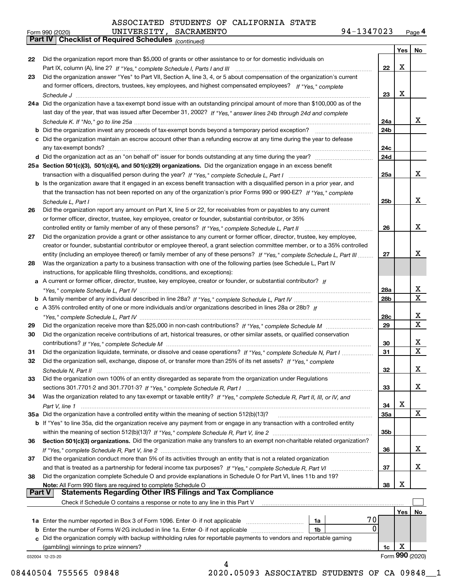|    | UNIVERSITY, SACRAMENTO<br>Form 990 (2020)                                                                                                                                                                                                                  | 94-1347023      |     | Page <sup>2</sup> |
|----|------------------------------------------------------------------------------------------------------------------------------------------------------------------------------------------------------------------------------------------------------------|-----------------|-----|-------------------|
|    | Part IV   Checklist of Required Schedules (continued)                                                                                                                                                                                                      |                 |     |                   |
|    |                                                                                                                                                                                                                                                            |                 | Yes | No                |
| 22 | Did the organization report more than \$5,000 of grants or other assistance to or for domestic individuals on                                                                                                                                              | 22              | х   |                   |
| 23 | Did the organization answer "Yes" to Part VII, Section A, line 3, 4, or 5 about compensation of the organization's current<br>and former officers, directors, trustees, key employees, and highest compensated employees? If "Yes." complete<br>Schedule J | 23              | х   |                   |
|    | 24a Did the organization have a tax-exempt bond issue with an outstanding principal amount of more than \$100,000 as of the<br>last day of the year, that was issued after December 31, 2002? If "Yes," answer lines 24b through 24d and complete          | 24a             |     | x                 |
|    | <b>b</b> Did the organization invest any proceeds of tax-exempt bonds beyond a temporary period exception?                                                                                                                                                 | 24 <sub>b</sub> |     |                   |

|    |                                                                                                                                     | 24a |  |
|----|-------------------------------------------------------------------------------------------------------------------------------------|-----|--|
|    |                                                                                                                                     | 24b |  |
|    | c Did the organization maintain an escrow account other than a refunding escrow at any time during the year to defease              |     |  |
|    | any tax-exempt bonds?                                                                                                               | 24c |  |
|    |                                                                                                                                     | 24d |  |
|    | 25a Section 501(c)(3), 501(c)(4), and 501(c)(29) organizations. Did the organization engage in an excess benefit                    |     |  |
|    |                                                                                                                                     | 25a |  |
|    | <b>b</b> Is the organization aware that it engaged in an excess benefit transaction with a disqualified person in a prior year, and |     |  |
|    | that the transaction has not been reported on any of the organization's prior Forms 990 or 990-EZ? If "Yes," complete               |     |  |
|    | Schedule L, Part I                                                                                                                  | 25b |  |
| 26 | Did the organization report any amount on Part X, line 5 or 22, for receivables from or payables to any current                     |     |  |
|    | or former officer, director, trustee, key employee, creator or founder, substantial contributor, or 35%                             |     |  |
|    | controlled entity or family member of any of these persons? If "Yes," complete Schedule L, Part II                                  | 26  |  |
| 27 | Did the organization provide a grant or other assistance to any current or former officer, director, trustee, key employee,         |     |  |
|    | creator or founder, substantial contributor or employee thereof, a grant selection committee member, or to a 35% controlled         |     |  |
|    | entity (including an employee thereof) or family member of any of these persons? If "Yes," complete Schedule L, Part III            | 27  |  |
| 28 | Was the organization a party to a business transaction with one of the following parties (see Schedule L, Part IV                   |     |  |
|    | instructions, for applicable filing thresholds, conditions, and exceptions):                                                        |     |  |
|    | a A current or former officer, director, trustee, key employee, creator or founder, or substantial contributor? If                  |     |  |
|    |                                                                                                                                     | 28a |  |
|    |                                                                                                                                     | 28b |  |
|    | c A 35% controlled entity of one or more individuals and/or organizations described in lines 28a or 28b? If                         |     |  |
|    |                                                                                                                                     | 28c |  |
| 29 |                                                                                                                                     | 29  |  |
| 30 | Did the organization receive contributions of art, historical treasures, or other similar assets, or qualified conservation         |     |  |
|    | contributions? If "Yes," complete Schedule M                                                                                        | 30  |  |
| 31 | Did the organization liquidate, terminate, or dissolve and cease operations? If "Yes," complete Schedule N, Part I                  | 31  |  |
| 32 | Did the organization sell, exchange, dispose of, or transfer more than 25% of its net assets? If "Yes," complete                    |     |  |
|    | Schedule N, Part II                                                                                                                 | 32  |  |
| 33 | Did the organization own 100% of an entity disregarded as separate from the organization under Regulations                          |     |  |
|    |                                                                                                                                     | 33  |  |
|    |                                                                                                                                     |     |  |

| 34 Was the organization related to any tax-exempt or taxable entity? If "Yes," complete Schedule R, Part II, III, or IV, and |
|------------------------------------------------------------------------------------------------------------------------------|
|                                                                                                                              |
| 35a Did the organization have a controlled entity within the meaning of section 512(b)(13)?                                  |

|    | 35a Did the organization have a controlled entity within the meaning of section 512(b)(13)?                                        | 35а |
|----|------------------------------------------------------------------------------------------------------------------------------------|-----|
|    | <b>b</b> If "Yes" to line 35a, did the organization receive any payment from or engage in any transaction with a controlled entity |     |
|    |                                                                                                                                    | 35b |
| 36 | Section 501(c)(3) organizations. Did the organization make any transfers to an exempt non-charitable related organization?         |     |
|    |                                                                                                                                    | 36  |
| 37 | Did the organization conduct more than 5% of its activities through an entity that is not a related organization                   |     |

|     | Part V<br><b>Statements Regarding Other IRS Filings and Tax Compliance</b>                                                |     |   |
|-----|---------------------------------------------------------------------------------------------------------------------------|-----|---|
|     | <b>Note:</b> All Form 990 filers are required to complete Schedule O <i>managerecommunically</i>                          | 38  | X |
| 38  | Did the organization complete Schedule O and provide explanations in Schedule O for Part VI, lines 11b and 19?            |     |   |
|     |                                                                                                                           | -37 |   |
| .JI | <u>Did the Organization Conduct more than J70 on its activities through an entity that is not a related organization </u> |     |   |

| Check if Schedule O contains a response or note to any line in this Part V                                           |    |  |      |  |
|----------------------------------------------------------------------------------------------------------------------|----|--|------|--|
|                                                                                                                      |    |  | res  |  |
| 1a Enter the number reported in Box 3 of Form 1096. Enter -0- if not applicable                                      | 1a |  |      |  |
| <b>b</b> Enter the number of Forms W-2G included in line 1a. Enter -0- if not applicable                             | 1b |  |      |  |
| c Did the organization comply with backup withholding rules for reportable payments to vendors and reportable gaming |    |  |      |  |
| (gambling) winnings to prize winners?                                                                                |    |  |      |  |
|                                                                                                                      |    |  | nnn. |  |

032004 12-23-20

**34**

X

X X

X

X

X

X

X X

X X

X

X

X

X

X

08440504 755565 09848 2020.05093 ASSOCIATED STUDENTS OF CA 09848\_1

4

| Form 990 (2020) | UNIVERSI'                                    |
|-----------------|----------------------------------------------|
|                 | <b>Part IV   Checklist of Required Sched</b> |

**23**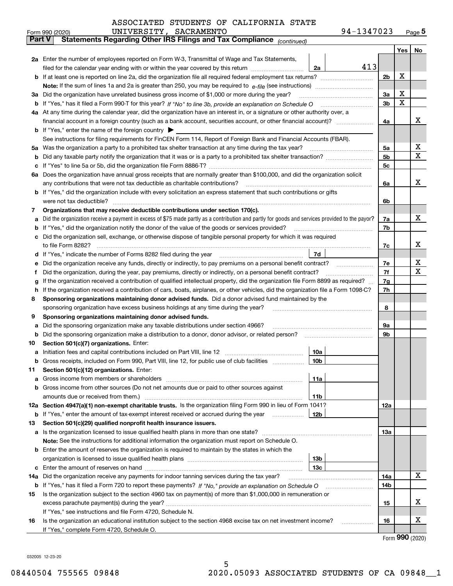| ASSOCIATED STUDENTS OF CALIFORNIA STATE |  |  |  |
|-----------------------------------------|--|--|--|
|-----------------------------------------|--|--|--|

|               | UNIVERSITY, SACRAMENTO<br>Form 990 (2020)                                                                                                                                                       | 94-1347023      |          |     | $Page$ <sup>5</sup> |  |  |  |  |  |  |
|---------------|-------------------------------------------------------------------------------------------------------------------------------------------------------------------------------------------------|-----------------|----------|-----|---------------------|--|--|--|--|--|--|
| <b>Part V</b> | Statements Regarding Other IRS Filings and Tax Compliance (continued)                                                                                                                           |                 |          |     |                     |  |  |  |  |  |  |
|               |                                                                                                                                                                                                 |                 |          | Yes | No                  |  |  |  |  |  |  |
|               | 2a Enter the number of employees reported on Form W-3, Transmittal of Wage and Tax Statements,                                                                                                  |                 |          |     |                     |  |  |  |  |  |  |
|               | filed for the calendar year ending with or within the year covered by this return                                                                                                               | 413<br>2a       |          |     |                     |  |  |  |  |  |  |
| b             |                                                                                                                                                                                                 |                 |          |     |                     |  |  |  |  |  |  |
|               |                                                                                                                                                                                                 |                 |          |     |                     |  |  |  |  |  |  |
| За            | Did the organization have unrelated business gross income of \$1,000 or more during the year?                                                                                                   |                 | 3a       | Х   |                     |  |  |  |  |  |  |
| b             |                                                                                                                                                                                                 |                 | 3b       | X   |                     |  |  |  |  |  |  |
|               | 4a At any time during the calendar year, did the organization have an interest in, or a signature or other authority over, a                                                                    |                 |          |     |                     |  |  |  |  |  |  |
|               |                                                                                                                                                                                                 |                 | 4a       |     | х                   |  |  |  |  |  |  |
|               | <b>b</b> If "Yes," enter the name of the foreign country $\blacktriangleright$                                                                                                                  |                 |          |     |                     |  |  |  |  |  |  |
|               | See instructions for filing requirements for FinCEN Form 114, Report of Foreign Bank and Financial Accounts (FBAR).                                                                             |                 |          |     |                     |  |  |  |  |  |  |
| 5a            | Was the organization a party to a prohibited tax shelter transaction at any time during the tax year?                                                                                           |                 | 5а       |     | х                   |  |  |  |  |  |  |
| b             |                                                                                                                                                                                                 |                 | 5b       |     | х                   |  |  |  |  |  |  |
| с             |                                                                                                                                                                                                 |                 | 5c       |     |                     |  |  |  |  |  |  |
|               | 6a Does the organization have annual gross receipts that are normally greater than \$100,000, and did the organization solicit                                                                  |                 |          |     |                     |  |  |  |  |  |  |
|               | any contributions that were not tax deductible as charitable contributions?                                                                                                                     |                 | 6a       |     | х                   |  |  |  |  |  |  |
|               | If "Yes," did the organization include with every solicitation an express statement that such contributions or gifts                                                                            |                 |          |     |                     |  |  |  |  |  |  |
|               | were not tax deductible?                                                                                                                                                                        |                 | 6b       |     |                     |  |  |  |  |  |  |
| 7             | Organizations that may receive deductible contributions under section 170(c).                                                                                                                   |                 |          |     |                     |  |  |  |  |  |  |
| а             | Did the organization receive a payment in excess of \$75 made partly as a contribution and partly for goods and services provided to the payor?                                                 |                 | 7a       |     | х                   |  |  |  |  |  |  |
| b             | If "Yes," did the organization notify the donor of the value of the goods or services provided?                                                                                                 |                 | 7b       |     |                     |  |  |  |  |  |  |
| c             | Did the organization sell, exchange, or otherwise dispose of tangible personal property for which it was required                                                                               |                 |          |     | х                   |  |  |  |  |  |  |
|               |                                                                                                                                                                                                 |                 | 7c       |     |                     |  |  |  |  |  |  |
| d             |                                                                                                                                                                                                 | 7d              |          |     | х                   |  |  |  |  |  |  |
| е             |                                                                                                                                                                                                 |                 | 7e<br>7f |     | х                   |  |  |  |  |  |  |
| f             | Did the organization, during the year, pay premiums, directly or indirectly, on a personal benefit contract?                                                                                    |                 | 7g       |     |                     |  |  |  |  |  |  |
|               | If the organization received a contribution of qualified intellectual property, did the organization file Form 8899 as required?<br>g                                                           |                 |          |     |                     |  |  |  |  |  |  |
|               | If the organization received a contribution of cars, boats, airplanes, or other vehicles, did the organization file a Form 1098-C?<br>h                                                         |                 |          |     |                     |  |  |  |  |  |  |
|               | Sponsoring organizations maintaining donor advised funds. Did a donor advised fund maintained by the<br>8<br>sponsoring organization have excess business holdings at any time during the year? |                 |          |     |                     |  |  |  |  |  |  |
| 9             | Sponsoring organizations maintaining donor advised funds.                                                                                                                                       |                 | 8        |     |                     |  |  |  |  |  |  |
| а             | Did the sponsoring organization make any taxable distributions under section 4966?                                                                                                              |                 | 9а       |     |                     |  |  |  |  |  |  |
| b             | Did the sponsoring organization make a distribution to a donor, donor advisor, or related person?                                                                                               |                 | 9b       |     |                     |  |  |  |  |  |  |
| 10            | Section 501(c)(7) organizations. Enter:                                                                                                                                                         |                 |          |     |                     |  |  |  |  |  |  |
| а             |                                                                                                                                                                                                 | 10a             |          |     |                     |  |  |  |  |  |  |
|               |                                                                                                                                                                                                 |                 |          |     |                     |  |  |  |  |  |  |
| 11            | Section 501(c)(12) organizations. Enter:                                                                                                                                                        |                 |          |     |                     |  |  |  |  |  |  |
| a             | Gross income from members or shareholders                                                                                                                                                       | 11a             |          |     |                     |  |  |  |  |  |  |
| b             | Gross income from other sources (Do not net amounts due or paid to other sources against                                                                                                        |                 |          |     |                     |  |  |  |  |  |  |
|               | amounts due or received from them.)                                                                                                                                                             | 11b             |          |     |                     |  |  |  |  |  |  |
|               | 12a Section 4947(a)(1) non-exempt charitable trusts. Is the organization filing Form 990 in lieu of Form 1041?                                                                                  |                 | 12a      |     |                     |  |  |  |  |  |  |
|               | <b>b</b> If "Yes," enter the amount of tax-exempt interest received or accrued during the year                                                                                                  | 12 <sub>b</sub> |          |     |                     |  |  |  |  |  |  |
| 13            | Section 501(c)(29) qualified nonprofit health insurance issuers.                                                                                                                                |                 |          |     |                     |  |  |  |  |  |  |
| a             | Is the organization licensed to issue qualified health plans in more than one state?                                                                                                            |                 | 13a      |     |                     |  |  |  |  |  |  |
|               | Note: See the instructions for additional information the organization must report on Schedule O.                                                                                               |                 |          |     |                     |  |  |  |  |  |  |
| b             | Enter the amount of reserves the organization is required to maintain by the states in which the                                                                                                |                 |          |     |                     |  |  |  |  |  |  |
|               |                                                                                                                                                                                                 | 13 <sub>b</sub> |          |     |                     |  |  |  |  |  |  |
| с             |                                                                                                                                                                                                 | 13 <sub>c</sub> |          |     |                     |  |  |  |  |  |  |
| 14a           | Did the organization receive any payments for indoor tanning services during the tax year?                                                                                                      |                 | 14a      |     | х                   |  |  |  |  |  |  |
|               | <b>b</b> If "Yes," has it filed a Form 720 to report these payments? If "No," provide an explanation on Schedule O                                                                              |                 | 14b      |     |                     |  |  |  |  |  |  |
| 15            | Is the organization subject to the section 4960 tax on payment(s) of more than \$1,000,000 in remuneration or                                                                                   |                 |          |     |                     |  |  |  |  |  |  |
|               |                                                                                                                                                                                                 |                 | 15       |     | X                   |  |  |  |  |  |  |
|               | If "Yes," see instructions and file Form 4720, Schedule N.                                                                                                                                      |                 |          |     |                     |  |  |  |  |  |  |
| 16            | Is the organization an educational institution subject to the section 4968 excise tax on net investment income?                                                                                 |                 | 16       |     | X                   |  |  |  |  |  |  |
|               | If "Yes," complete Form 4720, Schedule O.                                                                                                                                                       |                 |          |     |                     |  |  |  |  |  |  |

Form (2020) **990**

032005 12-23-20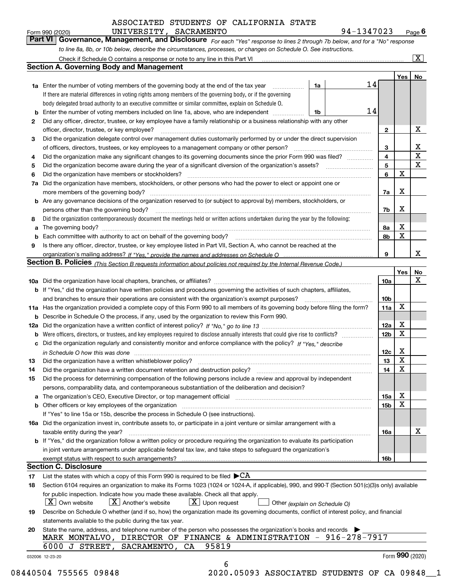$\frac{94-1347023}{94-1347023}$  Page **6**<br>the "Yes" response to lines 2 through 7b below, and for a "No" response

| Form 990 (2020) | UNIVERSITY, SACRAMENTO                                                                                                        | 94-1347023 | $P$ age $6$             |
|-----------------|-------------------------------------------------------------------------------------------------------------------------------|------------|-------------------------|
|                 | Part VI   Governance, Management, and Disclosure For each "Yes" response to lines 2 through 7b below, and for a "No" response |            |                         |
|                 | to line 8a, 8b, or 10b below, describe the circumstances, processes, or changes on Schedule O. See instructions.              |            |                         |
|                 | Check if Schedule O contains a response or note to any line in this Part VI                                                   |            | $\overline{\mathbf{X}}$ |

|                                                                                                    | Check if Schedule O contains a response or note to any line in this Part VI                                                                                           |    |    |                        |             | X               |  |  |  |  |  |  |
|----------------------------------------------------------------------------------------------------|-----------------------------------------------------------------------------------------------------------------------------------------------------------------------|----|----|------------------------|-------------|-----------------|--|--|--|--|--|--|
|                                                                                                    | <b>Section A. Governing Body and Management</b>                                                                                                                       |    |    |                        |             |                 |  |  |  |  |  |  |
|                                                                                                    |                                                                                                                                                                       |    |    |                        | Yes         | No              |  |  |  |  |  |  |
|                                                                                                    | <b>1a</b> Enter the number of voting members of the governing body at the end of the tax year                                                                         | 1a | 14 |                        |             |                 |  |  |  |  |  |  |
|                                                                                                    | If there are material differences in voting rights among members of the governing body, or if the governing                                                           |    |    |                        |             |                 |  |  |  |  |  |  |
|                                                                                                    | body delegated broad authority to an executive committee or similar committee, explain on Schedule O.                                                                 |    |    |                        |             |                 |  |  |  |  |  |  |
| b                                                                                                  | Enter the number of voting members included on line 1a, above, who are independent                                                                                    | 1b | 14 |                        |             |                 |  |  |  |  |  |  |
| 2                                                                                                  | Did any officer, director, trustee, or key employee have a family relationship or a business relationship with any other                                              |    |    |                        |             |                 |  |  |  |  |  |  |
|                                                                                                    | officer, director, trustee, or key employee?                                                                                                                          |    |    | $\mathbf{2}$           |             | X               |  |  |  |  |  |  |
| 3                                                                                                  | Did the organization delegate control over management duties customarily performed by or under the direct supervision                                                 |    |    |                        |             |                 |  |  |  |  |  |  |
|                                                                                                    | of officers, directors, trustees, or key employees to a management company or other person?                                                                           |    |    |                        |             |                 |  |  |  |  |  |  |
| 4                                                                                                  | Did the organization make any significant changes to its governing documents since the prior Form 990 was filed?                                                      |    |    | 3<br>$\overline{4}$    |             | X               |  |  |  |  |  |  |
| 5                                                                                                  |                                                                                                                                                                       |    |    | 5                      |             | X               |  |  |  |  |  |  |
|                                                                                                    | Did the organization have members or stockholders?<br>6                                                                                                               |    |    |                        |             |                 |  |  |  |  |  |  |
| 7a                                                                                                 | Did the organization have members, stockholders, or other persons who had the power to elect or appoint one or                                                        |    |    | 6                      | X           |                 |  |  |  |  |  |  |
|                                                                                                    | more members of the governing body?                                                                                                                                   |    |    | 7a                     | X           |                 |  |  |  |  |  |  |
|                                                                                                    | <b>b</b> Are any governance decisions of the organization reserved to (or subject to approval by) members, stockholders, or                                           |    |    |                        |             |                 |  |  |  |  |  |  |
|                                                                                                    | persons other than the governing body?                                                                                                                                |    |    | 7b                     | X           |                 |  |  |  |  |  |  |
| 8                                                                                                  | Did the organization contemporaneously document the meetings held or written actions undertaken during the year by the following:                                     |    |    |                        |             |                 |  |  |  |  |  |  |
| a                                                                                                  |                                                                                                                                                                       |    |    | 8a                     | X           |                 |  |  |  |  |  |  |
| b                                                                                                  |                                                                                                                                                                       |    |    | 8b                     | X           |                 |  |  |  |  |  |  |
|                                                                                                    |                                                                                                                                                                       |    |    |                        |             |                 |  |  |  |  |  |  |
| 9                                                                                                  | Is there any officer, director, trustee, or key employee listed in Part VII, Section A, who cannot be reached at the                                                  |    |    | 9                      |             | x               |  |  |  |  |  |  |
|                                                                                                    |                                                                                                                                                                       |    |    |                        |             |                 |  |  |  |  |  |  |
|                                                                                                    | <b>Section B. Policies</b> (This Section B requests information about policies not required by the Internal Revenue Code.)                                            |    |    |                        |             |                 |  |  |  |  |  |  |
|                                                                                                    |                                                                                                                                                                       |    |    |                        | Yes         | No<br>x         |  |  |  |  |  |  |
|                                                                                                    |                                                                                                                                                                       |    |    | 10a                    |             |                 |  |  |  |  |  |  |
|                                                                                                    | <b>b</b> If "Yes," did the organization have written policies and procedures governing the activities of such chapters, affiliates,                                   |    |    |                        |             |                 |  |  |  |  |  |  |
|                                                                                                    | and branches to ensure their operations are consistent with the organization's exempt purposes?                                                                       |    |    | 10 <sub>b</sub><br>11a | X           |                 |  |  |  |  |  |  |
|                                                                                                    | 11a Has the organization provided a complete copy of this Form 990 to all members of its governing body before filing the form?                                       |    |    |                        |             |                 |  |  |  |  |  |  |
| Describe in Schedule O the process, if any, used by the organization to review this Form 990.<br>b |                                                                                                                                                                       |    |    |                        |             |                 |  |  |  |  |  |  |
|                                                                                                    |                                                                                                                                                                       |    |    |                        |             |                 |  |  |  |  |  |  |
| b                                                                                                  |                                                                                                                                                                       |    |    | 12 <sub>b</sub>        | $\mathbf X$ |                 |  |  |  |  |  |  |
| c                                                                                                  | Did the organization regularly and consistently monitor and enforce compliance with the policy? If "Yes." describe                                                    |    |    |                        |             |                 |  |  |  |  |  |  |
|                                                                                                    | in Schedule O how this was done measured and contain an account of the state of the state of the state of the                                                         |    |    | 12c                    | X           |                 |  |  |  |  |  |  |
| 13                                                                                                 | Did the organization have a written whistleblower policy?                                                                                                             |    |    | 13                     | X           |                 |  |  |  |  |  |  |
| 14                                                                                                 | Did the organization have a written document retention and destruction policy?                                                                                        |    |    | 14                     | X           |                 |  |  |  |  |  |  |
| 15                                                                                                 | Did the process for determining compensation of the following persons include a review and approval by independent                                                    |    |    |                        |             |                 |  |  |  |  |  |  |
|                                                                                                    | persons, comparability data, and contemporaneous substantiation of the deliberation and decision?                                                                     |    |    |                        |             |                 |  |  |  |  |  |  |
| a                                                                                                  | The organization's CEO, Executive Director, or top management official manufactured content of the organization's CEO, Executive Director, or top management official |    |    | 15a                    | х           |                 |  |  |  |  |  |  |
|                                                                                                    | <b>b</b> Other officers or key employees of the organization                                                                                                          |    |    | 15b                    | X           |                 |  |  |  |  |  |  |
|                                                                                                    | If "Yes" to line 15a or 15b, describe the process in Schedule O (see instructions).                                                                                   |    |    |                        |             |                 |  |  |  |  |  |  |
|                                                                                                    | 16a Did the organization invest in, contribute assets to, or participate in a joint venture or similar arrangement with a                                             |    |    |                        |             |                 |  |  |  |  |  |  |
|                                                                                                    | taxable entity during the year?                                                                                                                                       |    |    | 16a                    |             | X               |  |  |  |  |  |  |
|                                                                                                    | b If "Yes," did the organization follow a written policy or procedure requiring the organization to evaluate its participation                                        |    |    |                        |             |                 |  |  |  |  |  |  |
|                                                                                                    | in joint venture arrangements under applicable federal tax law, and take steps to safeguard the organization's                                                        |    |    |                        |             |                 |  |  |  |  |  |  |
|                                                                                                    | exempt status with respect to such arrangements?                                                                                                                      |    |    | 16b                    |             |                 |  |  |  |  |  |  |
|                                                                                                    | <b>Section C. Disclosure</b>                                                                                                                                          |    |    |                        |             |                 |  |  |  |  |  |  |
| 17                                                                                                 | List the states with which a copy of this Form 990 is required to be filed $\blacktriangleright$ CA                                                                   |    |    |                        |             |                 |  |  |  |  |  |  |
| 18                                                                                                 | Section 6104 requires an organization to make its Forms 1023 (1024 or 1024-A, if applicable), 990, and 990-T (Section 501(c)(3)s only) available                      |    |    |                        |             |                 |  |  |  |  |  |  |
|                                                                                                    | for public inspection. Indicate how you made these available. Check all that apply.                                                                                   |    |    |                        |             |                 |  |  |  |  |  |  |
|                                                                                                    | $X$ Own website<br>$X$ Another's website<br>$X$ Upon request<br>Other (explain on Schedule O)                                                                         |    |    |                        |             |                 |  |  |  |  |  |  |
| 19                                                                                                 | Describe on Schedule O whether (and if so, how) the organization made its governing documents, conflict of interest policy, and financial                             |    |    |                        |             |                 |  |  |  |  |  |  |
|                                                                                                    | statements available to the public during the tax year.                                                                                                               |    |    |                        |             |                 |  |  |  |  |  |  |
| 20                                                                                                 | State the name, address, and telephone number of the person who possesses the organization's books and records                                                        |    |    |                        |             |                 |  |  |  |  |  |  |
|                                                                                                    | MARK MONTALVO, DIRECTOR OF FINANCE & ADMINISTRATION - 916-278-7917                                                                                                    |    |    |                        |             |                 |  |  |  |  |  |  |
|                                                                                                    | 95819<br>6000<br>J STREET, SACRAMENTO,<br>CA                                                                                                                          |    |    |                        |             |                 |  |  |  |  |  |  |
|                                                                                                    | 032006 12-23-20                                                                                                                                                       |    |    |                        |             | Form 990 (2020) |  |  |  |  |  |  |
|                                                                                                    | 6                                                                                                                                                                     |    |    |                        |             |                 |  |  |  |  |  |  |
|                                                                                                    |                                                                                                                                                                       |    |    |                        |             |                 |  |  |  |  |  |  |

08440504 755565 09848 2020.05093 ASSOCIATED STUDENTS OF CA 09848\_1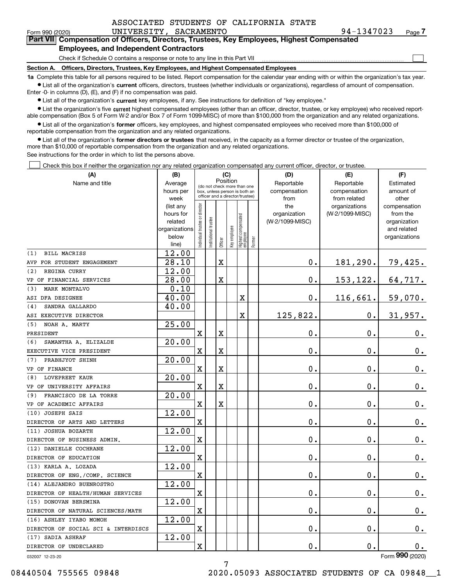|  |  |  | ASSOCIATED STUDENTS OF CALIFORNIA STATE |  |
|--|--|--|-----------------------------------------|--|
|--|--|--|-----------------------------------------|--|

 $\mathcal{L}^{\text{max}}$ 

| Form 990 (2020) | UNIVERSITY, SACRAMENTO                                                                     | 94-1347023 | Page 7 |
|-----------------|--------------------------------------------------------------------------------------------|------------|--------|
|                 | Part VII Compensation of Officers, Directors, Trustees, Key Employees, Highest Compensated |            |        |
|                 | <b>Employees, and Independent Contractors</b>                                              |            |        |

Check if Schedule O contains a response or note to any line in this Part VII

**Section A. Officers, Directors, Trustees, Key Employees, and Highest Compensated Employees**

**1a**  Complete this table for all persons required to be listed. Report compensation for the calendar year ending with or within the organization's tax year. **•** List all of the organization's current officers, directors, trustees (whether individuals or organizations), regardless of amount of compensation.

Enter -0- in columns (D), (E), and (F) if no compensation was paid.

 $\bullet$  List all of the organization's  $\,$ current key employees, if any. See instructions for definition of "key employee."

**•** List the organization's five current highest compensated employees (other than an officer, director, trustee, or key employee) who received reportable compensation (Box 5 of Form W-2 and/or Box 7 of Form 1099-MISC) of more than \$100,000 from the organization and any related organizations.

**•** List all of the organization's former officers, key employees, and highest compensated employees who received more than \$100,000 of reportable compensation from the organization and any related organizations.

**former directors or trustees**  ¥ List all of the organization's that received, in the capacity as a former director or trustee of the organization, more than \$10,000 of reportable compensation from the organization and any related organizations.

See instructions for the order in which to list the persons above.

Check this box if neither the organization nor any related organization compensated any current officer, director, or trustee.  $\mathcal{L}^{\text{max}}$ 

| (A)                                 | (B)                    |                               |                                         | (C)         |              |                                                                  |           | (D)             | (E)                              | (F)                      |
|-------------------------------------|------------------------|-------------------------------|-----------------------------------------|-------------|--------------|------------------------------------------------------------------|-----------|-----------------|----------------------------------|--------------------------|
| Name and title                      | Average                |                               | Position<br>(do not check more than one |             | Reportable   | Reportable                                                       | Estimated |                 |                                  |                          |
|                                     | hours per              |                               |                                         |             |              | box, unless person is both an<br>officer and a director/trustee) |           | compensation    | compensation                     | amount of                |
|                                     | week                   |                               |                                         |             |              |                                                                  |           | from<br>the     | from related                     | other                    |
|                                     | (list any<br>hours for |                               |                                         |             |              |                                                                  |           | organization    | organizations<br>(W-2/1099-MISC) | compensation<br>from the |
|                                     | related                |                               |                                         |             |              |                                                                  |           | (W-2/1099-MISC) |                                  | organization             |
|                                     | organizations          |                               |                                         |             |              |                                                                  |           |                 |                                  | and related              |
|                                     | below                  | ndividual trustee or director | nstitutional trustee                    |             | key employee |                                                                  |           |                 |                                  | organizations            |
|                                     | line)                  |                               |                                         | Officer     |              | Highest compensated<br> employee                                 | Former    |                 |                                  |                          |
| <b>BILL MACRISS</b><br>(1)          | 12.00                  |                               |                                         |             |              |                                                                  |           |                 |                                  |                          |
| AVP FOR STUDENT ENGAGEMENT          | 28.10                  |                               |                                         | $\mathbf X$ |              |                                                                  |           | 0.              | 181,290.                         | 79,425.                  |
| REGINA CURRY<br>(2)                 | 12.00                  |                               |                                         |             |              |                                                                  |           |                 |                                  |                          |
| VP OF FINANCIAL SERVICES            | 28.00                  |                               |                                         | $\mathbf X$ |              |                                                                  |           | 0.              | 153,122.                         | 64,717.                  |
| MARK MONTALVO<br>(3)                | 0.10                   |                               |                                         |             |              |                                                                  |           |                 |                                  |                          |
| ASI DFA DESIGNEE                    | 40.00                  |                               |                                         |             |              | X                                                                |           | 0.              | 116,661.                         | 59,070.                  |
| SANDRA GALLARDO<br>(4)              | 40.00                  |                               |                                         |             |              |                                                                  |           |                 |                                  |                          |
| ASI EXECUTIVE DIRECTOR              |                        |                               |                                         |             |              | X                                                                |           | 125,822.        | $\mathbf 0$ .                    | 31,957.                  |
| NOAH A. MARTY<br>(5)                | $\overline{25.00}$     |                               |                                         |             |              |                                                                  |           |                 |                                  |                          |
| PRESIDENT                           |                        | $\mathbf X$                   |                                         | $\mathbf X$ |              |                                                                  |           | 0.              | $\mathbf 0$ .                    | $0_{.}$                  |
| SAMANTHA A. ELIZALDE<br>(6)         | 20.00                  |                               |                                         |             |              |                                                                  |           |                 |                                  |                          |
| EXECUTIVE VICE PRESIDENT            |                        | X                             |                                         | $\mathbf X$ |              |                                                                  |           | 0.              | 0.                               | 0.                       |
| PRABHJYOT SHINH<br>(7)              | 20.00                  |                               |                                         |             |              |                                                                  |           |                 |                                  |                          |
| VP OF FINANCE                       |                        | $\rm X$                       |                                         | $\rm X$     |              |                                                                  |           | 0.              | $\mathbf 0$ .                    | $\mathbf 0$ .            |
| <b>LOVEPREET KAUR</b><br>(8)        | 20.00                  |                               |                                         |             |              |                                                                  |           |                 |                                  |                          |
| VP OF UNIVERSITY AFFAIRS            |                        | $\overline{\mathbf{X}}$       |                                         | $\mathbf X$ |              |                                                                  |           | 0.              | 0.                               | $\mathbf 0$ .            |
| FRANCISCO DE LA TORRE<br>(9)        | 20.00                  |                               |                                         |             |              |                                                                  |           |                 |                                  |                          |
| VP OF ACADEMIC AFFAIRS              |                        | $\mathbf X$                   |                                         | $\mathbf X$ |              |                                                                  |           | $\mathbf 0$ .   | $\mathbf 0$ .                    | $\mathbf 0$ .            |
| (10) JOSEPH SAIS                    | 12.00                  |                               |                                         |             |              |                                                                  |           |                 |                                  |                          |
| DIRECTOR OF ARTS AND LETTERS        |                        | $\overline{\text{X}}$         |                                         |             |              |                                                                  |           | $\mathbf 0$ .   | $\mathbf 0$ .                    | $0_{.}$                  |
| (11) JOSHUA BOZARTH                 | 12.00                  |                               |                                         |             |              |                                                                  |           |                 |                                  |                          |
| DIRECTOR OF BUSINESS ADMIN.         |                        | $\overline{\mathbf{X}}$       |                                         |             |              |                                                                  |           | 0.              | 0.                               | $0_{.}$                  |
| (12) DANIELLE COCHRANE              | 12.00                  |                               |                                         |             |              |                                                                  |           |                 |                                  |                          |
| DIRECTOR OF EDUCATION               |                        | $\overline{\text{X}}$         |                                         |             |              |                                                                  |           | 0.              | 0.                               | $\mathbf 0$ .            |
| (13) KARLA A. LOZADA                | 12.00                  |                               |                                         |             |              |                                                                  |           |                 |                                  |                          |
| DIRECTOR OF ENG./COMP. SCIENCE      |                        | $\rm X$                       |                                         |             |              |                                                                  |           | 0.              | 0.                               | $0_{.}$                  |
| (14) ALEJANDRO BUENROSTRO           | 12.00                  |                               |                                         |             |              |                                                                  |           |                 |                                  |                          |
| DIRECTOR OF HEALTH/HUMAN SERVICES   |                        | $\overline{\text{X}}$         |                                         |             |              |                                                                  |           | 0.              | 0.                               | $\mathbf 0$ .            |
| (15) DONOVAN BERSMINA               | 12.00                  |                               |                                         |             |              |                                                                  |           |                 |                                  |                          |
| DIRECTOR OF NATURAL SCIENCES/MATH   |                        | $\overline{\textbf{X}}$       |                                         |             |              |                                                                  |           | 0.              | $\mathbf{0}$ .                   | $\mathbf 0$ .            |
| (16) ASHLEY IYABO MOMOH             | 12.00                  |                               |                                         |             |              |                                                                  |           |                 |                                  |                          |
| DIRECTOR OF SOCIAL SCI & INTERDISCS |                        | $\overline{\text{X}}$         |                                         |             |              |                                                                  |           | 0.              | $\mathbf 0$ .                    | 0.                       |
| (17) SADIA ASHRAF                   | 12.00                  |                               |                                         |             |              |                                                                  |           |                 |                                  |                          |
| DIRECTOR OF UNDECLARED              |                        | $\overline{\mathbf{X}}$       |                                         |             |              |                                                                  |           | 0.              | 0.                               | $\mathbf 0$ .            |

7

032007 12-23-20

Form (2020) **990**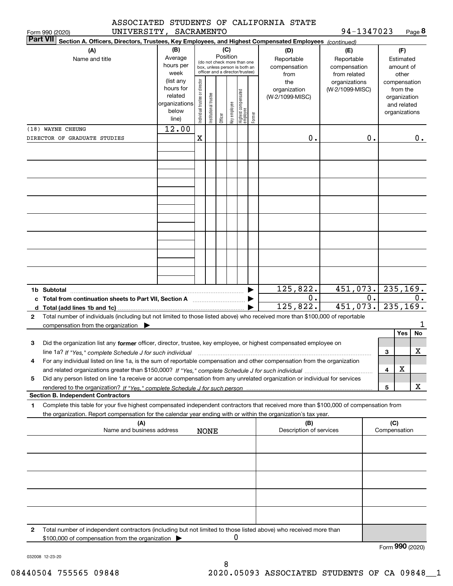| ASSOCIATED STUDENTS OF CALIFORNIA STATE |  |  |  |
|-----------------------------------------|--|--|--|
|-----------------------------------------|--|--|--|

**8** 94-1347023

|                 | UNIVERSITY, SACRAMENTO<br>Form 990 (2020)                                                                                            |               |                                |                                                              |         |              |                                 |        |                         | 94-1347023          |    |              |               | Page 8    |
|-----------------|--------------------------------------------------------------------------------------------------------------------------------------|---------------|--------------------------------|--------------------------------------------------------------|---------|--------------|---------------------------------|--------|-------------------------|---------------------|----|--------------|---------------|-----------|
| <b>Part VII</b> | Section A. Officers, Directors, Trustees, Key Employees, and Highest Compensated Employees (continued)                               |               |                                |                                                              |         |              |                                 |        |                         |                     |    |              |               |           |
|                 | (A)                                                                                                                                  | (B)           |                                |                                                              |         | (C)          |                                 |        | (D)                     | (E)                 |    |              | (F)           |           |
|                 | Name and title                                                                                                                       | Average       |                                |                                                              |         | Position     |                                 |        | Reportable              | Reportable          |    |              | Estimated     |           |
|                 |                                                                                                                                      | hours per     |                                | (do not check more than one<br>box, unless person is both an |         |              |                                 |        | compensation            | compensation        |    |              | amount of     |           |
|                 |                                                                                                                                      | week          |                                | officer and a director/trustee)                              |         |              |                                 |        | from                    | from related        |    |              | other         |           |
|                 |                                                                                                                                      | (list any     |                                |                                                              |         |              |                                 |        | the                     | organizations       |    |              | compensation  |           |
|                 |                                                                                                                                      | hours for     |                                |                                                              |         |              |                                 |        | organization            | (W-2/1099-MISC)     |    |              | from the      |           |
|                 |                                                                                                                                      | related       |                                |                                                              |         |              |                                 |        | (W-2/1099-MISC)         |                     |    |              | organization  |           |
|                 |                                                                                                                                      | organizations |                                |                                                              |         |              |                                 |        |                         |                     |    |              | and related   |           |
|                 |                                                                                                                                      | below         | Individual trustee or director | nstitutional trustee                                         |         |              |                                 |        |                         |                     |    |              | organizations |           |
|                 |                                                                                                                                      | line)         |                                |                                                              | Officer | Key employee | Highest compensated<br>employee | Former |                         |                     |    |              |               |           |
|                 | (18) WAYNE CHEUNG                                                                                                                    | 12.00         |                                |                                                              |         |              |                                 |        |                         |                     |    |              |               |           |
|                 | DIRECTOR OF GRADUATE STUDIES                                                                                                         |               | х                              |                                                              |         |              |                                 |        | 0.                      |                     | 0. |              |               | 0.        |
|                 |                                                                                                                                      |               |                                |                                                              |         |              |                                 |        |                         |                     |    |              |               |           |
|                 |                                                                                                                                      |               |                                |                                                              |         |              |                                 |        |                         |                     |    |              |               |           |
|                 |                                                                                                                                      |               |                                |                                                              |         |              |                                 |        |                         |                     |    |              |               |           |
|                 |                                                                                                                                      |               |                                |                                                              |         |              |                                 |        |                         |                     |    |              |               |           |
|                 |                                                                                                                                      |               |                                |                                                              |         |              |                                 |        |                         |                     |    |              |               |           |
|                 |                                                                                                                                      |               |                                |                                                              |         |              |                                 |        |                         |                     |    |              |               |           |
|                 |                                                                                                                                      |               |                                |                                                              |         |              |                                 |        |                         |                     |    |              |               |           |
|                 |                                                                                                                                      |               |                                |                                                              |         |              |                                 |        |                         |                     |    |              |               |           |
|                 |                                                                                                                                      |               |                                |                                                              |         |              |                                 |        |                         |                     |    |              |               |           |
|                 |                                                                                                                                      |               |                                |                                                              |         |              |                                 |        |                         |                     |    |              |               |           |
|                 |                                                                                                                                      |               |                                |                                                              |         |              |                                 |        |                         |                     |    |              |               |           |
|                 |                                                                                                                                      |               |                                |                                                              |         |              |                                 |        |                         |                     |    |              |               |           |
|                 |                                                                                                                                      |               |                                |                                                              |         |              |                                 |        |                         |                     |    |              |               |           |
|                 |                                                                                                                                      |               |                                |                                                              |         |              |                                 |        |                         |                     |    |              |               |           |
|                 |                                                                                                                                      |               |                                |                                                              |         |              |                                 |        |                         |                     |    |              |               |           |
|                 |                                                                                                                                      |               |                                |                                                              |         |              |                                 |        |                         |                     |    |              |               |           |
|                 |                                                                                                                                      |               |                                |                                                              |         |              |                                 |        |                         |                     |    |              |               |           |
|                 |                                                                                                                                      |               |                                |                                                              |         |              |                                 |        |                         |                     |    |              |               |           |
|                 |                                                                                                                                      |               |                                |                                                              |         |              |                                 |        | 125,822.                | $451,073.$ 235,169. |    |              |               |           |
|                 | c Total from continuation sheets to Part VII, Section A manufactured by the Section A                                                |               |                                |                                                              |         |              |                                 |        | $0$ .                   |                     | 0. |              |               | 0.        |
|                 |                                                                                                                                      |               |                                |                                                              |         |              |                                 |        | 125,822.                | 451,073.            |    |              |               | 235, 169. |
| $\mathbf{2}$    | Total number of individuals (including but not limited to those listed above) who received more than \$100,000 of reportable         |               |                                |                                                              |         |              |                                 |        |                         |                     |    |              |               |           |
|                 | compensation from the organization $\blacktriangleright$                                                                             |               |                                |                                                              |         |              |                                 |        |                         |                     |    |              |               | 1         |
|                 |                                                                                                                                      |               |                                |                                                              |         |              |                                 |        |                         |                     |    |              | Yes           | <b>No</b> |
|                 |                                                                                                                                      |               |                                |                                                              |         |              |                                 |        |                         |                     |    |              |               |           |
| 3               | Did the organization list any former officer, director, trustee, key employee, or highest compensated employee on                    |               |                                |                                                              |         |              |                                 |        |                         |                     |    |              |               |           |
|                 | line 1a? If "Yes," complete Schedule J for such individual manufactured contained and the manufactured complete                      |               |                                |                                                              |         |              |                                 |        |                         |                     |    | 3            |               | x         |
|                 | For any individual listed on line 1a, is the sum of reportable compensation and other compensation from the organization             |               |                                |                                                              |         |              |                                 |        |                         |                     |    |              |               |           |
|                 |                                                                                                                                      |               |                                |                                                              |         |              |                                 |        |                         |                     |    | 4            | X             |           |
| 5               | Did any person listed on line 1a receive or accrue compensation from any unrelated organization or individual for services           |               |                                |                                                              |         |              |                                 |        |                         |                     |    |              |               |           |
|                 |                                                                                                                                      |               |                                |                                                              |         |              |                                 |        |                         |                     |    | 5            |               | x         |
|                 | <b>Section B. Independent Contractors</b>                                                                                            |               |                                |                                                              |         |              |                                 |        |                         |                     |    |              |               |           |
| 1.              | Complete this table for your five highest compensated independent contractors that received more than \$100,000 of compensation from |               |                                |                                                              |         |              |                                 |        |                         |                     |    |              |               |           |
|                 | the organization. Report compensation for the calendar year ending with or within the organization's tax year.                       |               |                                |                                                              |         |              |                                 |        |                         |                     |    |              |               |           |
|                 | (A)                                                                                                                                  |               |                                |                                                              |         |              |                                 |        | (B)                     |                     |    | (C)          |               |           |
|                 | Name and business address                                                                                                            |               |                                | <b>NONE</b>                                                  |         |              |                                 |        | Description of services |                     |    | Compensation |               |           |
|                 |                                                                                                                                      |               |                                |                                                              |         |              |                                 |        |                         |                     |    |              |               |           |
|                 |                                                                                                                                      |               |                                |                                                              |         |              |                                 |        |                         |                     |    |              |               |           |
|                 |                                                                                                                                      |               |                                |                                                              |         |              |                                 |        |                         |                     |    |              |               |           |
|                 |                                                                                                                                      |               |                                |                                                              |         |              |                                 |        |                         |                     |    |              |               |           |
|                 |                                                                                                                                      |               |                                |                                                              |         |              |                                 |        |                         |                     |    |              |               |           |
|                 |                                                                                                                                      |               |                                |                                                              |         |              |                                 |        |                         |                     |    |              |               |           |
|                 |                                                                                                                                      |               |                                |                                                              |         |              |                                 |        |                         |                     |    |              |               |           |
|                 |                                                                                                                                      |               |                                |                                                              |         |              |                                 |        |                         |                     |    |              |               |           |
|                 |                                                                                                                                      |               |                                |                                                              |         |              |                                 |        |                         |                     |    |              |               |           |
|                 |                                                                                                                                      |               |                                |                                                              |         |              |                                 |        |                         |                     |    |              |               |           |
|                 |                                                                                                                                      |               |                                |                                                              |         |              |                                 |        |                         |                     |    |              |               |           |
| 2               | Total number of independent contractors (including but not limited to those listed above) who received more than                     |               |                                |                                                              |         |              |                                 |        |                         |                     |    |              |               |           |
|                 | \$100,000 of compensation from the organization                                                                                      |               |                                |                                                              |         |              | 0                               |        |                         |                     |    |              |               |           |
|                 |                                                                                                                                      |               |                                |                                                              |         |              |                                 |        |                         |                     |    |              |               |           |

Form (2020) **990**

032008 12-23-20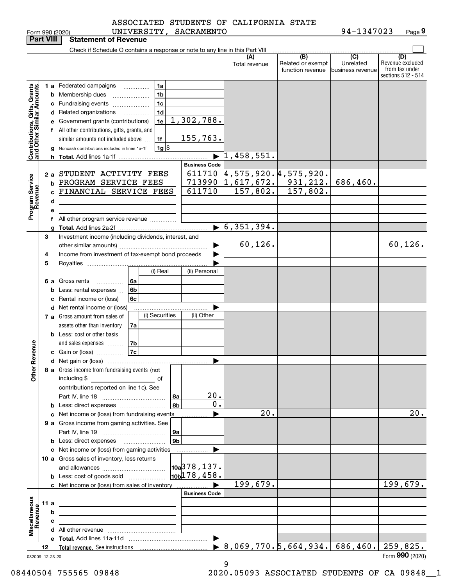| <b>Part VIII</b>                                          |      |    | <b>Statement of Revenue</b>                                                   |                                      |                |                           |                                                         |                                              |                                                 |                                                                 |
|-----------------------------------------------------------|------|----|-------------------------------------------------------------------------------|--------------------------------------|----------------|---------------------------|---------------------------------------------------------|----------------------------------------------|-------------------------------------------------|-----------------------------------------------------------------|
|                                                           |      |    | Check if Schedule O contains a response or note to any line in this Part VIII |                                      |                |                           |                                                         |                                              |                                                 |                                                                 |
|                                                           |      |    |                                                                               |                                      |                |                           | (A)<br>Total revenue                                    | (B)<br>Related or exempt<br>function revenue | $\overline{C}$<br>Unrelated<br>business revenue | (D)<br>Revenue excluded<br>from tax under<br>sections 512 - 514 |
|                                                           |      |    | 1 a Federated campaigns                                                       |                                      | 1a             |                           |                                                         |                                              |                                                 |                                                                 |
|                                                           |      |    | <b>b</b> Membership dues                                                      | $\ldots \ldots \ldots \ldots \ldots$ | 1 <sub>b</sub> |                           |                                                         |                                              |                                                 |                                                                 |
|                                                           |      |    | c Fundraising events                                                          |                                      | 1c             |                           |                                                         |                                              |                                                 |                                                                 |
|                                                           |      |    | d Related organizations                                                       | .                                    | 1d             |                           |                                                         |                                              |                                                 |                                                                 |
|                                                           |      |    | e Government grants (contributions)                                           |                                      | 1e             | 1,302,788.                |                                                         |                                              |                                                 |                                                                 |
|                                                           |      |    | f All other contributions, gifts, grants, and                                 |                                      |                |                           |                                                         |                                              |                                                 |                                                                 |
|                                                           |      |    | similar amounts not included above                                            |                                      | 1f             | 155,763.                  |                                                         |                                              |                                                 |                                                                 |
|                                                           |      |    | Noncash contributions included in lines 1a-1f                                 |                                      | $1g$ \$        |                           |                                                         |                                              |                                                 |                                                                 |
| Contributions, Gifts, Grants<br>and Other Similar Amounts |      |    |                                                                               |                                      |                |                           | 1,458,551.                                              |                                              |                                                 |                                                                 |
|                                                           |      |    |                                                                               |                                      |                | <b>Business Code</b>      |                                                         |                                              |                                                 |                                                                 |
|                                                           |      |    | 2 a STUDENT ACTIVITY FEES                                                     |                                      |                |                           | $611710 \;   4,575,920.4,575,920.$                      |                                              |                                                 |                                                                 |
| Program Service<br>Revenue                                |      |    | <b>b PROGRAM SERVICE FEES</b>                                                 |                                      |                |                           | $713990$ 1,617,672. 931,212.                            |                                              | 686, 460.                                       |                                                                 |
|                                                           |      | C. | FINANCIAL SERVICE FEES                                                        |                                      |                | 611710                    | 157,802.                                                | 157,802.                                     |                                                 |                                                                 |
|                                                           |      | d  |                                                                               |                                      |                |                           |                                                         |                                              |                                                 |                                                                 |
|                                                           |      | е  |                                                                               |                                      |                |                           |                                                         |                                              |                                                 |                                                                 |
|                                                           |      |    | f All other program service revenue                                           |                                      |                |                           |                                                         |                                              |                                                 |                                                                 |
|                                                           |      |    |                                                                               |                                      |                |                           | $\triangleright$ 6,351,394.                             |                                              |                                                 |                                                                 |
|                                                           | З    |    | Investment income (including dividends, interest, and                         |                                      |                |                           |                                                         |                                              |                                                 |                                                                 |
|                                                           |      |    |                                                                               |                                      |                |                           | 60, 126.                                                |                                              |                                                 | 60, 126.                                                        |
|                                                           | 4    |    | Income from investment of tax-exempt bond proceeds                            |                                      |                |                           |                                                         |                                              |                                                 |                                                                 |
|                                                           | 5    |    |                                                                               |                                      |                |                           |                                                         |                                              |                                                 |                                                                 |
|                                                           |      |    |                                                                               |                                      | (i) Real       | (ii) Personal             |                                                         |                                              |                                                 |                                                                 |
|                                                           |      |    | 6 a Gross rents<br>.                                                          | 6а                                   |                |                           |                                                         |                                              |                                                 |                                                                 |
|                                                           |      |    | <b>b</b> Less: rental expenses                                                | 6b                                   |                |                           |                                                         |                                              |                                                 |                                                                 |
|                                                           |      |    | c Rental income or (loss)                                                     | 6c                                   |                |                           |                                                         |                                              |                                                 |                                                                 |
|                                                           |      |    | <b>d</b> Net rental income or (loss)                                          |                                      |                |                           |                                                         |                                              |                                                 |                                                                 |
|                                                           |      |    | 7 a Gross amount from sales of                                                |                                      | (i) Securities | (ii) Other                |                                                         |                                              |                                                 |                                                                 |
|                                                           |      |    | assets other than inventory                                                   | 7a                                   |                |                           |                                                         |                                              |                                                 |                                                                 |
|                                                           |      |    | <b>b</b> Less: cost or other basis                                            |                                      |                |                           |                                                         |                                              |                                                 |                                                                 |
| Revenue                                                   |      |    | and sales expenses                                                            | 7b<br> 7c                            |                |                           |                                                         |                                              |                                                 |                                                                 |
|                                                           |      |    | c Gain or (loss)                                                              |                                      |                |                           |                                                         |                                              |                                                 |                                                                 |
|                                                           |      |    | 8 a Gross income from fundraising events (not                                 |                                      |                | ▶                         |                                                         |                                              |                                                 |                                                                 |
| <b>Othe</b>                                               |      |    | including \$                                                                  |                                      |                |                           |                                                         |                                              |                                                 |                                                                 |
|                                                           |      |    | ____________________________ of<br>contributions reported on line 1c). See    |                                      |                |                           |                                                         |                                              |                                                 |                                                                 |
|                                                           |      |    |                                                                               |                                      | 8a             | 20.                       |                                                         |                                              |                                                 |                                                                 |
|                                                           |      |    | <b>b</b> Less: direct expenses                                                |                                      | 8b             | 0.                        |                                                         |                                              |                                                 |                                                                 |
|                                                           |      |    | c Net income or (loss) from fundraising events                                |                                      |                |                           | 20.                                                     |                                              |                                                 | 20.                                                             |
|                                                           |      |    | 9 a Gross income from gaming activities. See                                  |                                      |                |                           |                                                         |                                              |                                                 |                                                                 |
|                                                           |      |    |                                                                               |                                      | 9a             |                           |                                                         |                                              |                                                 |                                                                 |
|                                                           |      |    | <b>b</b> Less: direct expenses <b>manually</b>                                |                                      | 9 <sub>b</sub> |                           |                                                         |                                              |                                                 |                                                                 |
|                                                           |      |    | c Net income or (loss) from gaming activities                                 |                                      |                | .                         |                                                         |                                              |                                                 |                                                                 |
|                                                           |      |    | 10 a Gross sales of inventory, less returns                                   |                                      |                |                           |                                                         |                                              |                                                 |                                                                 |
|                                                           |      |    |                                                                               |                                      |                | 10a <sup>378</sup> , 137. |                                                         |                                              |                                                 |                                                                 |
|                                                           |      |    | <b>b</b> Less: cost of goods sold                                             |                                      |                | 10 <sub>b</sub> 178, 458. |                                                         |                                              |                                                 |                                                                 |
|                                                           |      |    | c Net income or (loss) from sales of inventory                                |                                      |                |                           | 199,679.                                                |                                              |                                                 | 199,679.                                                        |
|                                                           |      |    |                                                                               |                                      |                | <b>Business Code</b>      |                                                         |                                              |                                                 |                                                                 |
|                                                           | 11 a |    | the control of the control of the control of the control of the control of    |                                      |                |                           |                                                         |                                              |                                                 |                                                                 |
|                                                           |      | b  | <u> 1989 - Johann Barn, amerikansk politiker (</u>                            |                                      |                |                           |                                                         |                                              |                                                 |                                                                 |
| Miscellaneous<br>Revenue                                  |      | c  | <u> 1989 - Johann Barn, amerikansk politiker (</u>                            |                                      |                |                           |                                                         |                                              |                                                 |                                                                 |
|                                                           |      |    |                                                                               |                                      |                |                           |                                                         |                                              |                                                 |                                                                 |
|                                                           |      |    |                                                                               |                                      |                | $\blacktriangleright$     |                                                         |                                              |                                                 |                                                                 |
|                                                           | 12   |    |                                                                               |                                      |                |                           | $\triangleright$ 8,069,770.5,664,934. 686,460. 259,825. |                                              |                                                 | Form 990 (2020)                                                 |
| 032009 12-23-20                                           |      |    |                                                                               |                                      |                |                           |                                                         |                                              |                                                 |                                                                 |

9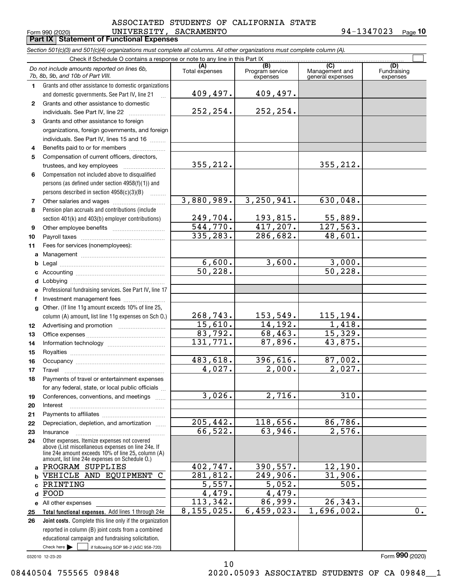#### $_{\rm Form}$   $_{990}$   $_{(2020)}$   $_{\rm UNIVERSITY}$  ,  $_{\rm SACKAMENTO}$   $_{\rm 94-1347023}$   $_{\rm Page}$ **Part IX Statement of Functional Expenses** ASSOCIATED STUDENTS OF CALIFORNIA STATE

**10**

|              | Section 501(c)(3) and 501(c)(4) organizations must complete all columns. All other organizations must complete column (A).                                 |                        |                                    |                                           |                                |
|--------------|------------------------------------------------------------------------------------------------------------------------------------------------------------|------------------------|------------------------------------|-------------------------------------------|--------------------------------|
|              | Check if Schedule O contains a response or note to any line in this Part IX                                                                                |                        |                                    |                                           |                                |
|              | Do not include amounts reported on lines 6b,<br>7b, 8b, 9b, and 10b of Part VIII.                                                                          | (A)<br>Total expenses  | (B)<br>Program service<br>expenses | (C)<br>Management and<br>general expenses | (D)<br>Fundraising<br>expenses |
| 1            | Grants and other assistance to domestic organizations                                                                                                      |                        |                                    |                                           |                                |
|              | and domestic governments. See Part IV, line 21<br>$\dddotsc$                                                                                               | 409,497.               | 409,497.                           |                                           |                                |
| $\mathbf{2}$ | Grants and other assistance to domestic                                                                                                                    |                        |                                    |                                           |                                |
|              | individuals. See Part IV, line 22                                                                                                                          | 252,254.               | 252,254.                           |                                           |                                |
| 3            | Grants and other assistance to foreign                                                                                                                     |                        |                                    |                                           |                                |
|              | organizations, foreign governments, and foreign                                                                                                            |                        |                                    |                                           |                                |
|              | individuals. See Part IV, lines 15 and 16                                                                                                                  |                        |                                    |                                           |                                |
| 4            | Benefits paid to or for members                                                                                                                            |                        |                                    |                                           |                                |
| 5            | Compensation of current officers, directors,                                                                                                               |                        |                                    |                                           |                                |
|              |                                                                                                                                                            | 355, 212.              |                                    | 355, 212.                                 |                                |
| 6            | Compensation not included above to disqualified                                                                                                            |                        |                                    |                                           |                                |
|              | persons (as defined under section 4958(f)(1)) and                                                                                                          |                        |                                    |                                           |                                |
|              | persons described in section $4958(c)(3)(B)$<br><b>Contractor</b>                                                                                          |                        |                                    |                                           |                                |
| 7            |                                                                                                                                                            | 3,880,989.             | 3, 250, 941.                       | 630,048.                                  |                                |
| 8            | Pension plan accruals and contributions (include                                                                                                           |                        |                                    |                                           |                                |
|              | section 401(k) and 403(b) employer contributions)                                                                                                          | 249,704.               | 193,815.                           | 55,889.                                   |                                |
| 9            |                                                                                                                                                            | $\overline{544,770}$ . | 417,207.                           | 127,563.                                  |                                |
| 10           |                                                                                                                                                            | 335, 283.              | 286,682.                           | 48,601.                                   |                                |
| 11           | Fees for services (nonemployees):                                                                                                                          |                        |                                    |                                           |                                |
|              |                                                                                                                                                            |                        |                                    |                                           |                                |
| b            |                                                                                                                                                            | 6,600.                 | 3,600.                             | 3,000.                                    |                                |
| c            |                                                                                                                                                            | $\overline{50, 228}$ . |                                    | $\overline{50}$ , 228.                    |                                |
| d            |                                                                                                                                                            |                        |                                    |                                           |                                |
| е            | Professional fundraising services. See Part IV, line 17                                                                                                    |                        |                                    |                                           |                                |
| f            | Investment management fees                                                                                                                                 |                        |                                    |                                           |                                |
| q            | Other. (If line 11g amount exceeds 10% of line 25,                                                                                                         |                        |                                    |                                           |                                |
|              | column (A) amount, list line 11g expenses on Sch O.)                                                                                                       | 268,743.               | 153,549.                           | 115,194.                                  |                                |
| 12           |                                                                                                                                                            | 15,610.                | 14,192.                            | 1,418.                                    |                                |
| 13           |                                                                                                                                                            | 83,792.                | 68,463.                            | 15,329.                                   |                                |
| 14           |                                                                                                                                                            | 131,771.               | 87,896.                            | 43,875.                                   |                                |
| 15           |                                                                                                                                                            |                        |                                    |                                           |                                |
| 16           |                                                                                                                                                            | 483,618.               | 396,616.                           | 87,002.                                   |                                |
| 17           |                                                                                                                                                            | 4,027.                 | 2,000.                             | 2,027.                                    |                                |
| 18           | Payments of travel or entertainment expenses                                                                                                               |                        |                                    |                                           |                                |
|              | for any federal, state, or local public officials                                                                                                          | 3,026.                 | 2,716.                             | 310.                                      |                                |
| 19           | Conferences, conventions, and meetings                                                                                                                     |                        |                                    |                                           |                                |
| 20           | Interest                                                                                                                                                   |                        |                                    |                                           |                                |
| 21           |                                                                                                                                                            | 205, 442.              | 118,656.                           | 86,786.                                   |                                |
| 22           | Depreciation, depletion, and amortization                                                                                                                  | 66,522.                | 63,946.                            | 2,576.                                    |                                |
| 23           | Insurance<br>Other expenses. Itemize expenses not covered                                                                                                  |                        |                                    |                                           |                                |
| 24           | above (List miscellaneous expenses on line 24e. If<br>line 24e amount exceeds 10% of line 25, column (A)<br>amount, list line 24e expenses on Schedule O.) |                        |                                    |                                           |                                |
| a            | PROGRAM SUPPLIES                                                                                                                                           | 402,747.               | 390,557.                           | 12,190.                                   |                                |
|              | VEHICLE AND EQUIPMENT<br>$\mathbf C$                                                                                                                       | 281,812.               | 249,906.                           | 31,906.                                   |                                |
|              | PRINTING                                                                                                                                                   | 5,557.                 | 5,052.                             | 505.                                      |                                |
| d            | FOOD                                                                                                                                                       | 4,479.                 | 4,479.                             |                                           |                                |
|              | e All other expenses                                                                                                                                       | 113,342.               | 86,999.                            | 26, 343.                                  |                                |
| 25           | Total functional expenses. Add lines 1 through 24e                                                                                                         | 8,155,025.             | 6,459,023.                         | 1,696,002.                                | 0.                             |
| 26           | Joint costs. Complete this line only if the organization                                                                                                   |                        |                                    |                                           |                                |
|              | reported in column (B) joint costs from a combined                                                                                                         |                        |                                    |                                           |                                |
|              | educational campaign and fundraising solicitation.                                                                                                         |                        |                                    |                                           |                                |

10

032010 12-23-20

Form (2020) **990**

Check here  $\blacktriangleright$ 

Check here  $\bullet$  if following SOP 98-2 (ASC 958-720)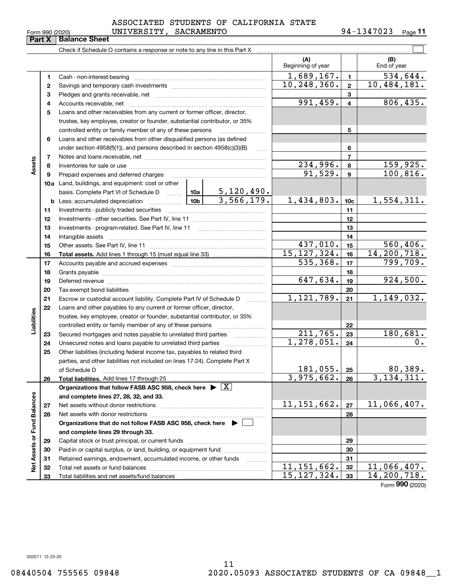#### $_{\rm Form}$   $_{990}$   $_{(2020)}$   $_{\rm UNIVERSITY}$  ,  $_{\rm SACKAMENTO}$   $_{\rm 94-1347023}$   $_{\rm Page}$ ASSOCIATED STUDENTS OF CALIFORNIA STATE

Check if Schedule O contains a response or note to any line in this Part X **Part X Balance Sheet**

|                             |              |                                                                                    |                 |                     | (A)<br>Beginning of year    |                          | (B)<br>End of year             |
|-----------------------------|--------------|------------------------------------------------------------------------------------|-----------------|---------------------|-----------------------------|--------------------------|--------------------------------|
|                             | 1.           | Cash - non-interest-bearing                                                        |                 |                     | 1,689,167.                  | $\blacksquare$           | 534,644.                       |
|                             | $\mathbf{2}$ |                                                                                    |                 |                     | $\overline{10}$ , 248, 360. | $\overline{2}$           | 10,484,181.                    |
|                             | 3            |                                                                                    |                 |                     |                             | 3                        |                                |
|                             | 4            |                                                                                    |                 |                     | 991,459.                    | $\overline{4}$           | 806, 435.                      |
|                             | 5            | Loans and other receivables from any current or former officer, director,          |                 |                     |                             |                          |                                |
|                             |              | trustee, key employee, creator or founder, substantial contributor, or 35%         |                 |                     |                             |                          |                                |
|                             |              | controlled entity or family member of any of these persons                         |                 |                     |                             | 5                        |                                |
|                             | 6            | Loans and other receivables from other disqualified persons (as defined            |                 |                     |                             |                          |                                |
|                             |              | under section 4958(f)(1)), and persons described in section 4958(c)(3)(B)          |                 | $\ldots$            |                             | 6                        |                                |
|                             | 7            |                                                                                    |                 |                     |                             | $\overline{\phantom{a}}$ |                                |
| Assets                      | 8            |                                                                                    |                 |                     | $\overline{234}$ , 996.     | 8                        | 159,925.                       |
|                             | 9            | Prepaid expenses and deferred charges                                              |                 |                     | 91,529.                     | 9                        | 100, 816.                      |
|                             |              | 10a Land, buildings, and equipment: cost or other                                  |                 |                     |                             |                          |                                |
|                             |              | basis. Complete Part VI of Schedule D $\frac{10a}{5,120,490.$                      |                 |                     |                             |                          |                                |
|                             |              | <b>b</b> Less: accumulated depreciation                                            | 10 <sub>b</sub> | 3,566,179.          | 1,434,803.                  | 10 <sub>c</sub>          | 1,554,311.                     |
|                             | 11           |                                                                                    |                 |                     |                             | 11                       |                                |
|                             | 12           |                                                                                    |                 |                     |                             | 12                       |                                |
|                             | 13           |                                                                                    |                 |                     |                             | 13                       |                                |
|                             | 14           |                                                                                    |                 |                     |                             | 14                       |                                |
|                             | 15           |                                                                                    |                 |                     | 437,010.                    | 15                       | 560, 406.                      |
|                             | 16           |                                                                                    |                 |                     | 15, 127, 324.               | 16                       | 14,200,718.                    |
|                             | 17           |                                                                                    |                 |                     | 535, 368.                   | 17                       | 799,709.                       |
|                             | 18           |                                                                                    |                 | 18                  |                             |                          |                                |
|                             | 19           |                                                                                    | 647,634.        | 19                  | 924,500.                    |                          |                                |
|                             | 20           |                                                                                    |                 |                     |                             | 20                       |                                |
|                             | 21           | Escrow or custodial account liability. Complete Part IV of Schedule D              |                 | 1.1.1.1.1.1.1.1.1.1 | 1,121,789.                  | 21                       | 1,149,032.                     |
|                             | 22           | Loans and other payables to any current or former officer, director,               |                 |                     |                             |                          |                                |
| Liabilities                 |              | trustee, key employee, creator or founder, substantial contributor, or 35%         |                 |                     |                             |                          |                                |
|                             |              | controlled entity or family member of any of these persons                         |                 |                     |                             | 22                       |                                |
|                             | 23           | Secured mortgages and notes payable to unrelated third parties                     |                 | .                   | 211,765.                    | 23                       | 180,681.                       |
|                             | 24           | Unsecured notes and loans payable to unrelated third parties                       |                 |                     | $\overline{1,278,051}$ .    | 24                       | 0.                             |
|                             | 25           | Other liabilities (including federal income tax, payables to related third         |                 |                     |                             |                          |                                |
|                             |              | parties, and other liabilities not included on lines 17-24). Complete Part X       |                 |                     | 181,055.                    |                          |                                |
|                             |              | of Schedule D                                                                      |                 |                     | 3,975,662.                  | 25<br>26                 | <u>80,389.</u><br>3, 134, 311. |
|                             | 26           | Organizations that follow FASB ASC 958, check here $\blacktriangleright \boxed{X}$ |                 |                     |                             |                          |                                |
|                             |              | and complete lines 27, 28, 32, and 33.                                             |                 |                     |                             |                          |                                |
|                             | 27           | Net assets without donor restrictions                                              |                 |                     | 11, 151, 662.               | 27                       | 11,066,407.                    |
|                             | 28           |                                                                                    |                 |                     |                             | 28                       |                                |
|                             |              | Organizations that do not follow FASB ASC 958, check here $\blacktriangleright$    |                 |                     |                             |                          |                                |
|                             |              | and complete lines 29 through 33.                                                  |                 |                     |                             |                          |                                |
|                             | 29           |                                                                                    |                 |                     |                             | 29                       |                                |
|                             | 30           | Paid-in or capital surplus, or land, building, or equipment fund                   |                 |                     |                             | 30                       |                                |
|                             | 31           | Retained earnings, endowment, accumulated income, or other funds                   |                 | .                   |                             | 31                       |                                |
| Net Assets or Fund Balances | 32           |                                                                                    |                 |                     | 11,151,662.                 | 32                       | $\overline{11}$ , 066, 407.    |
|                             | 33           |                                                                                    |                 |                     | 15, 127, 324.               | 33                       | 14,200,718.                    |

Form (2020) **990**

 $\mathcal{L}^{\text{max}}$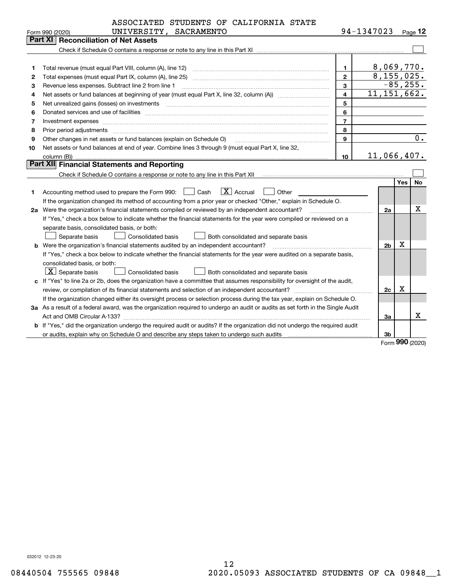|    | ASSOCIATED STUDENTS OF CALIFORNIA STATE                                                                                                                                                                                                                                                                                                                                                                                                                             |                         |                           |    |             |             |
|----|---------------------------------------------------------------------------------------------------------------------------------------------------------------------------------------------------------------------------------------------------------------------------------------------------------------------------------------------------------------------------------------------------------------------------------------------------------------------|-------------------------|---------------------------|----|-------------|-------------|
|    | UNIVERSITY, SACRAMENTO<br>Form 990 (2020)                                                                                                                                                                                                                                                                                                                                                                                                                           |                         | 94-1347023                |    |             | $Page$ 12   |
|    | <b>Reconciliation of Net Assets</b><br><b>Part XI</b>                                                                                                                                                                                                                                                                                                                                                                                                               |                         |                           |    |             |             |
|    |                                                                                                                                                                                                                                                                                                                                                                                                                                                                     |                         |                           |    |             |             |
|    |                                                                                                                                                                                                                                                                                                                                                                                                                                                                     |                         |                           |    |             |             |
| 1  |                                                                                                                                                                                                                                                                                                                                                                                                                                                                     | 1                       |                           |    | 8,069,770.  |             |
| 2  |                                                                                                                                                                                                                                                                                                                                                                                                                                                                     | $\mathbf{2}$            |                           |    | 8,155,025.  |             |
| з  | Revenue less expenses. Subtract line 2 from line 1                                                                                                                                                                                                                                                                                                                                                                                                                  | 3                       |                           |    |             | $-85, 255.$ |
| 4  |                                                                                                                                                                                                                                                                                                                                                                                                                                                                     | $\overline{\mathbf{4}}$ | $\overline{11,151,662}$ . |    |             |             |
| 5  | Net unrealized gains (losses) on investments [11] matter contracts and the state of the state of the state of the state of the state of the state of the state of the state of the state of the state of the state of the stat                                                                                                                                                                                                                                      | 5                       |                           |    |             |             |
| 6  |                                                                                                                                                                                                                                                                                                                                                                                                                                                                     | 6                       |                           |    |             |             |
| 7  | Investment expenses www.communication.com/www.communication.com/www.communication.com/www.com                                                                                                                                                                                                                                                                                                                                                                       | $\overline{7}$          |                           |    |             |             |
| 8  | Prior period adjustments                                                                                                                                                                                                                                                                                                                                                                                                                                            | 8                       |                           |    |             |             |
| 9  | Other changes in net assets or fund balances (explain on Schedule O)                                                                                                                                                                                                                                                                                                                                                                                                | $\mathbf{Q}$            |                           |    |             | 0.          |
| 10 | Net assets or fund balances at end of year. Combine lines 3 through 9 (must equal Part X, line 32,                                                                                                                                                                                                                                                                                                                                                                  |                         |                           |    |             |             |
|    | column (B))                                                                                                                                                                                                                                                                                                                                                                                                                                                         | 10                      | 11,066,407.               |    |             |             |
|    | Part XII Financial Statements and Reporting                                                                                                                                                                                                                                                                                                                                                                                                                         |                         |                           |    |             |             |
|    |                                                                                                                                                                                                                                                                                                                                                                                                                                                                     |                         |                           |    |             |             |
|    |                                                                                                                                                                                                                                                                                                                                                                                                                                                                     |                         |                           |    | <b>Yes</b>  | <b>No</b>   |
| 1  | $\boxed{\mathbf{X}}$ Accrual<br>Accounting method used to prepare the Form 990: <u>[16</u> ] Cash<br>Other                                                                                                                                                                                                                                                                                                                                                          |                         |                           |    |             |             |
|    | If the organization changed its method of accounting from a prior year or checked "Other," explain in Schedule O.                                                                                                                                                                                                                                                                                                                                                   |                         |                           |    |             |             |
|    | 2a Were the organization's financial statements compiled or reviewed by an independent accountant?<br>$\mathcal{L} = \{1, 2, \ldots, 2, \ldots, 2, \ldots, 2, \ldots, 2, \ldots, 2, \ldots, 2, \ldots, 2, \ldots, 2, \ldots, 2, \ldots, 2, \ldots, 2, \ldots, 2, \ldots, 2, \ldots, 2, \ldots, 2, \ldots, 2, \ldots, 2, \ldots, 2, \ldots, 2, \ldots, 2, \ldots, 2, \ldots, 2, \ldots, 2, \ldots, 2, \ldots, 2, \ldots, 2, \ldots, 2, \ldots, 2, \ldots, 2, \ldots$ |                         |                           | 2a |             | х           |
|    | If "Yes," check a box below to indicate whether the financial statements for the year were compiled or reviewed on a                                                                                                                                                                                                                                                                                                                                                |                         |                           |    |             |             |
|    | separate basis, consolidated basis, or both:                                                                                                                                                                                                                                                                                                                                                                                                                        |                         |                           |    |             |             |
|    | Separate basis<br><b>Consolidated basis</b><br>Both consolidated and separate basis                                                                                                                                                                                                                                                                                                                                                                                 |                         |                           |    | х           |             |
|    | b Were the organization's financial statements audited by an independent accountant?                                                                                                                                                                                                                                                                                                                                                                                |                         |                           |    |             |             |
|    | If "Yes," check a box below to indicate whether the financial statements for the year were audited on a separate basis,                                                                                                                                                                                                                                                                                                                                             |                         |                           |    |             |             |
|    | consolidated basis, or both:                                                                                                                                                                                                                                                                                                                                                                                                                                        |                         |                           |    |             |             |
|    | $\boxed{\textbf{X}}$ Separate basis<br><b>Consolidated basis</b><br>Both consolidated and separate basis                                                                                                                                                                                                                                                                                                                                                            |                         |                           |    |             |             |
|    | c If "Yes" to line 2a or 2b, does the organization have a committee that assumes responsibility for oversight of the audit,                                                                                                                                                                                                                                                                                                                                         |                         |                           |    |             |             |
|    |                                                                                                                                                                                                                                                                                                                                                                                                                                                                     |                         |                           | 2c | $\mathbf X$ |             |
|    | If the organization changed either its oversight process or selection process during the tax year, explain on Schedule O.                                                                                                                                                                                                                                                                                                                                           |                         |                           |    |             |             |
|    | 3a As a result of a federal award, was the organization required to undergo an audit or audits as set forth in the Single Audit                                                                                                                                                                                                                                                                                                                                     |                         |                           |    |             |             |
|    |                                                                                                                                                                                                                                                                                                                                                                                                                                                                     |                         |                           | За |             | x           |
|    | b If "Yes," did the organization undergo the required audit or audits? If the organization did not undergo the required audit                                                                                                                                                                                                                                                                                                                                       |                         |                           |    |             |             |
|    |                                                                                                                                                                                                                                                                                                                                                                                                                                                                     |                         |                           | 3b |             |             |

Form (2020) **990**

032012 12-23-20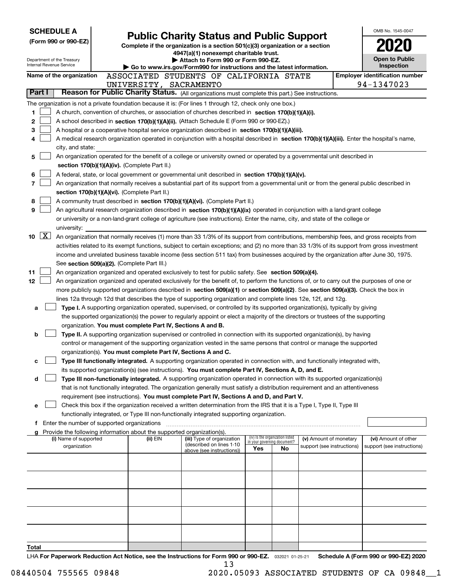| <b>SCHEDULE A</b>                     |                                             |                                                                        |                                                                                                                                                                                                                                                                                                                                                                                      |                                                                |    |                                                      | OMB No. 1545-0047                                  |
|---------------------------------------|---------------------------------------------|------------------------------------------------------------------------|--------------------------------------------------------------------------------------------------------------------------------------------------------------------------------------------------------------------------------------------------------------------------------------------------------------------------------------------------------------------------------------|----------------------------------------------------------------|----|------------------------------------------------------|----------------------------------------------------|
| (Form 990 or 990-EZ)                  |                                             |                                                                        | <b>Public Charity Status and Public Support</b>                                                                                                                                                                                                                                                                                                                                      |                                                                |    |                                                      |                                                    |
|                                       |                                             |                                                                        | Complete if the organization is a section 501(c)(3) organization or a section<br>4947(a)(1) nonexempt charitable trust.                                                                                                                                                                                                                                                              |                                                                |    |                                                      |                                                    |
| Department of the Treasury            |                                             |                                                                        | Attach to Form 990 or Form 990-EZ.                                                                                                                                                                                                                                                                                                                                                   |                                                                |    |                                                      | <b>Open to Public</b>                              |
| <b>Internal Revenue Service</b>       |                                             |                                                                        | Go to www.irs.gov/Form990 for instructions and the latest information.                                                                                                                                                                                                                                                                                                               |                                                                |    |                                                      | Inspection                                         |
| Name of the organization              |                                             |                                                                        | ASSOCIATED STUDENTS OF CALIFORNIA STATE                                                                                                                                                                                                                                                                                                                                              |                                                                |    |                                                      | <b>Employer identification number</b>              |
| Part I                                |                                             | UNIVERSITY, SACRAMENTO                                                 | Reason for Public Charity Status. (All organizations must complete this part.) See instructions.                                                                                                                                                                                                                                                                                     |                                                                |    |                                                      | 94-1347023                                         |
|                                       |                                             |                                                                        |                                                                                                                                                                                                                                                                                                                                                                                      |                                                                |    |                                                      |                                                    |
|                                       |                                             |                                                                        | The organization is not a private foundation because it is: (For lines 1 through 12, check only one box.)                                                                                                                                                                                                                                                                            |                                                                |    |                                                      |                                                    |
| 1<br>2                                |                                             |                                                                        | A church, convention of churches, or association of churches described in section 170(b)(1)(A)(i).                                                                                                                                                                                                                                                                                   |                                                                |    |                                                      |                                                    |
| 3                                     |                                             |                                                                        | A school described in section 170(b)(1)(A)(ii). (Attach Schedule E (Form 990 or 990-EZ).)<br>A hospital or a cooperative hospital service organization described in section $170(b)(1)(A)(iii)$ .                                                                                                                                                                                    |                                                                |    |                                                      |                                                    |
| 4                                     |                                             |                                                                        | A medical research organization operated in conjunction with a hospital described in section 170(b)(1)(A)(iii). Enter the hospital's name,                                                                                                                                                                                                                                           |                                                                |    |                                                      |                                                    |
| city, and state:                      |                                             |                                                                        |                                                                                                                                                                                                                                                                                                                                                                                      |                                                                |    |                                                      |                                                    |
| 5                                     |                                             |                                                                        | An organization operated for the benefit of a college or university owned or operated by a governmental unit described in                                                                                                                                                                                                                                                            |                                                                |    |                                                      |                                                    |
|                                       |                                             | section 170(b)(1)(A)(iv). (Complete Part II.)                          |                                                                                                                                                                                                                                                                                                                                                                                      |                                                                |    |                                                      |                                                    |
| 6                                     |                                             |                                                                        | A federal, state, or local government or governmental unit described in section 170(b)(1)(A)(v).                                                                                                                                                                                                                                                                                     |                                                                |    |                                                      |                                                    |
| 7                                     |                                             |                                                                        | An organization that normally receives a substantial part of its support from a governmental unit or from the general public described in                                                                                                                                                                                                                                            |                                                                |    |                                                      |                                                    |
|                                       |                                             | section 170(b)(1)(A)(vi). (Complete Part II.)                          |                                                                                                                                                                                                                                                                                                                                                                                      |                                                                |    |                                                      |                                                    |
| 8                                     |                                             |                                                                        | A community trust described in section 170(b)(1)(A)(vi). (Complete Part II.)                                                                                                                                                                                                                                                                                                         |                                                                |    |                                                      |                                                    |
| 9                                     |                                             |                                                                        | An agricultural research organization described in section 170(b)(1)(A)(ix) operated in conjunction with a land-grant college                                                                                                                                                                                                                                                        |                                                                |    |                                                      |                                                    |
|                                       |                                             |                                                                        | or university or a non-land-grant college of agriculture (see instructions). Enter the name, city, and state of the college or                                                                                                                                                                                                                                                       |                                                                |    |                                                      |                                                    |
| university:                           |                                             |                                                                        |                                                                                                                                                                                                                                                                                                                                                                                      |                                                                |    |                                                      |                                                    |
| $\mid$ X $\mid$<br>10                 |                                             |                                                                        | An organization that normally receives (1) more than 33 1/3% of its support from contributions, membership fees, and gross receipts from                                                                                                                                                                                                                                             |                                                                |    |                                                      |                                                    |
|                                       |                                             |                                                                        | activities related to its exempt functions, subject to certain exceptions; and (2) no more than 33 1/3% of its support from gross investment<br>income and unrelated business taxable income (less section 511 tax) from businesses acquired by the organization after June 30, 1975.                                                                                                |                                                                |    |                                                      |                                                    |
|                                       |                                             | See section 509(a)(2). (Complete Part III.)                            |                                                                                                                                                                                                                                                                                                                                                                                      |                                                                |    |                                                      |                                                    |
| 11                                    |                                             |                                                                        | An organization organized and operated exclusively to test for public safety. See section 509(a)(4).                                                                                                                                                                                                                                                                                 |                                                                |    |                                                      |                                                    |
| 12                                    |                                             |                                                                        | An organization organized and operated exclusively for the benefit of, to perform the functions of, or to carry out the purposes of one or                                                                                                                                                                                                                                           |                                                                |    |                                                      |                                                    |
|                                       |                                             |                                                                        | more publicly supported organizations described in section 509(a)(1) or section 509(a)(2). See section 509(a)(3). Check the box in                                                                                                                                                                                                                                                   |                                                                |    |                                                      |                                                    |
|                                       |                                             |                                                                        | lines 12a through 12d that describes the type of supporting organization and complete lines 12e, 12f, and 12g.                                                                                                                                                                                                                                                                       |                                                                |    |                                                      |                                                    |
| a                                     |                                             |                                                                        | Type I. A supporting organization operated, supervised, or controlled by its supported organization(s), typically by giving                                                                                                                                                                                                                                                          |                                                                |    |                                                      |                                                    |
|                                       |                                             |                                                                        | the supported organization(s) the power to regularly appoint or elect a majority of the directors or trustees of the supporting                                                                                                                                                                                                                                                      |                                                                |    |                                                      |                                                    |
|                                       |                                             | organization. You must complete Part IV, Sections A and B.             |                                                                                                                                                                                                                                                                                                                                                                                      |                                                                |    |                                                      |                                                    |
| b                                     |                                             |                                                                        | Type II. A supporting organization supervised or controlled in connection with its supported organization(s), by having                                                                                                                                                                                                                                                              |                                                                |    |                                                      |                                                    |
|                                       |                                             |                                                                        | control or management of the supporting organization vested in the same persons that control or manage the supported                                                                                                                                                                                                                                                                 |                                                                |    |                                                      |                                                    |
|                                       |                                             | organization(s). You must complete Part IV, Sections A and C.          |                                                                                                                                                                                                                                                                                                                                                                                      |                                                                |    |                                                      |                                                    |
| с                                     |                                             |                                                                        | Type III functionally integrated. A supporting organization operated in connection with, and functionally integrated with,<br>its supported organization(s) (see instructions). You must complete Part IV, Sections A, D, and E.                                                                                                                                                     |                                                                |    |                                                      |                                                    |
| d                                     |                                             |                                                                        | Type III non-functionally integrated. A supporting organization operated in connection with its supported organization(s)                                                                                                                                                                                                                                                            |                                                                |    |                                                      |                                                    |
|                                       |                                             |                                                                        | that is not functionally integrated. The organization generally must satisfy a distribution requirement and an attentiveness                                                                                                                                                                                                                                                         |                                                                |    |                                                      |                                                    |
|                                       |                                             |                                                                        | requirement (see instructions). You must complete Part IV, Sections A and D, and Part V.                                                                                                                                                                                                                                                                                             |                                                                |    |                                                      |                                                    |
| е                                     |                                             |                                                                        | Check this box if the organization received a written determination from the IRS that it is a Type I, Type II, Type III                                                                                                                                                                                                                                                              |                                                                |    |                                                      |                                                    |
|                                       |                                             |                                                                        | functionally integrated, or Type III non-functionally integrated supporting organization.                                                                                                                                                                                                                                                                                            |                                                                |    |                                                      |                                                    |
| f                                     | Enter the number of supported organizations |                                                                        |                                                                                                                                                                                                                                                                                                                                                                                      |                                                                |    |                                                      |                                                    |
|                                       |                                             | Provide the following information about the supported organization(s). |                                                                                                                                                                                                                                                                                                                                                                                      |                                                                |    |                                                      |                                                    |
| (i) Name of supported<br>organization |                                             | (ii) EIN                                                               | (iii) Type of organization<br>(described on lines 1-10                                                                                                                                                                                                                                                                                                                               | (iv) Is the organization listed<br>in your governing document? |    | (v) Amount of monetary<br>support (see instructions) | (vi) Amount of other<br>support (see instructions) |
|                                       |                                             |                                                                        | above (see instructions))                                                                                                                                                                                                                                                                                                                                                            | Yes                                                            | No |                                                      |                                                    |
|                                       |                                             |                                                                        |                                                                                                                                                                                                                                                                                                                                                                                      |                                                                |    |                                                      |                                                    |
|                                       |                                             |                                                                        |                                                                                                                                                                                                                                                                                                                                                                                      |                                                                |    |                                                      |                                                    |
|                                       |                                             |                                                                        |                                                                                                                                                                                                                                                                                                                                                                                      |                                                                |    |                                                      |                                                    |
|                                       |                                             |                                                                        |                                                                                                                                                                                                                                                                                                                                                                                      |                                                                |    |                                                      |                                                    |
|                                       |                                             |                                                                        |                                                                                                                                                                                                                                                                                                                                                                                      |                                                                |    |                                                      |                                                    |
|                                       |                                             |                                                                        |                                                                                                                                                                                                                                                                                                                                                                                      |                                                                |    |                                                      |                                                    |
|                                       |                                             |                                                                        |                                                                                                                                                                                                                                                                                                                                                                                      |                                                                |    |                                                      |                                                    |
|                                       |                                             |                                                                        |                                                                                                                                                                                                                                                                                                                                                                                      |                                                                |    |                                                      |                                                    |
|                                       |                                             |                                                                        |                                                                                                                                                                                                                                                                                                                                                                                      |                                                                |    |                                                      |                                                    |
| Total                                 |                                             |                                                                        |                                                                                                                                                                                                                                                                                                                                                                                      |                                                                |    |                                                      |                                                    |
|                                       |                                             |                                                                        | $\overline{1}$ $\overline{1}$ $\overline{1}$ $\overline{2}$ $\overline{2}$ $\overline{2}$ $\overline{2}$ $\overline{2}$ $\overline{2}$ $\overline{2}$ $\overline{2}$ $\overline{2}$ $\overline{2}$ $\overline{2}$ $\overline{2}$ $\overline{2}$ $\overline{2}$ $\overline{2}$ $\overline{2}$ $\overline{2}$ $\overline{2}$ $\overline{2}$ $\overline{2}$ $\overline{2}$ $\overline{$ |                                                                |    |                                                      | Schodule A (Form 000 or 000 F7) 2020               |

LHA For Paperwork Reduction Act Notice, see the Instructions for Form 990 or 990-EZ. <sub>032021</sub> o1-25-21 Schedule A (Form 990 or 990-EZ) 2020 13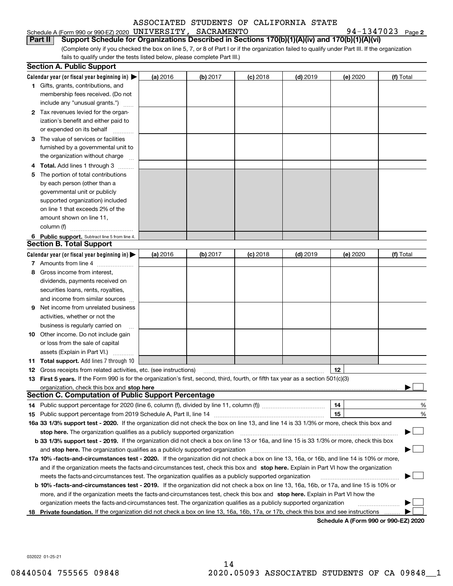### Schedule A (Form 990 or 990-EZ) 2020 Page UNIVERSITY, SACRAMENTO 94-1347023

94-1347023 Page 2

(Complete only if you checked the box on line 5, 7, or 8 of Part I or if the organization failed to qualify under Part III. If the organization fails to qualify under the tests listed below, please complete Part III.) **Part II Support Schedule for Organizations Described in Sections 170(b)(1)(A)(iv) and 170(b)(1)(A)(vi)**

|    | <b>Section A. Public Support</b>                                                                                                               |          |          |            |            |          |           |
|----|------------------------------------------------------------------------------------------------------------------------------------------------|----------|----------|------------|------------|----------|-----------|
|    | Calendar year (or fiscal year beginning in) $\blacktriangleright$                                                                              | (a) 2016 | (b) 2017 | $(c)$ 2018 | $(d)$ 2019 | (e) 2020 | (f) Total |
|    | <b>1</b> Gifts, grants, contributions, and                                                                                                     |          |          |            |            |          |           |
|    | membership fees received. (Do not                                                                                                              |          |          |            |            |          |           |
|    | include any "unusual grants.")                                                                                                                 |          |          |            |            |          |           |
|    | 2 Tax revenues levied for the organ-                                                                                                           |          |          |            |            |          |           |
|    | ization's benefit and either paid to                                                                                                           |          |          |            |            |          |           |
|    | or expended on its behalf                                                                                                                      |          |          |            |            |          |           |
|    | 3 The value of services or facilities                                                                                                          |          |          |            |            |          |           |
|    | furnished by a governmental unit to                                                                                                            |          |          |            |            |          |           |
|    | the organization without charge                                                                                                                |          |          |            |            |          |           |
|    | Total. Add lines 1 through 3                                                                                                                   |          |          |            |            |          |           |
| 5  | The portion of total contributions                                                                                                             |          |          |            |            |          |           |
|    | by each person (other than a                                                                                                                   |          |          |            |            |          |           |
|    | governmental unit or publicly                                                                                                                  |          |          |            |            |          |           |
|    | supported organization) included                                                                                                               |          |          |            |            |          |           |
|    | on line 1 that exceeds 2% of the                                                                                                               |          |          |            |            |          |           |
|    | amount shown on line 11,                                                                                                                       |          |          |            |            |          |           |
|    | column (f)                                                                                                                                     |          |          |            |            |          |           |
|    | 6 Public support. Subtract line 5 from line 4.                                                                                                 |          |          |            |            |          |           |
|    | <b>Section B. Total Support</b>                                                                                                                |          |          |            |            |          |           |
|    | Calendar year (or fiscal year beginning in) $\blacktriangleright$                                                                              | (a) 2016 | (b) 2017 | $(c)$ 2018 | $(d)$ 2019 | (e) 2020 | (f) Total |
|    | 7 Amounts from line 4                                                                                                                          |          |          |            |            |          |           |
| 8  | Gross income from interest,                                                                                                                    |          |          |            |            |          |           |
|    | dividends, payments received on                                                                                                                |          |          |            |            |          |           |
|    | securities loans, rents, royalties,                                                                                                            |          |          |            |            |          |           |
|    | and income from similar sources                                                                                                                |          |          |            |            |          |           |
| 9  | Net income from unrelated business                                                                                                             |          |          |            |            |          |           |
|    | activities, whether or not the                                                                                                                 |          |          |            |            |          |           |
|    | business is regularly carried on                                                                                                               |          |          |            |            |          |           |
| 10 | Other income. Do not include gain                                                                                                              |          |          |            |            |          |           |
|    | or loss from the sale of capital                                                                                                               |          |          |            |            |          |           |
|    | assets (Explain in Part VI.)                                                                                                                   |          |          |            |            |          |           |
|    | <b>11 Total support.</b> Add lines 7 through 10                                                                                                |          |          |            |            |          |           |
|    | <b>12</b> Gross receipts from related activities, etc. (see instructions)                                                                      |          |          |            |            | 12       |           |
|    | 13 First 5 years. If the Form 990 is for the organization's first, second, third, fourth, or fifth tax year as a section 501(c)(3)             |          |          |            |            |          |           |
|    | organization, check this box and stop here                                                                                                     |          |          |            |            |          |           |
|    | <b>Section C. Computation of Public Support Percentage</b>                                                                                     |          |          |            |            |          |           |
|    | 14 Public support percentage for 2020 (line 6, column (f), divided by line 11, column (f) <i>marroummaname</i>                                 |          |          |            |            | 14       | %         |
|    | 15 Public support percentage from 2019 Schedule A, Part II, line 14                                                                            |          |          |            |            | 15       | %         |
|    | 16a 33 1/3% support test - 2020. If the organization did not check the box on line 13, and line 14 is 33 1/3% or more, check this box and      |          |          |            |            |          |           |
|    | stop here. The organization qualifies as a publicly supported organization                                                                     |          |          |            |            |          |           |
|    | b 33 1/3% support test - 2019. If the organization did not check a box on line 13 or 16a, and line 15 is 33 1/3% or more, check this box       |          |          |            |            |          |           |
|    | and stop here. The organization qualifies as a publicly supported organization                                                                 |          |          |            |            |          |           |
|    | 17a 10% -facts-and-circumstances test - 2020. If the organization did not check a box on line 13, 16a, or 16b, and line 14 is 10% or more,     |          |          |            |            |          |           |
|    | and if the organization meets the facts-and-circumstances test, check this box and stop here. Explain in Part VI how the organization          |          |          |            |            |          |           |
|    | meets the facts-and-circumstances test. The organization qualifies as a publicly supported organization                                        |          |          |            |            |          |           |
|    | <b>b 10% -facts-and-circumstances test - 2019.</b> If the organization did not check a box on line 13, 16a, 16b, or 17a, and line 15 is 10% or |          |          |            |            |          |           |
|    | more, and if the organization meets the facts-and-circumstances test, check this box and stop here. Explain in Part VI how the                 |          |          |            |            |          |           |
|    | organization meets the facts-and-circumstances test. The organization qualifies as a publicly supported organization                           |          |          |            |            |          |           |
| 18 | Private foundation. If the organization did not check a box on line 13, 16a, 16b, 17a, or 17b, check this box and see instructions             |          |          |            |            |          |           |
|    |                                                                                                                                                |          |          |            |            |          |           |

**Schedule A (Form 990 or 990-EZ) 2020**

032022 01-25-21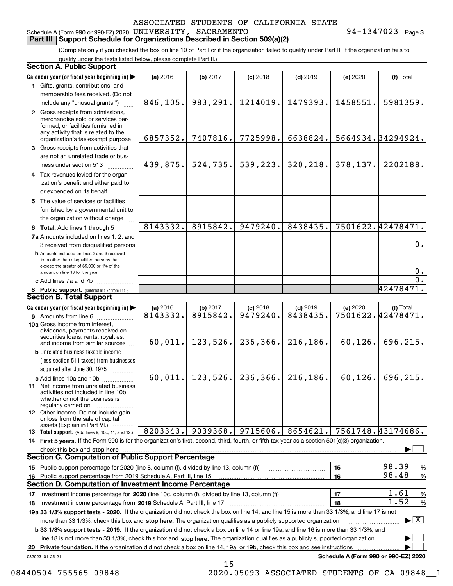**3**

#### Schedule A (Form 990 or 990-EZ) 2020 UNIVERSITY SACRAMENTO

**Part III Support Schedule for Organizations Described in Section 509(a)(2)** 

(Complete only if you checked the box on line 10 of Part I or if the organization failed to qualify under Part II. If the organization fails to qualify under the tests listed below, please complete Part II.)

| <b>Section A. Public Support</b>                                                                                                                                                                                        |          |          |            |            |          |                                         |
|-------------------------------------------------------------------------------------------------------------------------------------------------------------------------------------------------------------------------|----------|----------|------------|------------|----------|-----------------------------------------|
| Calendar year (or fiscal year beginning in)                                                                                                                                                                             | (a) 2016 | (b) 2017 | $(c)$ 2018 | $(d)$ 2019 | (e) 2020 | (f) Total                               |
| 1 Gifts, grants, contributions, and                                                                                                                                                                                     |          |          |            |            |          |                                         |
| membership fees received. (Do not                                                                                                                                                                                       |          |          |            |            |          |                                         |
| include any "unusual grants.")                                                                                                                                                                                          | 846,105. | 983,291. | 1214019.   | 1479393.   | 1458551. | 5981359.                                |
| 2 Gross receipts from admissions,<br>merchandise sold or services per-<br>formed, or facilities furnished in<br>any activity that is related to the<br>organization's tax-exempt purpose                                | 6857352. | 7407816. | 7725998.   | 6638824.   |          | 5664934.34294924.                       |
| 3 Gross receipts from activities that                                                                                                                                                                                   |          |          |            |            |          |                                         |
| are not an unrelated trade or bus-                                                                                                                                                                                      |          |          |            |            |          |                                         |
| iness under section 513                                                                                                                                                                                                 | 439,875. | 524,735. | 539, 223.  | 320, 218.  | 378,137. | 2202188.                                |
| 4 Tax revenues levied for the organ-                                                                                                                                                                                    |          |          |            |            |          |                                         |
| ization's benefit and either paid to<br>or expended on its behalf                                                                                                                                                       |          |          |            |            |          |                                         |
| 5 The value of services or facilities                                                                                                                                                                                   |          |          |            |            |          |                                         |
| furnished by a governmental unit to                                                                                                                                                                                     |          |          |            |            |          |                                         |
| the organization without charge                                                                                                                                                                                         | 8143332. | 8915842. | 9479240.   | 8438435.   |          | 7501622.42478471.                       |
| 6 Total. Add lines 1 through 5<br>7a Amounts included on lines 1, 2, and                                                                                                                                                |          |          |            |            |          |                                         |
| 3 received from disqualified persons                                                                                                                                                                                    |          |          |            |            |          | $0$ .                                   |
| <b>b</b> Amounts included on lines 2 and 3 received<br>from other than disqualified persons that<br>exceed the greater of \$5,000 or 1% of the                                                                          |          |          |            |            |          |                                         |
| amount on line 13 for the year                                                                                                                                                                                          |          |          |            |            |          | 0.                                      |
| c Add lines 7a and 7b                                                                                                                                                                                                   |          |          |            |            |          | $\overline{0}$ .                        |
| 8 Public support. (Subtract line 7c from line 6.)                                                                                                                                                                       |          |          |            |            |          | 42478471.                               |
| <b>Section B. Total Support</b>                                                                                                                                                                                         |          |          |            |            |          |                                         |
| Calendar year (or fiscal year beginning in)                                                                                                                                                                             | (a) 2016 | (b) 2017 | $(c)$ 2018 | $(d)$ 2019 | (e) 2020 | (f) Total                               |
| <b>9</b> Amounts from line 6                                                                                                                                                                                            | 8143332. | 8915842. | 9479240.   | 8438435.   |          | 7501622.42478471.                       |
| 10a Gross income from interest,<br>dividends, payments received on<br>securities loans, rents, royalties,<br>and income from similar sources                                                                            | 60,011.  | 123,526. | 236,366.   | 216, 186.  | 60, 126. | 696,215.                                |
| <b>b</b> Unrelated business taxable income                                                                                                                                                                              |          |          |            |            |          |                                         |
| (less section 511 taxes) from businesses                                                                                                                                                                                |          |          |            |            |          |                                         |
| acquired after June 30, 1975                                                                                                                                                                                            |          |          |            |            |          |                                         |
| c Add lines 10a and 10b<br>11 Net income from unrelated business<br>activities not included in line 10b,<br>whether or not the business is<br>regularly carried on                                                      | 60,011.  | 123,526. | 236, 366.  | 216, 186.  | 60, 126. | 696, 215.                               |
| <b>12</b> Other income. Do not include gain<br>or loss from the sale of capital<br>assets (Explain in Part VI.)                                                                                                         |          |          |            |            |          |                                         |
| <b>13</b> Total support. (Add lines 9, 10c, 11, and 12.)                                                                                                                                                                | 8203343. | 9039368. | 9715606.   | 8654621.   |          | 7561748.43174686.                       |
| 14 First 5 years. If the Form 990 is for the organization's first, second, third, fourth, or fifth tax year as a section 501(c)(3) organization,                                                                        |          |          |            |            |          |                                         |
|                                                                                                                                                                                                                         |          |          |            |            |          |                                         |
| <b>Section C. Computation of Public Support Percentage</b>                                                                                                                                                              |          |          |            |            |          |                                         |
| 15 Public support percentage for 2020 (line 8, column (f), divided by line 13, column (f))                                                                                                                              |          |          |            |            | 15       | 98.39<br>$\frac{9}{6}$                  |
| 16 Public support percentage from 2019 Schedule A, Part III, line 15<br><b>Section D. Computation of Investment Income Percentage</b>                                                                                   |          |          |            |            | 16       | 98.48<br>$\%$                           |
|                                                                                                                                                                                                                         |          |          |            |            | 17       | 1.61                                    |
| 17 Investment income percentage for 2020 (line 10c, column (f), divided by line 13, column (f))                                                                                                                         |          |          |            |            | 18       | %<br>1.52                               |
| 18 Investment income percentage from 2019 Schedule A, Part III, line 17<br>19a 33 1/3% support tests - 2020. If the organization did not check the box on line 14, and line 15 is more than 33 1/3%, and line 17 is not |          |          |            |            |          | %                                       |
| more than 33 1/3%, check this box and stop here. The organization qualifies as a publicly supported organization                                                                                                        |          |          |            |            |          | $\blacktriangleright$ $\vert$ X $\vert$ |
| <b>b 33 1/3% support tests - 2019.</b> If the organization did not check a box on line 14 or line 19a, and line 16 is more than 33 1/3%, and                                                                            |          |          |            |            |          |                                         |
| line 18 is not more than 33 1/3%, check this box and stop here. The organization qualifies as a publicly supported organization                                                                                         |          |          |            |            |          |                                         |
| 20 Private foundation. If the organization did not check a box on line 14, 19a, or 19b, check this box and see instructions                                                                                             |          |          |            |            |          |                                         |
| 032023 01-25-21                                                                                                                                                                                                         |          |          |            |            |          | Schedule A (Form 990 or 990-EZ) 2020    |

15

08440504 755565 09848 2020.05093 ASSOCIATED STUDENTS OF CA 09848\_1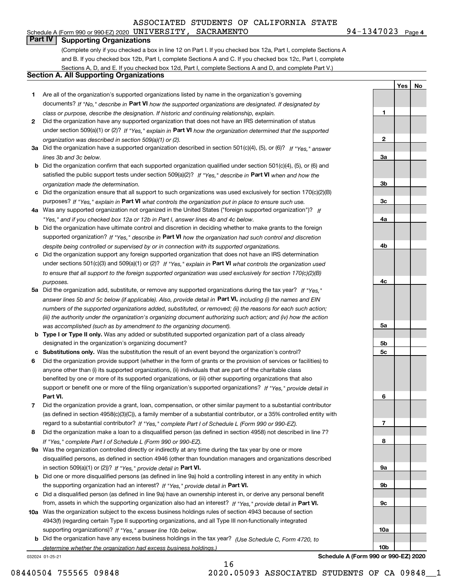**Part IV Supporting Organizations**

(Complete only if you checked a box in line 12 on Part I. If you checked box 12a, Part I, complete Sections A and B. If you checked box 12b, Part I, complete Sections A and C. If you checked box 12c, Part I, complete Sections A, D, and E. If you checked box 12d, Part I, complete Sections A and D, and complete Part V.)

#### **Section A. All Supporting Organizations**

- **1** Are all of the organization's supported organizations listed by name in the organization's governing documents? If "No," describe in **Part VI** how the supported organizations are designated. If designated by *class or purpose, describe the designation. If historic and continuing relationship, explain.*
- **2** Did the organization have any supported organization that does not have an IRS determination of status under section 509(a)(1) or (2)? If "Yes," explain in Part VI how the organization determined that the supported *organization was described in section 509(a)(1) or (2).*
- **3a** Did the organization have a supported organization described in section 501(c)(4), (5), or (6)? If "Yes," answer *lines 3b and 3c below.*
- **b** Did the organization confirm that each supported organization qualified under section 501(c)(4), (5), or (6) and satisfied the public support tests under section 509(a)(2)? If "Yes," describe in **Part VI** when and how the *organization made the determination.*
- **c**Did the organization ensure that all support to such organizations was used exclusively for section 170(c)(2)(B) purposes? If "Yes," explain in **Part VI** what controls the organization put in place to ensure such use.
- **4a***If* Was any supported organization not organized in the United States ("foreign supported organization")? *"Yes," and if you checked box 12a or 12b in Part I, answer lines 4b and 4c below.*
- **b** Did the organization have ultimate control and discretion in deciding whether to make grants to the foreign supported organization? If "Yes," describe in **Part VI** how the organization had such control and discretion *despite being controlled or supervised by or in connection with its supported organizations.*
- **c** Did the organization support any foreign supported organization that does not have an IRS determination under sections 501(c)(3) and 509(a)(1) or (2)? If "Yes," explain in **Part VI** what controls the organization used *to ensure that all support to the foreign supported organization was used exclusively for section 170(c)(2)(B) purposes.*
- **5a** Did the organization add, substitute, or remove any supported organizations during the tax year? If "Yes," answer lines 5b and 5c below (if applicable). Also, provide detail in **Part VI,** including (i) the names and EIN *numbers of the supported organizations added, substituted, or removed; (ii) the reasons for each such action; (iii) the authority under the organization's organizing document authorizing such action; and (iv) how the action was accomplished (such as by amendment to the organizing document).*
- **b** Type I or Type II only. Was any added or substituted supported organization part of a class already designated in the organization's organizing document?
- **cSubstitutions only.**  Was the substitution the result of an event beyond the organization's control?
- **6** Did the organization provide support (whether in the form of grants or the provision of services or facilities) to **Part VI.** *If "Yes," provide detail in* support or benefit one or more of the filing organization's supported organizations? anyone other than (i) its supported organizations, (ii) individuals that are part of the charitable class benefited by one or more of its supported organizations, or (iii) other supporting organizations that also
- **7**Did the organization provide a grant, loan, compensation, or other similar payment to a substantial contributor *If "Yes," complete Part I of Schedule L (Form 990 or 990-EZ).* regard to a substantial contributor? (as defined in section 4958(c)(3)(C)), a family member of a substantial contributor, or a 35% controlled entity with
- **8** Did the organization make a loan to a disqualified person (as defined in section 4958) not described in line 7? *If "Yes," complete Part I of Schedule L (Form 990 or 990-EZ).*
- **9a** Was the organization controlled directly or indirectly at any time during the tax year by one or more in section 509(a)(1) or (2))? If "Yes," *provide detail in* <code>Part VI.</code> disqualified persons, as defined in section 4946 (other than foundation managers and organizations described
- **b** Did one or more disqualified persons (as defined in line 9a) hold a controlling interest in any entity in which the supporting organization had an interest? If "Yes," provide detail in P**art VI**.
- **c**Did a disqualified person (as defined in line 9a) have an ownership interest in, or derive any personal benefit from, assets in which the supporting organization also had an interest? If "Yes," provide detail in P**art VI.**
- **10a** Was the organization subject to the excess business holdings rules of section 4943 because of section supporting organizations)? If "Yes," answer line 10b below. 4943(f) (regarding certain Type II supporting organizations, and all Type III non-functionally integrated
- **b** Did the organization have any excess business holdings in the tax year? (Use Schedule C, Form 4720, to *determine whether the organization had excess business holdings.)*

16

032024 01-25-21

**23a3b3c4a4b4c5a 5b5c6789a 9b9c10a**

**Schedule A (Form 990 or 990-EZ) 2020**

**10b**

08440504 755565 09848 2020.05093 ASSOCIATED STUDENTS OF CA 09848\_1

**1**

**YesNo**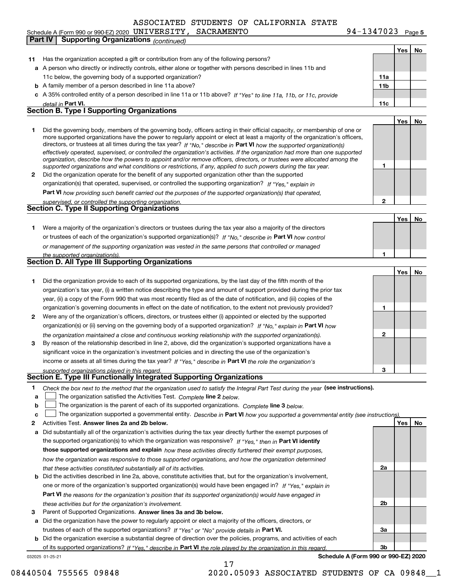Schedule A (Form 990 or 990-EZ) 2020 Page UNIVERSITY, SACRAMENTO 94-1347023 **Part IV Supporting Organizations** *(continued)* 

**5**

 $\top$ 

 $\overline{\mathbf{r}}$ 

|        |                                                                                                                                                                                                                                                                                                                                                                                       |              | Yes | No |
|--------|---------------------------------------------------------------------------------------------------------------------------------------------------------------------------------------------------------------------------------------------------------------------------------------------------------------------------------------------------------------------------------------|--------------|-----|----|
| 11     | Has the organization accepted a gift or contribution from any of the following persons?                                                                                                                                                                                                                                                                                               |              |     |    |
|        | a A person who directly or indirectly controls, either alone or together with persons described in lines 11b and                                                                                                                                                                                                                                                                      |              |     |    |
|        | 11c below, the governing body of a supported organization?                                                                                                                                                                                                                                                                                                                            | 11a          |     |    |
|        | <b>b</b> A family member of a person described in line 11a above?                                                                                                                                                                                                                                                                                                                     | 11b          |     |    |
|        | c A 35% controlled entity of a person described in line 11a or 11b above? If "Yes" to line 11a, 11b, or 11c, provide                                                                                                                                                                                                                                                                  |              |     |    |
|        | detail in Part VI.                                                                                                                                                                                                                                                                                                                                                                    | 11c          |     |    |
|        | <b>Section B. Type I Supporting Organizations</b>                                                                                                                                                                                                                                                                                                                                     |              |     |    |
|        |                                                                                                                                                                                                                                                                                                                                                                                       |              | Yes | No |
| 1      | Did the governing body, members of the governing body, officers acting in their official capacity, or membership of one or<br>more supported organizations have the power to regularly appoint or elect at least a majority of the organization's officers,                                                                                                                           |              |     |    |
|        | directors, or trustees at all times during the tax year? If "No," describe in Part VI how the supported organization(s)<br>effectively operated, supervised, or controlled the organization's activities. If the organization had more than one supported<br>organization, describe how the powers to appoint and/or remove officers, directors, or trustees were allocated among the |              |     |    |
| 2      | supported organizations and what conditions or restrictions, if any, applied to such powers during the tax year.<br>Did the organization operate for the benefit of any supported organization other than the supported                                                                                                                                                               | 1            |     |    |
|        | organization(s) that operated, supervised, or controlled the supporting organization? If "Yes," explain in                                                                                                                                                                                                                                                                            |              |     |    |
|        | Part VI how providing such benefit carried out the purposes of the supported organization(s) that operated,                                                                                                                                                                                                                                                                           |              |     |    |
|        | supervised, or controlled the supporting organization.                                                                                                                                                                                                                                                                                                                                | $\mathbf{2}$ |     |    |
|        | Section C. Type II Supporting Organizations                                                                                                                                                                                                                                                                                                                                           |              |     |    |
|        |                                                                                                                                                                                                                                                                                                                                                                                       |              | Yes | No |
| 1.     | Were a majority of the organization's directors or trustees during the tax year also a majority of the directors                                                                                                                                                                                                                                                                      |              |     |    |
|        | or trustees of each of the organization's supported organization(s)? If "No," describe in Part VI how control                                                                                                                                                                                                                                                                         |              |     |    |
|        | or management of the supporting organization was vested in the same persons that controlled or managed                                                                                                                                                                                                                                                                                |              |     |    |
|        | the supported organization(s).                                                                                                                                                                                                                                                                                                                                                        | 1            |     |    |
|        | Section D. All Type III Supporting Organizations                                                                                                                                                                                                                                                                                                                                      |              |     |    |
|        |                                                                                                                                                                                                                                                                                                                                                                                       |              | Yes | No |
| 1      | Did the organization provide to each of its supported organizations, by the last day of the fifth month of the                                                                                                                                                                                                                                                                        |              |     |    |
|        | organization's tax year, (i) a written notice describing the type and amount of support provided during the prior tax                                                                                                                                                                                                                                                                 |              |     |    |
|        |                                                                                                                                                                                                                                                                                                                                                                                       |              |     |    |
|        | year, (ii) a copy of the Form 990 that was most recently filed as of the date of notification, and (iii) copies of the                                                                                                                                                                                                                                                                |              |     |    |
|        | organization's governing documents in effect on the date of notification, to the extent not previously provided?                                                                                                                                                                                                                                                                      | 1            |     |    |
| 2      | Were any of the organization's officers, directors, or trustees either (i) appointed or elected by the supported                                                                                                                                                                                                                                                                      |              |     |    |
|        | organization(s) or (ii) serving on the governing body of a supported organization? If "No," explain in Part VI how                                                                                                                                                                                                                                                                    |              |     |    |
| З.     | the organization maintained a close and continuous working relationship with the supported organization(s).<br>By reason of the relationship described in line 2, above, did the organization's supported organizations have a                                                                                                                                                        | $\mathbf{2}$ |     |    |
|        | significant voice in the organization's investment policies and in directing the use of the organization's                                                                                                                                                                                                                                                                            |              |     |    |
|        | income or assets at all times during the tax year? If "Yes," describe in Part VI the role the organization's                                                                                                                                                                                                                                                                          |              |     |    |
|        | supported organizations played in this regard.                                                                                                                                                                                                                                                                                                                                        | 3            |     |    |
|        | Section E. Type III Functionally Integrated Supporting Organizations                                                                                                                                                                                                                                                                                                                  |              |     |    |
| 1      | Check the box next to the method that the organization used to satisfy the Integral Part Test during the year (see instructions).                                                                                                                                                                                                                                                     |              |     |    |
| a      | The organization satisfied the Activities Test. Complete line 2 below.                                                                                                                                                                                                                                                                                                                |              |     |    |
| b      | The organization is the parent of each of its supported organizations. Complete line 3 below.                                                                                                                                                                                                                                                                                         |              |     |    |
|        |                                                                                                                                                                                                                                                                                                                                                                                       |              |     |    |
| c<br>2 | The organization supported a governmental entity. Describe in Part VI how you supported a governmental entity (see instructions)<br>Activities Test. Answer lines 2a and 2b below.                                                                                                                                                                                                    |              | Yes | No |
|        | Did substantially all of the organization's activities during the tax year directly further the exempt purposes of                                                                                                                                                                                                                                                                    |              |     |    |
| а      |                                                                                                                                                                                                                                                                                                                                                                                       |              |     |    |
|        | the supported organization(s) to which the organization was responsive? If "Yes," then in Part VI identify                                                                                                                                                                                                                                                                            |              |     |    |
|        | those supported organizations and explain how these activities directly furthered their exempt purposes,                                                                                                                                                                                                                                                                              |              |     |    |
|        | how the organization was responsive to those supported organizations, and how the organization determined                                                                                                                                                                                                                                                                             |              |     |    |
|        | that these activities constituted substantially all of its activities.                                                                                                                                                                                                                                                                                                                | 2a           |     |    |
| b      | Did the activities described in line 2a, above, constitute activities that, but for the organization's involvement,                                                                                                                                                                                                                                                                   |              |     |    |
|        | one or more of the organization's supported organization(s) would have been engaged in? If "Yes," explain in                                                                                                                                                                                                                                                                          |              |     |    |
|        | Part VI the reasons for the organization's position that its supported organization(s) would have engaged in                                                                                                                                                                                                                                                                          |              |     |    |
|        | these activities but for the organization's involvement.                                                                                                                                                                                                                                                                                                                              | 2b           |     |    |
| 3      | Parent of Supported Organizations. Answer lines 3a and 3b below.                                                                                                                                                                                                                                                                                                                      |              |     |    |
| а      | Did the organization have the power to regularly appoint or elect a majority of the officers, directors, or                                                                                                                                                                                                                                                                           |              |     |    |
|        | trustees of each of the supported organizations? If "Yes" or "No" provide details in Part VI.                                                                                                                                                                                                                                                                                         | За           |     |    |
|        | <b>b</b> Did the organization exercise a substantial degree of direction over the policies, programs, and activities of each                                                                                                                                                                                                                                                          |              |     |    |
|        | of its supported organizations? If "Yes." describe in Part VI the role played by the organization in this regard.                                                                                                                                                                                                                                                                     | 3b           |     |    |
|        | Schedule A (Form 990 or 990-EZ) 2020<br>032025 01-25-21                                                                                                                                                                                                                                                                                                                               |              |     |    |

17

08440504 755565 09848 2020.05093 ASSOCIATED STUDENTS OF CA 09848\_1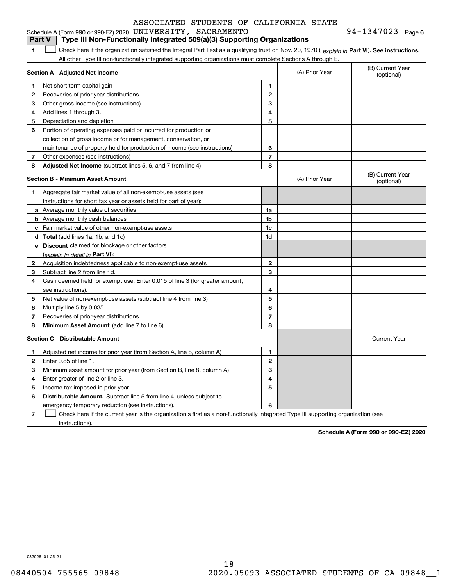|              | Schedule A (Form 990 or 990-EZ) 2020 UNIVERSITY, SACRAMENTO                                                                                    |                |                                | $94 - 1347023$ Page 6          |
|--------------|------------------------------------------------------------------------------------------------------------------------------------------------|----------------|--------------------------------|--------------------------------|
|              | Type III Non-Functionally Integrated 509(a)(3) Supporting Organizations<br><b>Part V</b>                                                       |                |                                |                                |
| 1            | Check here if the organization satisfied the Integral Part Test as a qualifying trust on Nov. 20, 1970 (explain in Part VI). See instructions. |                |                                |                                |
|              | All other Type III non-functionally integrated supporting organizations must complete Sections A through E.                                    |                |                                |                                |
|              | Section A - Adjusted Net Income                                                                                                                | (A) Prior Year | (B) Current Year<br>(optional) |                                |
| 1            | Net short-term capital gain                                                                                                                    | 1.             |                                |                                |
| 2            | Recoveries of prior-year distributions                                                                                                         | $\mathbf{2}$   |                                |                                |
| 3            | Other gross income (see instructions)                                                                                                          | 3              |                                |                                |
| 4            | Add lines 1 through 3.                                                                                                                         | 4              |                                |                                |
| 5            | Depreciation and depletion                                                                                                                     | 5              |                                |                                |
| 6            | Portion of operating expenses paid or incurred for production or                                                                               |                |                                |                                |
|              | collection of gross income or for management, conservation, or                                                                                 |                |                                |                                |
|              | maintenance of property held for production of income (see instructions)                                                                       | 6              |                                |                                |
| 7            | Other expenses (see instructions)                                                                                                              | $\overline{7}$ |                                |                                |
| 8            | <b>Adjusted Net Income</b> (subtract lines 5, 6, and 7 from line 4)                                                                            | 8              |                                |                                |
|              | <b>Section B - Minimum Asset Amount</b>                                                                                                        |                | (A) Prior Year                 | (B) Current Year<br>(optional) |
| 1.           | Aggregate fair market value of all non-exempt-use assets (see                                                                                  |                |                                |                                |
|              | instructions for short tax year or assets held for part of year):                                                                              |                |                                |                                |
|              | <b>a</b> Average monthly value of securities                                                                                                   | 1a             |                                |                                |
|              | <b>b</b> Average monthly cash balances                                                                                                         | 1 <sub>b</sub> |                                |                                |
|              | c Fair market value of other non-exempt-use assets                                                                                             | 1c             |                                |                                |
|              | d Total (add lines 1a, 1b, and 1c)                                                                                                             | 1d             |                                |                                |
|              | e Discount claimed for blockage or other factors                                                                                               |                |                                |                                |
|              | (explain in detail in Part VI):                                                                                                                |                |                                |                                |
| 2            | Acquisition indebtedness applicable to non-exempt-use assets                                                                                   | $\mathbf{2}$   |                                |                                |
| 3            | Subtract line 2 from line 1d.                                                                                                                  | 3              |                                |                                |
| 4            | Cash deemed held for exempt use. Enter 0.015 of line 3 (for greater amount,                                                                    |                |                                |                                |
|              | see instructions).                                                                                                                             | 4              |                                |                                |
| 5            | Net value of non-exempt-use assets (subtract line 4 from line 3)                                                                               | 5              |                                |                                |
| 6            | Multiply line 5 by 0.035.                                                                                                                      | 6              |                                |                                |
| 7            | Recoveries of prior-year distributions                                                                                                         | $\overline{7}$ |                                |                                |
| 8            | Minimum Asset Amount (add line 7 to line 6)                                                                                                    | 8              |                                |                                |
|              | <b>Section C - Distributable Amount</b>                                                                                                        |                |                                | <b>Current Year</b>            |
| 1            | Adjusted net income for prior year (from Section A, line 8, column A)                                                                          | 1              |                                |                                |
| $\mathbf{2}$ | Enter 0.85 of line 1.                                                                                                                          | 2              |                                |                                |
| 3            | Minimum asset amount for prior year (from Section B, line 8, column A)                                                                         | 3              |                                |                                |
| 4            | Enter greater of line 2 or line 3.                                                                                                             | 4              |                                |                                |
| 5            | Income tax imposed in prior year                                                                                                               | 5              |                                |                                |
| 6            | <b>Distributable Amount.</b> Subtract line 5 from line 4, unless subject to                                                                    |                |                                |                                |
|              | emergency temporary reduction (see instructions).                                                                                              | 6              |                                |                                |

**7** Check here if the current year is the organization's first as a non-functionally integrated Type III supporting organization (see instructions).

**Schedule A (Form 990 or 990-EZ) 2020**

032026 01-25-21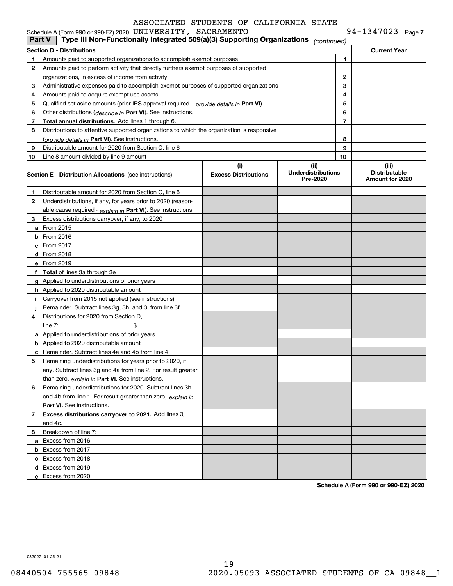|  |  |  |  |  |  | 94-1347023 Page 7 |
|--|--|--|--|--|--|-------------------|
|--|--|--|--|--|--|-------------------|

| <b>Part V</b> | Schedule A (Form 990 or 990-EZ) 2020 UNIVERSITY, SACRAMENTO<br>Type III Non-Functionally Integrated 509(a)(3) Supporting Organizations |                                    | (continued)                                   |                | 94-1347023 Page 7                                |
|---------------|----------------------------------------------------------------------------------------------------------------------------------------|------------------------------------|-----------------------------------------------|----------------|--------------------------------------------------|
|               | <b>Section D - Distributions</b>                                                                                                       |                                    |                                               |                | <b>Current Year</b>                              |
| 1.            | Amounts paid to supported organizations to accomplish exempt purposes                                                                  |                                    |                                               | 1.             |                                                  |
| 2             | Amounts paid to perform activity that directly furthers exempt purposes of supported                                                   |                                    |                                               |                |                                                  |
|               | organizations, in excess of income from activity                                                                                       |                                    | $\mathbf{2}$                                  |                |                                                  |
| 3             | Administrative expenses paid to accomplish exempt purposes of supported organizations                                                  |                                    | 3                                             |                |                                                  |
| 4             | Amounts paid to acquire exempt-use assets                                                                                              |                                    |                                               | 4              |                                                  |
| 5             | Qualified set-aside amounts (prior IRS approval required - provide details in Part VI)                                                 |                                    |                                               | 5              |                                                  |
| 6             | Other distributions ( <i>describe in</i> Part VI). See instructions.                                                                   |                                    |                                               | 6              |                                                  |
| 7             | Total annual distributions. Add lines 1 through 6.                                                                                     |                                    |                                               | $\overline{7}$ |                                                  |
| 8             | Distributions to attentive supported organizations to which the organization is responsive                                             |                                    |                                               |                |                                                  |
|               | (provide details in Part VI). See instructions.                                                                                        |                                    |                                               | 8              |                                                  |
| 9             | Distributable amount for 2020 from Section C, line 6                                                                                   |                                    |                                               | 9              |                                                  |
| 10            | Line 8 amount divided by line 9 amount                                                                                                 |                                    |                                               | 10             |                                                  |
|               | <b>Section E - Distribution Allocations</b> (see instructions)                                                                         | (i)<br><b>Excess Distributions</b> | (ii)<br><b>Underdistributions</b><br>Pre-2020 |                | (iii)<br><b>Distributable</b><br>Amount for 2020 |
| 1             | Distributable amount for 2020 from Section C, line 6                                                                                   |                                    |                                               |                |                                                  |
| 2             | Underdistributions, if any, for years prior to 2020 (reason-                                                                           |                                    |                                               |                |                                                  |
|               | able cause required $\cdot$ explain in Part VI). See instructions.                                                                     |                                    |                                               |                |                                                  |
| З.            | Excess distributions carryover, if any, to 2020                                                                                        |                                    |                                               |                |                                                  |
|               | <b>a</b> From 2015                                                                                                                     |                                    |                                               |                |                                                  |
|               | <b>b</b> From 2016                                                                                                                     |                                    |                                               |                |                                                  |
|               | $c$ From 2017                                                                                                                          |                                    |                                               |                |                                                  |
|               | d From 2018                                                                                                                            |                                    |                                               |                |                                                  |
|               | e From 2019                                                                                                                            |                                    |                                               |                |                                                  |
|               | f Total of lines 3a through 3e                                                                                                         |                                    |                                               |                |                                                  |
|               | g Applied to underdistributions of prior years                                                                                         |                                    |                                               |                |                                                  |
|               | <b>h</b> Applied to 2020 distributable amount                                                                                          |                                    |                                               |                |                                                  |
|               | Carryover from 2015 not applied (see instructions)                                                                                     |                                    |                                               |                |                                                  |
|               | Remainder. Subtract lines 3g, 3h, and 3i from line 3f.                                                                                 |                                    |                                               |                |                                                  |
| 4             | Distributions for 2020 from Section D.                                                                                                 |                                    |                                               |                |                                                  |
|               | \$<br>line $7:$                                                                                                                        |                                    |                                               |                |                                                  |
|               | a Applied to underdistributions of prior years                                                                                         |                                    |                                               |                |                                                  |
|               | <b>b</b> Applied to 2020 distributable amount                                                                                          |                                    |                                               |                |                                                  |
|               | <b>c</b> Remainder. Subtract lines 4a and 4b from line 4.                                                                              |                                    |                                               |                |                                                  |
|               | Remaining underdistributions for years prior to 2020, if                                                                               |                                    |                                               |                |                                                  |
|               | any. Subtract lines 3g and 4a from line 2. For result greater                                                                          |                                    |                                               |                |                                                  |
|               | than zero, explain in Part VI. See instructions.                                                                                       |                                    |                                               |                |                                                  |
| 6             | Remaining underdistributions for 2020. Subtract lines 3h                                                                               |                                    |                                               |                |                                                  |
|               | and 4b from line 1. For result greater than zero, explain in                                                                           |                                    |                                               |                |                                                  |
|               | Part VI. See instructions.                                                                                                             |                                    |                                               |                |                                                  |
| $7^{\circ}$   | Excess distributions carryover to 2021. Add lines 3j                                                                                   |                                    |                                               |                |                                                  |
|               | and 4c.                                                                                                                                |                                    |                                               |                |                                                  |
| 8             | Breakdown of line 7:                                                                                                                   |                                    |                                               |                |                                                  |
|               | a Excess from 2016                                                                                                                     |                                    |                                               |                |                                                  |
|               | <b>b</b> Excess from 2017                                                                                                              |                                    |                                               |                |                                                  |
|               | c Excess from 2018                                                                                                                     |                                    |                                               |                |                                                  |
|               | d Excess from 2019                                                                                                                     |                                    |                                               |                |                                                  |
|               | e Excess from 2020                                                                                                                     |                                    |                                               |                | $\sim$ 000 $\sim$ 000 $\pm$ 7) 0000              |

**Schedule A (Form 990 or 990-EZ) 2020**

032027 01-25-21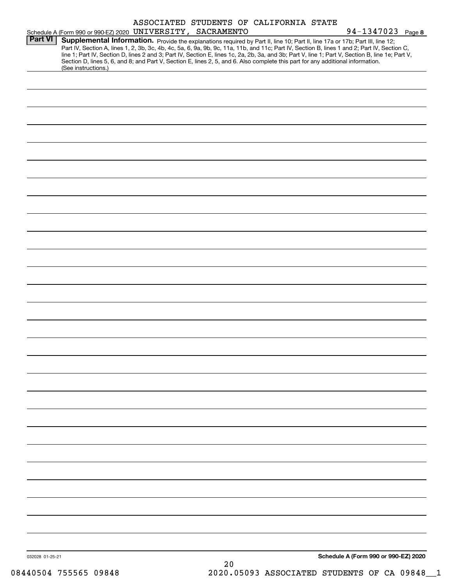|                 |                     | ASSOCIATED STUDENTS OF CALIFORNIA STATE                                                                                                                                                                                                                                                                                                                                                                                             |    |                                      |
|-----------------|---------------------|-------------------------------------------------------------------------------------------------------------------------------------------------------------------------------------------------------------------------------------------------------------------------------------------------------------------------------------------------------------------------------------------------------------------------------------|----|--------------------------------------|
| Part VI         |                     | Schedule A (Form 990 or 990-EZ) 2020 UNIVERSITY, SACRAMENTO<br>Supplemental Information. Provide the explanations required by Part II, line 10; Part II, line 17a or 17b; Part III, line 12;                                                                                                                                                                                                                                        |    | 94-1347023 Page 8                    |
|                 | (See instructions.) | Part IV, Section A, lines 1, 2, 3b, 3c, 4b, 4c, 5a, 6, 9a, 9b, 9c, 11a, 11b, and 11c; Part IV, Section B, lines 1 and 2; Part IV, Section C,<br>line 1; Part IV, Section D, lines 2 and 3; Part IV, Section E, lines 1c, 2a, 2b, 3a, and 3b; Part V, line 1; Part V, Section B, line 1e; Part V,<br>Section D, lines 5, 6, and 8; and Part V, Section E, lines 2, 5, and 6. Also complete this part for any additional information. |    |                                      |
|                 |                     |                                                                                                                                                                                                                                                                                                                                                                                                                                     |    |                                      |
|                 |                     |                                                                                                                                                                                                                                                                                                                                                                                                                                     |    |                                      |
|                 |                     |                                                                                                                                                                                                                                                                                                                                                                                                                                     |    |                                      |
|                 |                     |                                                                                                                                                                                                                                                                                                                                                                                                                                     |    |                                      |
|                 |                     |                                                                                                                                                                                                                                                                                                                                                                                                                                     |    |                                      |
|                 |                     |                                                                                                                                                                                                                                                                                                                                                                                                                                     |    |                                      |
|                 |                     |                                                                                                                                                                                                                                                                                                                                                                                                                                     |    |                                      |
|                 |                     |                                                                                                                                                                                                                                                                                                                                                                                                                                     |    |                                      |
|                 |                     |                                                                                                                                                                                                                                                                                                                                                                                                                                     |    |                                      |
|                 |                     |                                                                                                                                                                                                                                                                                                                                                                                                                                     |    |                                      |
|                 |                     |                                                                                                                                                                                                                                                                                                                                                                                                                                     |    |                                      |
|                 |                     |                                                                                                                                                                                                                                                                                                                                                                                                                                     |    |                                      |
|                 |                     |                                                                                                                                                                                                                                                                                                                                                                                                                                     |    |                                      |
|                 |                     |                                                                                                                                                                                                                                                                                                                                                                                                                                     |    |                                      |
|                 |                     |                                                                                                                                                                                                                                                                                                                                                                                                                                     |    |                                      |
|                 |                     |                                                                                                                                                                                                                                                                                                                                                                                                                                     |    |                                      |
|                 |                     |                                                                                                                                                                                                                                                                                                                                                                                                                                     |    |                                      |
|                 |                     |                                                                                                                                                                                                                                                                                                                                                                                                                                     |    |                                      |
|                 |                     |                                                                                                                                                                                                                                                                                                                                                                                                                                     |    |                                      |
|                 |                     |                                                                                                                                                                                                                                                                                                                                                                                                                                     |    |                                      |
|                 |                     |                                                                                                                                                                                                                                                                                                                                                                                                                                     |    |                                      |
|                 |                     |                                                                                                                                                                                                                                                                                                                                                                                                                                     |    |                                      |
|                 |                     |                                                                                                                                                                                                                                                                                                                                                                                                                                     |    |                                      |
|                 |                     |                                                                                                                                                                                                                                                                                                                                                                                                                                     |    |                                      |
|                 |                     |                                                                                                                                                                                                                                                                                                                                                                                                                                     |    |                                      |
|                 |                     |                                                                                                                                                                                                                                                                                                                                                                                                                                     |    |                                      |
|                 |                     |                                                                                                                                                                                                                                                                                                                                                                                                                                     |    |                                      |
|                 |                     |                                                                                                                                                                                                                                                                                                                                                                                                                                     |    |                                      |
|                 |                     |                                                                                                                                                                                                                                                                                                                                                                                                                                     |    |                                      |
|                 |                     |                                                                                                                                                                                                                                                                                                                                                                                                                                     |    |                                      |
| 032028 01-25-21 |                     |                                                                                                                                                                                                                                                                                                                                                                                                                                     |    | Schedule A (Form 990 or 990-EZ) 2020 |
|                 |                     |                                                                                                                                                                                                                                                                                                                                                                                                                                     | 20 |                                      |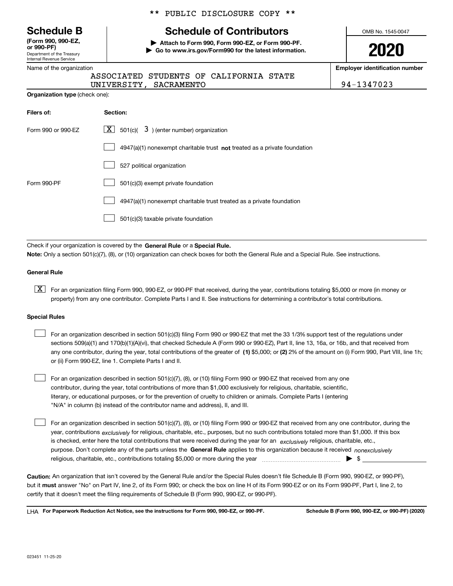| <b>Schedule B</b> |  |  |
|-------------------|--|--|
|-------------------|--|--|

Department of the Treasury Internal Revenue Service **(Form 990, 990-EZ, or 990-PF)**

|  | Name of the organization |
|--|--------------------------|
|  |                          |

|  |  | ** PUBLIC DISCLOSURE COPY ** |  |  |
|--|--|------------------------------|--|--|
|--|--|------------------------------|--|--|

## **Schedule of Contributors**

**| Attach to Form 990, Form 990-EZ, or Form 990-PF. | Go to www.irs.gov/Form990 for the latest information.** OMB No. 1545-0047

**2020**

**Employer identification number**

ITY, SACRAMENTO 194-1347023

|                                       | UNIVERS |
|---------------------------------------|---------|
| <b>Organization type (check one):</b> |         |

| Filers of:         | Section:                                                                    |
|--------------------|-----------------------------------------------------------------------------|
| Form 990 or 990-EZ | 501(c)( $3$ ) (enter number) organization<br>$X \mid$                       |
|                    | $4947(a)(1)$ nonexempt charitable trust not treated as a private foundation |
|                    | 527 political organization                                                  |
| Form 990-PF        | 501(c)(3) exempt private foundation                                         |
|                    | 4947(a)(1) nonexempt charitable trust treated as a private foundation       |
|                    | 501(c)(3) taxable private foundation                                        |

ASSOCIATED STUDENTS OF CALIFORNIA STATE

Check if your organization is covered by the **General Rule** or a **Special Rule. Note:**  Only a section 501(c)(7), (8), or (10) organization can check boxes for both the General Rule and a Special Rule. See instructions.

#### **General Rule**

 $\boxed{\textbf{X}}$  For an organization filing Form 990, 990-EZ, or 990-PF that received, during the year, contributions totaling \$5,000 or more (in money or property) from any one contributor. Complete Parts I and II. See instructions for determining a contributor's total contributions.

#### **Special Rules**

 $\mathcal{L}^{\text{max}}$ 

|  | For an organization described in section 501(c)(3) filing Form 990 or 990-EZ that met the 33 1/3% support test of the regulations under               |
|--|-------------------------------------------------------------------------------------------------------------------------------------------------------|
|  | sections 509(a)(1) and 170(b)(1)(A)(vi), that checked Schedule A (Form 990 or 990-EZ), Part II, line 13, 16a, or 16b, and that received from          |
|  | any one contributor, during the year, total contributions of the greater of (1) \$5,000; or (2) 2% of the amount on (i) Form 990, Part VIII, line 1h; |
|  | or (ii) Form 990-EZ, line 1. Complete Parts I and II.                                                                                                 |

For an organization described in section 501(c)(7), (8), or (10) filing Form 990 or 990-EZ that received from any one contributor, during the year, total contributions of more than \$1,000 exclusively for religious, charitable, scientific, literary, or educational purposes, or for the prevention of cruelty to children or animals. Complete Parts I (entering "N/A" in column (b) instead of the contributor name and address), II, and III.  $\mathcal{L}^{\text{max}}$ 

purpose. Don't complete any of the parts unless the **General Rule** applies to this organization because it received *nonexclusively* year, contributions <sub>exclusively</sub> for religious, charitable, etc., purposes, but no such contributions totaled more than \$1,000. If this box is checked, enter here the total contributions that were received during the year for an  $\;$ exclusively religious, charitable, etc., For an organization described in section 501(c)(7), (8), or (10) filing Form 990 or 990-EZ that received from any one contributor, during the religious, charitable, etc., contributions totaling \$5,000 or more during the year  $\Box$ — $\Box$   $\Box$ 

**Caution:**  An organization that isn't covered by the General Rule and/or the Special Rules doesn't file Schedule B (Form 990, 990-EZ, or 990-PF),  **must** but it answer "No" on Part IV, line 2, of its Form 990; or check the box on line H of its Form 990-EZ or on its Form 990-PF, Part I, line 2, to certify that it doesn't meet the filing requirements of Schedule B (Form 990, 990-EZ, or 990-PF).

**For Paperwork Reduction Act Notice, see the instructions for Form 990, 990-EZ, or 990-PF. Schedule B (Form 990, 990-EZ, or 990-PF) (2020)** LHA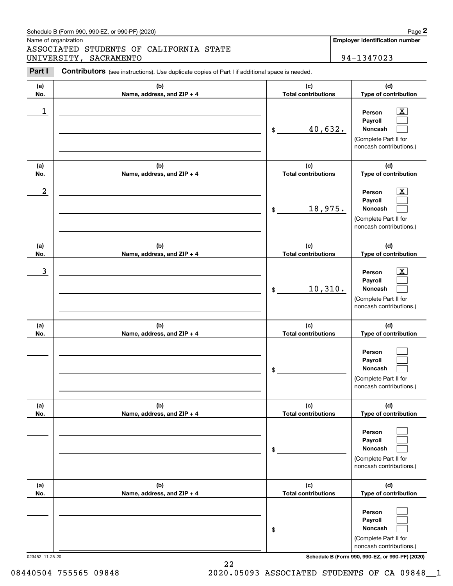#### Schedule B (Form 990, 990-EZ, or 990-PF) (2020) **Page 2** Page 2

Name of organization

# Chedule B (Form 990, 990-EZ, or 990-PF) (2020)<br>Iame of organization<br>I**SSOCIATED STUDENTS OF CALIFORNIA STATE**<br>INIVERSITY, SACRAMENTO<br>**Part I** Contributors (see instructions). Use duplicate copies of Part I if additional sp ASSOCIATED STUDENTS OF CALIFORNIA STATE UNIVERSITY, SACRAMENTO | 94-1347023

**Employer identification number**

| Part I     | <b>Contributors</b> (see instructions). Use duplicate copies of Part I if additional space is needed. |                                   |                                                                                                           |
|------------|-------------------------------------------------------------------------------------------------------|-----------------------------------|-----------------------------------------------------------------------------------------------------------|
| (a)<br>No. | (b)<br>Name, address, and ZIP + 4                                                                     | (c)<br><b>Total contributions</b> | (d)<br>Type of contribution                                                                               |
| 1          |                                                                                                       | 40,632.<br>$\frac{1}{2}$          | $\overline{\text{X}}$<br>Person<br>Payroll<br>Noncash<br>(Complete Part II for<br>noncash contributions.) |
| (a)<br>No. | (b)<br>Name, address, and ZIP + 4                                                                     | (c)<br><b>Total contributions</b> | (d)<br>Type of contribution                                                                               |
| 2          |                                                                                                       | 18,975.<br>$\frac{1}{2}$          | $\overline{\text{X}}$<br>Person<br>Payroll<br>Noncash<br>(Complete Part II for<br>noncash contributions.) |
| (a)<br>No. | (b)<br>Name, address, and ZIP + 4                                                                     | (c)<br><b>Total contributions</b> | (d)<br>Type of contribution                                                                               |
| 3          |                                                                                                       | 10,310.<br>$\frac{1}{2}$          | $\overline{\text{X}}$<br>Person<br>Payroll<br>Noncash<br>(Complete Part II for<br>noncash contributions.) |
| (a)<br>No. | (b)<br>Name, address, and ZIP + 4                                                                     | (c)<br><b>Total contributions</b> | (d)<br>Type of contribution                                                                               |
|            |                                                                                                       | \$                                | Person<br>Payroll<br>Noncash<br>(Complete Part II for<br>noncash contributions.)                          |
| (a)<br>No. | (b)<br>Name, address, and ZIP + 4                                                                     | (c)<br><b>Total contributions</b> | (d)<br>Type of contribution                                                                               |
|            |                                                                                                       | $\$$                              | Person<br>Payroll<br>Noncash<br>(Complete Part II for<br>noncash contributions.)                          |
| (a)<br>No. | (b)<br>Name, address, and ZIP + 4                                                                     | (c)<br><b>Total contributions</b> | (d)<br>Type of contribution                                                                               |
|            |                                                                                                       | \$                                | Person<br>Payroll<br>Noncash<br>(Complete Part II for<br>noncash contributions.)                          |

023452 11-25-20 **Schedule B (Form 990, 990-EZ, or 990-PF) (2020)**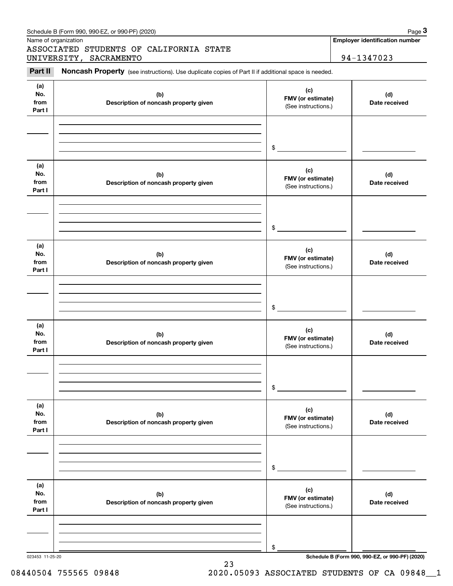|                              | Schedule B (Form 990, 990-EZ, or 990-PF) (2020)                                                     |                                                 | Page 3                                          |
|------------------------------|-----------------------------------------------------------------------------------------------------|-------------------------------------------------|-------------------------------------------------|
|                              | Name of organization<br>ASSOCIATED STUDENTS OF CALIFORNIA STATE                                     |                                                 | <b>Employer identification number</b>           |
|                              | UNIVERSITY, SACRAMENTO                                                                              |                                                 | 94-1347023                                      |
| Part II                      | Noncash Property (see instructions). Use duplicate copies of Part II if additional space is needed. |                                                 |                                                 |
| (a)<br>No.<br>from<br>Part I | (b)<br>Description of noncash property given                                                        | (c)<br>FMV (or estimate)<br>(See instructions.) | (d)<br>Date received                            |
|                              |                                                                                                     | \$                                              |                                                 |
| (a)<br>No.<br>from<br>Part I | (b)<br>Description of noncash property given                                                        | (c)<br>FMV (or estimate)<br>(See instructions.) | (d)<br>Date received                            |
|                              |                                                                                                     | \$                                              |                                                 |
| (a)<br>No.<br>from<br>Part I | (b)<br>Description of noncash property given                                                        | (c)<br>FMV (or estimate)<br>(See instructions.) | (d)<br>Date received                            |
|                              |                                                                                                     | \$                                              |                                                 |
| (a)<br>No.<br>from<br>Part I | (b)<br>Description of noncash property given                                                        | (c)<br>FMV (or estimate)<br>(See instructions.) | (d)<br>Date received                            |
|                              |                                                                                                     | \$                                              |                                                 |
| (a)<br>No.<br>from<br>Part I | (b)<br>Description of noncash property given                                                        | (c)<br>FMV (or estimate)<br>(See instructions.) | (d)<br>Date received                            |
|                              |                                                                                                     | \$                                              |                                                 |
| (a)<br>No.<br>from<br>Part I | (b)<br>Description of noncash property given                                                        | (c)<br>FMV (or estimate)<br>(See instructions.) | (d)<br>Date received                            |
|                              |                                                                                                     | \$                                              |                                                 |
| 023453 11-25-20              |                                                                                                     |                                                 | Schedule B (Form 990, 990-EZ, or 990-PF) (2020) |

23 08440504 755565 09848 2020.05093 ASSOCIATED STUDENTS OF CA 09848\_1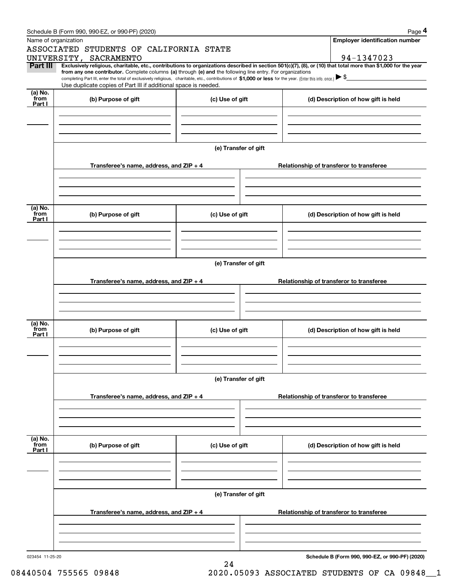|                 | Schedule B (Form 990, 990-EZ, or 990-PF) (2020)                                                                                                                                                                                                                                                 |                      |  | Page 4                                          |
|-----------------|-------------------------------------------------------------------------------------------------------------------------------------------------------------------------------------------------------------------------------------------------------------------------------------------------|----------------------|--|-------------------------------------------------|
|                 | Name of organization                                                                                                                                                                                                                                                                            |                      |  | <b>Employer identification number</b>           |
|                 | ASSOCIATED STUDENTS OF CALIFORNIA STATE                                                                                                                                                                                                                                                         |                      |  |                                                 |
|                 | UNIVERSITY, SACRAMENTO                                                                                                                                                                                                                                                                          |                      |  | 94-1347023                                      |
| Part III        | Exclusively religious, charitable, etc., contributions to organizations described in section 501(c)(7), (8), or (10) that total more than \$1,000 for the year                                                                                                                                  |                      |  |                                                 |
|                 | from any one contributor. Complete columns (a) through (e) and the following line entry. For organizations<br>completing Part III, enter the total of exclusively religious, charitable, etc., contributions of \$1,000 or less for the year. (Enter this info. once.) $\blacktriangleright$ \$ |                      |  |                                                 |
|                 | Use duplicate copies of Part III if additional space is needed.                                                                                                                                                                                                                                 |                      |  |                                                 |
| (a) No.<br>from |                                                                                                                                                                                                                                                                                                 |                      |  |                                                 |
| Part I          | (b) Purpose of gift                                                                                                                                                                                                                                                                             | (c) Use of gift      |  | (d) Description of how gift is held             |
|                 |                                                                                                                                                                                                                                                                                                 |                      |  |                                                 |
|                 |                                                                                                                                                                                                                                                                                                 |                      |  |                                                 |
|                 |                                                                                                                                                                                                                                                                                                 |                      |  |                                                 |
|                 |                                                                                                                                                                                                                                                                                                 |                      |  |                                                 |
|                 |                                                                                                                                                                                                                                                                                                 | (e) Transfer of gift |  |                                                 |
|                 |                                                                                                                                                                                                                                                                                                 |                      |  |                                                 |
|                 | Transferee's name, address, and ZIP + 4                                                                                                                                                                                                                                                         |                      |  | Relationship of transferor to transferee        |
|                 |                                                                                                                                                                                                                                                                                                 |                      |  |                                                 |
|                 |                                                                                                                                                                                                                                                                                                 |                      |  |                                                 |
|                 |                                                                                                                                                                                                                                                                                                 |                      |  |                                                 |
|                 |                                                                                                                                                                                                                                                                                                 |                      |  |                                                 |
| (a) No.<br>from | (b) Purpose of gift                                                                                                                                                                                                                                                                             | (c) Use of gift      |  | (d) Description of how gift is held             |
| Part I          |                                                                                                                                                                                                                                                                                                 |                      |  |                                                 |
|                 |                                                                                                                                                                                                                                                                                                 |                      |  |                                                 |
|                 |                                                                                                                                                                                                                                                                                                 |                      |  |                                                 |
|                 |                                                                                                                                                                                                                                                                                                 |                      |  |                                                 |
|                 |                                                                                                                                                                                                                                                                                                 |                      |  |                                                 |
|                 |                                                                                                                                                                                                                                                                                                 | (e) Transfer of gift |  |                                                 |
|                 |                                                                                                                                                                                                                                                                                                 |                      |  |                                                 |
|                 | Transferee's name, address, and ZIP + 4                                                                                                                                                                                                                                                         |                      |  | Relationship of transferor to transferee        |
|                 |                                                                                                                                                                                                                                                                                                 |                      |  |                                                 |
|                 |                                                                                                                                                                                                                                                                                                 |                      |  |                                                 |
|                 |                                                                                                                                                                                                                                                                                                 |                      |  |                                                 |
|                 |                                                                                                                                                                                                                                                                                                 |                      |  |                                                 |
| (a) No.<br>from | (b) Purpose of gift                                                                                                                                                                                                                                                                             | (c) Use of gift      |  | (d) Description of how gift is held             |
| Part I          |                                                                                                                                                                                                                                                                                                 |                      |  |                                                 |
|                 |                                                                                                                                                                                                                                                                                                 |                      |  |                                                 |
|                 |                                                                                                                                                                                                                                                                                                 |                      |  |                                                 |
|                 |                                                                                                                                                                                                                                                                                                 |                      |  |                                                 |
|                 |                                                                                                                                                                                                                                                                                                 | (e) Transfer of gift |  |                                                 |
|                 |                                                                                                                                                                                                                                                                                                 |                      |  |                                                 |
|                 | Transferee's name, address, and $ZIP + 4$                                                                                                                                                                                                                                                       |                      |  | Relationship of transferor to transferee        |
|                 |                                                                                                                                                                                                                                                                                                 |                      |  |                                                 |
|                 |                                                                                                                                                                                                                                                                                                 |                      |  |                                                 |
|                 |                                                                                                                                                                                                                                                                                                 |                      |  |                                                 |
|                 |                                                                                                                                                                                                                                                                                                 |                      |  |                                                 |
| (a) No.<br>from |                                                                                                                                                                                                                                                                                                 |                      |  |                                                 |
| Part I          | (b) Purpose of gift                                                                                                                                                                                                                                                                             | (c) Use of gift      |  | (d) Description of how gift is held             |
|                 |                                                                                                                                                                                                                                                                                                 |                      |  |                                                 |
|                 |                                                                                                                                                                                                                                                                                                 |                      |  |                                                 |
|                 |                                                                                                                                                                                                                                                                                                 |                      |  |                                                 |
|                 |                                                                                                                                                                                                                                                                                                 |                      |  |                                                 |
|                 |                                                                                                                                                                                                                                                                                                 | (e) Transfer of gift |  |                                                 |
|                 |                                                                                                                                                                                                                                                                                                 |                      |  |                                                 |
|                 | Transferee's name, address, and ZIP + 4                                                                                                                                                                                                                                                         |                      |  | Relationship of transferor to transferee        |
|                 |                                                                                                                                                                                                                                                                                                 |                      |  |                                                 |
|                 |                                                                                                                                                                                                                                                                                                 |                      |  |                                                 |
|                 |                                                                                                                                                                                                                                                                                                 |                      |  |                                                 |
|                 |                                                                                                                                                                                                                                                                                                 |                      |  |                                                 |
| 023454 11-25-20 |                                                                                                                                                                                                                                                                                                 |                      |  | Schedule B (Form 990, 990-EZ, or 990-PF) (2020) |

24

**Schedule B (Form 990, 990-EZ, or 990-PF) (2020)**

08440504 755565 09848 2020.05093 ASSOCIATED STUDENTS OF CA 09848\_1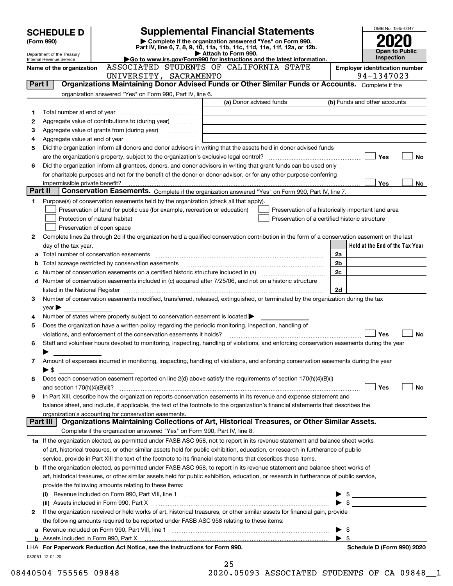|         | <b>SCHEDULE D</b>                                      |                                                                                                                                                                                                                  |                     | <b>Supplemental Financial Statements</b>                                 |                                                | OMB No. 1545-0047                                  |           |
|---------|--------------------------------------------------------|------------------------------------------------------------------------------------------------------------------------------------------------------------------------------------------------------------------|---------------------|--------------------------------------------------------------------------|------------------------------------------------|----------------------------------------------------|-----------|
|         | (Form 990)                                             |                                                                                                                                                                                                                  |                     | Complete if the organization answered "Yes" on Form 990,                 |                                                |                                                    |           |
|         |                                                        |                                                                                                                                                                                                                  |                     | Part IV, line 6, 7, 8, 9, 10, 11a, 11b, 11c, 11d, 11e, 11f, 12a, or 12b. |                                                | <b>Open to Public</b>                              |           |
|         | Department of the Treasury<br>Internal Revenue Service |                                                                                                                                                                                                                  | Attach to Form 990. | Go to www.irs.gov/Form990 for instructions and the latest information.   |                                                | <b>Inspection</b>                                  |           |
|         | Name of the organization                               | ASSOCIATED STUDENTS OF CALIFORNIA STATE                                                                                                                                                                          |                     |                                                                          |                                                | <b>Employer identification number</b>              |           |
|         |                                                        | UNIVERSITY, SACRAMENTO                                                                                                                                                                                           |                     |                                                                          |                                                | 94-1347023                                         |           |
| Part I  |                                                        | Organizations Maintaining Donor Advised Funds or Other Similar Funds or Accounts. Complete if the                                                                                                                |                     |                                                                          |                                                |                                                    |           |
|         |                                                        | organization answered "Yes" on Form 990, Part IV, line 6.                                                                                                                                                        |                     |                                                                          |                                                |                                                    |           |
|         |                                                        |                                                                                                                                                                                                                  |                     | (a) Donor advised funds                                                  |                                                | (b) Funds and other accounts                       |           |
| 1       |                                                        |                                                                                                                                                                                                                  |                     |                                                                          |                                                |                                                    |           |
| 2       |                                                        | Aggregate value of contributions to (during year)                                                                                                                                                                |                     |                                                                          |                                                |                                                    |           |
| З       |                                                        |                                                                                                                                                                                                                  |                     |                                                                          |                                                |                                                    |           |
| 4       |                                                        |                                                                                                                                                                                                                  |                     |                                                                          |                                                |                                                    |           |
| 5       |                                                        | Did the organization inform all donors and donor advisors in writing that the assets held in donor advised funds                                                                                                 |                     |                                                                          |                                                |                                                    |           |
|         |                                                        |                                                                                                                                                                                                                  |                     |                                                                          |                                                | Yes                                                | <b>No</b> |
| 6       |                                                        | Did the organization inform all grantees, donors, and donor advisors in writing that grant funds can be used only                                                                                                |                     |                                                                          |                                                |                                                    |           |
|         |                                                        | for charitable purposes and not for the benefit of the donor or donor advisor, or for any other purpose conferring                                                                                               |                     |                                                                          |                                                |                                                    |           |
|         | impermissible private benefit?                         |                                                                                                                                                                                                                  |                     |                                                                          |                                                | <b>Yes</b>                                         | No.       |
| Part II |                                                        | Conservation Easements. Complete if the organization answered "Yes" on Form 990, Part IV, line 7.                                                                                                                |                     |                                                                          |                                                |                                                    |           |
| 1       |                                                        | Purpose(s) of conservation easements held by the organization (check all that apply).                                                                                                                            |                     |                                                                          |                                                |                                                    |           |
|         |                                                        | Preservation of land for public use (for example, recreation or education)                                                                                                                                       |                     |                                                                          |                                                | Preservation of a historically important land area |           |
|         |                                                        | Protection of natural habitat                                                                                                                                                                                    |                     |                                                                          | Preservation of a certified historic structure |                                                    |           |
|         |                                                        | Preservation of open space                                                                                                                                                                                       |                     |                                                                          |                                                |                                                    |           |
| 2       |                                                        | Complete lines 2a through 2d if the organization held a qualified conservation contribution in the form of a conservation easement on the last                                                                   |                     |                                                                          |                                                |                                                    |           |
|         | day of the tax year.                                   |                                                                                                                                                                                                                  |                     |                                                                          |                                                | Held at the End of the Tax Year                    |           |
| а       |                                                        |                                                                                                                                                                                                                  |                     |                                                                          | 2a                                             |                                                    |           |
| b       |                                                        | Total acreage restricted by conservation easements                                                                                                                                                               |                     |                                                                          | 2 <sub>b</sub>                                 |                                                    |           |
| с       |                                                        | Number of conservation easements on a certified historic structure included in (a) manufacture included in (a)                                                                                                   |                     |                                                                          | 2c                                             |                                                    |           |
|         |                                                        | d Number of conservation easements included in (c) acquired after 7/25/06, and not on a historic structure                                                                                                       |                     |                                                                          |                                                |                                                    |           |
|         |                                                        |                                                                                                                                                                                                                  |                     |                                                                          | 2d                                             |                                                    |           |
| 3       |                                                        | Number of conservation easements modified, transferred, released, extinguished, or terminated by the organization during the tax                                                                                 |                     |                                                                          |                                                |                                                    |           |
|         | $year \blacktriangleright$                             |                                                                                                                                                                                                                  |                     |                                                                          |                                                |                                                    |           |
| 4       |                                                        | Number of states where property subject to conservation easement is located                                                                                                                                      |                     |                                                                          |                                                |                                                    |           |
| 5       |                                                        | Does the organization have a written policy regarding the periodic monitoring, inspection, handling of                                                                                                           |                     |                                                                          |                                                | Yes                                                | <b>No</b> |
| 6       |                                                        | violations, and enforcement of the conservation easements it holds?<br>Staff and volunteer hours devoted to monitoring, inspecting, handling of violations, and enforcing conservation easements during the year |                     |                                                                          |                                                |                                                    |           |
|         |                                                        |                                                                                                                                                                                                                  |                     |                                                                          |                                                |                                                    |           |
| 7       |                                                        | Amount of expenses incurred in monitoring, inspecting, handling of violations, and enforcing conservation easements during the year                                                                              |                     |                                                                          |                                                |                                                    |           |
|         | ▶ \$                                                   |                                                                                                                                                                                                                  |                     |                                                                          |                                                |                                                    |           |
| 8       |                                                        | Does each conservation easement reported on line 2(d) above satisfy the requirements of section 170(h)(4)(B)(i)                                                                                                  |                     |                                                                          |                                                |                                                    |           |
|         |                                                        |                                                                                                                                                                                                                  |                     |                                                                          |                                                | Yes                                                | No        |
| 9       |                                                        | In Part XIII, describe how the organization reports conservation easements in its revenue and expense statement and                                                                                              |                     |                                                                          |                                                |                                                    |           |
|         |                                                        | balance sheet, and include, if applicable, the text of the footnote to the organization's financial statements that describes the                                                                                |                     |                                                                          |                                                |                                                    |           |
|         |                                                        | organization's accounting for conservation easements.                                                                                                                                                            |                     |                                                                          |                                                |                                                    |           |
|         | Part III                                               | Organizations Maintaining Collections of Art, Historical Treasures, or Other Similar Assets.                                                                                                                     |                     |                                                                          |                                                |                                                    |           |
|         |                                                        | Complete if the organization answered "Yes" on Form 990, Part IV, line 8.                                                                                                                                        |                     |                                                                          |                                                |                                                    |           |
|         |                                                        | 1a If the organization elected, as permitted under FASB ASC 958, not to report in its revenue statement and balance sheet works                                                                                  |                     |                                                                          |                                                |                                                    |           |
|         |                                                        | of art, historical treasures, or other similar assets held for public exhibition, education, or research in furtherance of public                                                                                |                     |                                                                          |                                                |                                                    |           |
|         |                                                        | service, provide in Part XIII the text of the footnote to its financial statements that describes these items.                                                                                                   |                     |                                                                          |                                                |                                                    |           |
|         |                                                        | <b>b</b> If the organization elected, as permitted under FASB ASC 958, to report in its revenue statement and balance sheet works of                                                                             |                     |                                                                          |                                                |                                                    |           |
|         |                                                        | art, historical treasures, or other similar assets held for public exhibition, education, or research in furtherance of public service,                                                                          |                     |                                                                          |                                                |                                                    |           |
|         |                                                        | provide the following amounts relating to these items:                                                                                                                                                           |                     |                                                                          |                                                |                                                    |           |
|         |                                                        |                                                                                                                                                                                                                  |                     |                                                                          |                                                |                                                    |           |
|         |                                                        | (ii) Assets included in Form 990, Part X                                                                                                                                                                         |                     |                                                                          |                                                |                                                    |           |
| 2       |                                                        | If the organization received or held works of art, historical treasures, or other similar assets for financial gain, provide                                                                                     |                     |                                                                          |                                                |                                                    |           |
|         |                                                        | the following amounts required to be reported under FASB ASC 958 relating to these items:                                                                                                                        |                     |                                                                          |                                                |                                                    |           |
| а       |                                                        |                                                                                                                                                                                                                  |                     |                                                                          |                                                |                                                    |           |
|         |                                                        |                                                                                                                                                                                                                  |                     |                                                                          |                                                |                                                    |           |
|         |                                                        | LHA For Paperwork Reduction Act Notice, see the Instructions for Form 990.                                                                                                                                       |                     |                                                                          |                                                | Schedule D (Form 990) 2020                         |           |
|         | 032051 12-01-20                                        |                                                                                                                                                                                                                  |                     |                                                                          |                                                |                                                    |           |
|         |                                                        |                                                                                                                                                                                                                  | 25                  |                                                                          |                                                |                                                    |           |

08440504 755565 09848 2020.05093 ASSOCIATED STUDENTS OF CA 09848\_\_1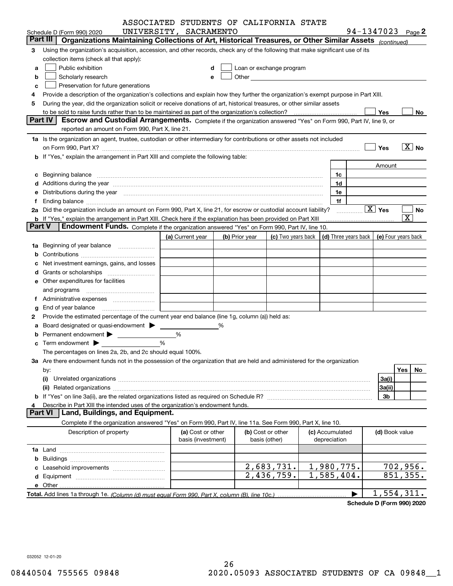|               |                                                                                                                                      | ASSOCIATED STUDENTS OF CALIFORNIA STATE |   |                |                                                                                                                                                                                                                                |                                 |                                            |                        |
|---------------|--------------------------------------------------------------------------------------------------------------------------------------|-----------------------------------------|---|----------------|--------------------------------------------------------------------------------------------------------------------------------------------------------------------------------------------------------------------------------|---------------------------------|--------------------------------------------|------------------------|
|               | Schedule D (Form 990) 2020                                                                                                           | UNIVERSITY, SACRAMENTO                  |   |                |                                                                                                                                                                                                                                |                                 | 94-1347023 Page 2                          |                        |
|               | Part III<br>Organizations Maintaining Collections of Art, Historical Treasures, or Other Similar Assets (continued)                  |                                         |   |                |                                                                                                                                                                                                                                |                                 |                                            |                        |
| З             | Using the organization's acquisition, accession, and other records, check any of the following that make significant use of its      |                                         |   |                |                                                                                                                                                                                                                                |                                 |                                            |                        |
|               | collection items (check all that apply):                                                                                             |                                         |   |                |                                                                                                                                                                                                                                |                                 |                                            |                        |
| a             | Public exhibition                                                                                                                    |                                         | d |                | Loan or exchange program                                                                                                                                                                                                       |                                 |                                            |                        |
| b             | Scholarly research                                                                                                                   | е                                       |   |                | Other and the control of the control of the control of the control of the control of the control of the control of the control of the control of the control of the control of the control of the control of the control of th |                                 |                                            |                        |
| c             | Preservation for future generations                                                                                                  |                                         |   |                |                                                                                                                                                                                                                                |                                 |                                            |                        |
|               | Provide a description of the organization's collections and explain how they further the organization's exempt purpose in Part XIII. |                                         |   |                |                                                                                                                                                                                                                                |                                 |                                            |                        |
| 5             | During the year, did the organization solicit or receive donations of art, historical treasures, or other similar assets             |                                         |   |                |                                                                                                                                                                                                                                |                                 |                                            |                        |
|               |                                                                                                                                      |                                         |   |                |                                                                                                                                                                                                                                |                                 | Yes                                        | No                     |
|               | Part IV<br>Escrow and Custodial Arrangements. Complete if the organization answered "Yes" on Form 990, Part IV, line 9, or           |                                         |   |                |                                                                                                                                                                                                                                |                                 |                                            |                        |
|               | reported an amount on Form 990, Part X, line 21.                                                                                     |                                         |   |                |                                                                                                                                                                                                                                |                                 |                                            |                        |
|               | 1a Is the organization an agent, trustee, custodian or other intermediary for contributions or other assets not included             |                                         |   |                |                                                                                                                                                                                                                                |                                 |                                            |                        |
|               |                                                                                                                                      |                                         |   |                |                                                                                                                                                                                                                                |                                 | Yes                                        | $\lfloor x \rfloor$ No |
|               | b If "Yes," explain the arrangement in Part XIII and complete the following table:                                                   |                                         |   |                |                                                                                                                                                                                                                                |                                 |                                            |                        |
|               |                                                                                                                                      |                                         |   |                |                                                                                                                                                                                                                                |                                 | Amount                                     |                        |
| c             |                                                                                                                                      |                                         |   |                |                                                                                                                                                                                                                                | 1c                              |                                            |                        |
|               |                                                                                                                                      |                                         |   |                |                                                                                                                                                                                                                                | 1d                              |                                            |                        |
|               | Distributions during the year manufactured and continuum and contact the year manufactured and contact the year                      |                                         |   |                |                                                                                                                                                                                                                                | 1e                              |                                            |                        |
|               |                                                                                                                                      |                                         |   |                |                                                                                                                                                                                                                                | 1f                              |                                            |                        |
|               | 2a Did the organization include an amount on Form 990, Part X, line 21, for escrow or custodial account liability?                   |                                         |   |                |                                                                                                                                                                                                                                |                                 | $\boxed{\text{X}}$ Yes                     | No                     |
|               | <b>b</b> If "Yes," explain the arrangement in Part XIII. Check here if the explanation has been provided on Part XIII                |                                         |   |                |                                                                                                                                                                                                                                |                                 |                                            | $\overline{\text{X}}$  |
| <b>Part V</b> | Endowment Funds. Complete if the organization answered "Yes" on Form 990, Part IV, line 10.                                          |                                         |   |                |                                                                                                                                                                                                                                |                                 |                                            |                        |
|               |                                                                                                                                      | (a) Current year                        |   | (b) Prior year | (c) Two years back                                                                                                                                                                                                             |                                 | (d) Three years back   (e) Four years back |                        |
| 1a            | Beginning of year balance                                                                                                            |                                         |   |                |                                                                                                                                                                                                                                |                                 |                                            |                        |
|               |                                                                                                                                      |                                         |   |                |                                                                                                                                                                                                                                |                                 |                                            |                        |
|               | Net investment earnings, gains, and losses                                                                                           |                                         |   |                |                                                                                                                                                                                                                                |                                 |                                            |                        |
|               |                                                                                                                                      |                                         |   |                |                                                                                                                                                                                                                                |                                 |                                            |                        |
|               | e Other expenditures for facilities                                                                                                  |                                         |   |                |                                                                                                                                                                                                                                |                                 |                                            |                        |
|               |                                                                                                                                      |                                         |   |                |                                                                                                                                                                                                                                |                                 |                                            |                        |
|               |                                                                                                                                      |                                         |   |                |                                                                                                                                                                                                                                |                                 |                                            |                        |
|               | End of year balance                                                                                                                  |                                         |   |                |                                                                                                                                                                                                                                |                                 |                                            |                        |
| 2             | Provide the estimated percentage of the current year end balance (line 1g, column (a)) held as:                                      |                                         |   |                |                                                                                                                                                                                                                                |                                 |                                            |                        |
|               | Board designated or quasi-endowment >                                                                                                |                                         | % |                |                                                                                                                                                                                                                                |                                 |                                            |                        |
|               |                                                                                                                                      | %                                       |   |                |                                                                                                                                                                                                                                |                                 |                                            |                        |
|               |                                                                                                                                      | %                                       |   |                |                                                                                                                                                                                                                                |                                 |                                            |                        |
|               | The percentages on lines 2a, 2b, and 2c should equal 100%.                                                                           |                                         |   |                |                                                                                                                                                                                                                                |                                 |                                            |                        |
|               | 3a Are there endowment funds not in the possession of the organization that are held and administered for the organization           |                                         |   |                |                                                                                                                                                                                                                                |                                 |                                            |                        |
|               | by:                                                                                                                                  |                                         |   |                |                                                                                                                                                                                                                                |                                 |                                            | Yes<br>No.             |
|               | (i)                                                                                                                                  |                                         |   |                |                                                                                                                                                                                                                                |                                 | 3a(i)                                      |                        |
|               | (ii)                                                                                                                                 |                                         |   |                |                                                                                                                                                                                                                                |                                 | 3a(ii)                                     |                        |
|               |                                                                                                                                      |                                         |   |                |                                                                                                                                                                                                                                |                                 | 3b                                         |                        |
|               | Describe in Part XIII the intended uses of the organization's endowment funds.<br>Land, Buildings, and Equipment.<br><b>Part VI</b>  |                                         |   |                |                                                                                                                                                                                                                                |                                 |                                            |                        |
|               |                                                                                                                                      |                                         |   |                |                                                                                                                                                                                                                                |                                 |                                            |                        |
|               | Complete if the organization answered "Yes" on Form 990, Part IV, line 11a. See Form 990, Part X, line 10.                           |                                         |   |                |                                                                                                                                                                                                                                |                                 |                                            |                        |
|               | Description of property                                                                                                              | (a) Cost or other<br>basis (investment) |   |                | (b) Cost or other<br>basis (other)                                                                                                                                                                                             | (c) Accumulated<br>depreciation | (d) Book value                             |                        |
|               |                                                                                                                                      |                                         |   |                |                                                                                                                                                                                                                                |                                 |                                            |                        |
|               |                                                                                                                                      |                                         |   |                |                                                                                                                                                                                                                                |                                 |                                            |                        |
|               |                                                                                                                                      |                                         |   |                | 2,683,731.                                                                                                                                                                                                                     | 1,980,775.                      |                                            | 702,956.               |
|               |                                                                                                                                      |                                         |   |                | 2,436,759.                                                                                                                                                                                                                     | 1,585,404.                      |                                            | 851,355.               |
|               |                                                                                                                                      |                                         |   |                |                                                                                                                                                                                                                                |                                 |                                            |                        |
|               |                                                                                                                                      |                                         |   |                |                                                                                                                                                                                                                                |                                 | 1,554,311.                                 |                        |
|               |                                                                                                                                      |                                         |   |                |                                                                                                                                                                                                                                |                                 |                                            |                        |

**Schedule D (Form 990) 2020**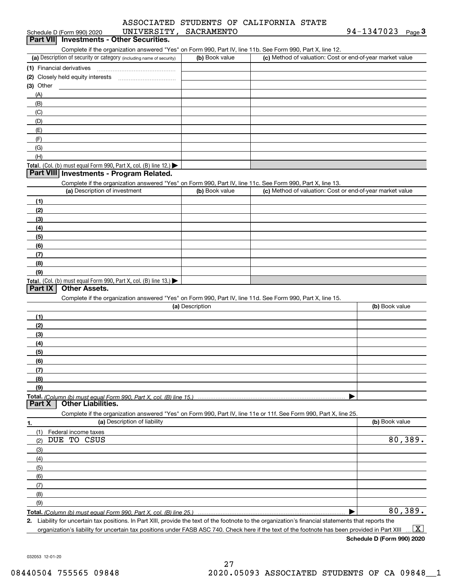|                       |  | ASSOCIATED STUDENTS OF CALIFORNIA STATE |  |
|-----------------------|--|-----------------------------------------|--|
| חידות כי מתחת מאמר מת |  |                                         |  |

|                   | Schedule D (Form 990) 2020        | UNIVERSITY, SACRAMENTO                                               |                 |                                                                                                                   | 94-1347023<br>$Page$ <sup>3</sup> |
|-------------------|-----------------------------------|----------------------------------------------------------------------|-----------------|-------------------------------------------------------------------------------------------------------------------|-----------------------------------|
|                   |                                   | Part VII Investments - Other Securities.                             |                 |                                                                                                                   |                                   |
|                   |                                   |                                                                      |                 | Complete if the organization answered "Yes" on Form 990, Part IV, line 11b. See Form 990, Part X, line 12.        |                                   |
|                   |                                   | (a) Description of security or category (including name of security) | (b) Book value  | (c) Method of valuation: Cost or end-of-year market value                                                         |                                   |
|                   | (1) Financial derivatives         |                                                                      |                 |                                                                                                                   |                                   |
|                   | (2) Closely held equity interests |                                                                      |                 |                                                                                                                   |                                   |
| $(3)$ Other       |                                   |                                                                      |                 |                                                                                                                   |                                   |
| (A)               |                                   |                                                                      |                 |                                                                                                                   |                                   |
| (B)               |                                   |                                                                      |                 |                                                                                                                   |                                   |
| (C)               |                                   |                                                                      |                 |                                                                                                                   |                                   |
| (D)               |                                   |                                                                      |                 |                                                                                                                   |                                   |
| (E)               |                                   |                                                                      |                 |                                                                                                                   |                                   |
| (F)               |                                   |                                                                      |                 |                                                                                                                   |                                   |
| (G)               |                                   |                                                                      |                 |                                                                                                                   |                                   |
| (H)               |                                   |                                                                      |                 |                                                                                                                   |                                   |
|                   |                                   | Total. (Col. (b) must equal Form 990, Part X, col. (B) line 12.)     |                 |                                                                                                                   |                                   |
|                   |                                   | Part VIII Investments - Program Related.                             |                 |                                                                                                                   |                                   |
|                   |                                   |                                                                      |                 | Complete if the organization answered "Yes" on Form 990, Part IV, line 11c. See Form 990, Part X, line 13.        |                                   |
|                   | (a) Description of investment     |                                                                      | (b) Book value  | (c) Method of valuation: Cost or end-of-year market value                                                         |                                   |
| (1)               |                                   |                                                                      |                 |                                                                                                                   |                                   |
| (2)               |                                   |                                                                      |                 |                                                                                                                   |                                   |
| (3)               |                                   |                                                                      |                 |                                                                                                                   |                                   |
| (4)               |                                   |                                                                      |                 |                                                                                                                   |                                   |
| (5)               |                                   |                                                                      |                 |                                                                                                                   |                                   |
| (6)               |                                   |                                                                      |                 |                                                                                                                   |                                   |
| (7)               |                                   |                                                                      |                 |                                                                                                                   |                                   |
| (8)               |                                   |                                                                      |                 |                                                                                                                   |                                   |
| (9)               |                                   |                                                                      |                 |                                                                                                                   |                                   |
| Part IX           | <b>Other Assets.</b>              | Total. (Col. (b) must equal Form 990, Part X, col. (B) line 13.)     |                 | Complete if the organization answered "Yes" on Form 990, Part IV, line 11d. See Form 990, Part X, line 15.        |                                   |
|                   |                                   |                                                                      | (a) Description |                                                                                                                   | (b) Book value                    |
| (1)               |                                   |                                                                      |                 |                                                                                                                   |                                   |
| (2)               |                                   |                                                                      |                 |                                                                                                                   |                                   |
| (3)               |                                   |                                                                      |                 |                                                                                                                   |                                   |
| (4)               |                                   |                                                                      |                 |                                                                                                                   |                                   |
| (5)               |                                   |                                                                      |                 |                                                                                                                   |                                   |
| (6)               |                                   |                                                                      |                 |                                                                                                                   |                                   |
| (7)               |                                   |                                                                      |                 |                                                                                                                   |                                   |
| (8)               |                                   |                                                                      |                 |                                                                                                                   |                                   |
| (9)               |                                   |                                                                      |                 |                                                                                                                   |                                   |
| Part X            | <b>Other Liabilities.</b>         |                                                                      |                 |                                                                                                                   |                                   |
|                   |                                   |                                                                      |                 | Complete if the organization answered "Yes" on Form 990, Part IV, line 11e or 11f. See Form 990, Part X, line 25. |                                   |
| 1.                |                                   | (a) Description of liability                                         |                 |                                                                                                                   | (b) Book value                    |
| (1)               | Federal income taxes              |                                                                      |                 |                                                                                                                   |                                   |
| <b>DUE</b><br>(2) | TO CSUS                           |                                                                      |                 |                                                                                                                   | 80,389.                           |
| (3)               |                                   |                                                                      |                 |                                                                                                                   |                                   |
| (4)               |                                   |                                                                      |                 |                                                                                                                   |                                   |
| (5)               |                                   |                                                                      |                 |                                                                                                                   |                                   |
|                   |                                   |                                                                      |                 |                                                                                                                   |                                   |
| (6)               |                                   |                                                                      |                 |                                                                                                                   |                                   |
| (7)               |                                   |                                                                      |                 |                                                                                                                   |                                   |
| (8)               |                                   |                                                                      |                 |                                                                                                                   |                                   |
| (9)               |                                   |                                                                      |                 |                                                                                                                   | 80,389.                           |
|                   |                                   | Total. (Column (b) must equal Form 990, Part X, col. (B) line 25.)   |                 |                                                                                                                   |                                   |

**2.** Liability for uncertain tax positions. In Part XIII, provide the text of the footnote to the organization's financial statements that reports the organization's liability for uncertain tax positions under FASB ASC 740. Check here if the text of the footnote has been provided in Part XIII  $\boxed{\text{X}}$ 

**Schedule D (Form 990) 2020**

032053 12-01-20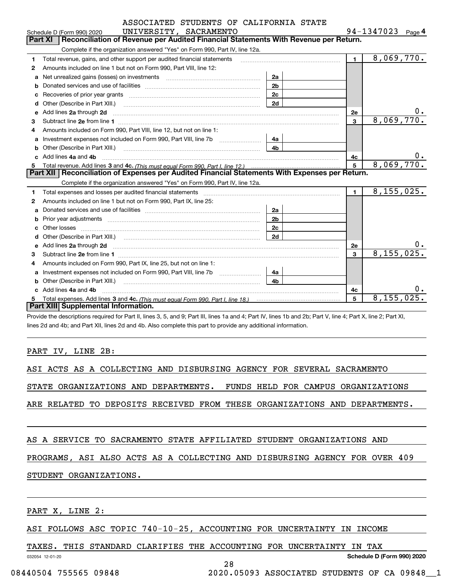|                    |          | ASSOCIATED STUDENTS OF CALIFORNIA STATE |  |
|--------------------|----------|-----------------------------------------|--|
| ****************** | $\alpha$ |                                         |  |

|    | UNIVERSITY, SACRAMENTO<br>Schedule D (Form 990) 2020                                                                                                                                                                                                       |                |                | 94-1347023<br>Page $4$ |
|----|------------------------------------------------------------------------------------------------------------------------------------------------------------------------------------------------------------------------------------------------------------|----------------|----------------|------------------------|
|    | Reconciliation of Revenue per Audited Financial Statements With Revenue per Return.<br><b>Part XI</b>                                                                                                                                                      |                |                |                        |
|    | Complete if the organization answered "Yes" on Form 990, Part IV, line 12a.                                                                                                                                                                                |                |                |                        |
| 1  | Total revenue, gains, and other support per audited financial statements                                                                                                                                                                                   |                | $\blacksquare$ | 8,069,770.             |
| 2  | Amounts included on line 1 but not on Form 990, Part VIII, line 12:                                                                                                                                                                                        |                |                |                        |
| a  | Net unrealized gains (losses) on investments [11] matter contracts and the unrealized gains (losses) on investments                                                                                                                                        | 2a             |                |                        |
| b  |                                                                                                                                                                                                                                                            | 2 <sub>b</sub> |                |                        |
| C  | Recoveries of prior year grants [11,111] [11] Recoveries of prior year grants [11] [11] [12] [12] [12] [12] [1                                                                                                                                             | 2c             |                |                        |
| d  | Other (Describe in Part XIII.) <b>2006</b> 2007 2010 2010 2010 2010 2011 2012 2013 2014 2015 2016 2017 2018 2019 2016 2016 2017 2018 2019 2016 2017 2018 2019 2016 2017 2018 2019 2018 2019 2016 2017 2018 2019 2019 2019 2018 2019                        | 2d             |                |                        |
| e  | Add lines 2a through 2d                                                                                                                                                                                                                                    |                | 2е             | 0.                     |
| 3  |                                                                                                                                                                                                                                                            |                | $\overline{3}$ | 8,069,770.             |
| 4  | Amounts included on Form 990. Part VIII. line 12, but not on line 1:                                                                                                                                                                                       |                |                |                        |
| a  | Investment expenses not included on Form 990, Part VIII, line 7b [111] [11] Investment expenses not included on Form 990, Part VIII, line 7b                                                                                                               | 4a             |                |                        |
| b  | Other (Describe in Part XIII.) <b>Construction Contract Construction</b> Chern Construction Construction Construction                                                                                                                                      | 4 <sub>b</sub> |                |                        |
|    | Add lines 4a and 4b                                                                                                                                                                                                                                        |                | 4с             | 0.                     |
|    |                                                                                                                                                                                                                                                            |                |                |                        |
| 5  |                                                                                                                                                                                                                                                            |                | 5              | 8,069,770.             |
|    | Part XII   Reconciliation of Expenses per Audited Financial Statements With Expenses per Return.                                                                                                                                                           |                |                |                        |
|    | Complete if the organization answered "Yes" on Form 990, Part IV, line 12a.                                                                                                                                                                                |                |                |                        |
| 1. |                                                                                                                                                                                                                                                            |                | $\blacksquare$ | 8, 155, 025.           |
| 2  | Amounts included on line 1 but not on Form 990, Part IX, line 25:                                                                                                                                                                                          |                |                |                        |
| a  |                                                                                                                                                                                                                                                            | 2a             |                |                        |
| b  | Prior year adjustments manufactured and control and control and control and control and prior year adjustments                                                                                                                                             | 2 <sub>b</sub> |                |                        |
| с  |                                                                                                                                                                                                                                                            | 2c             |                |                        |
|    | Other (Describe in Part XIII.) (Contract and the contract of the contract of the contract of the contract of the contract of the contract of the contract of the contract of the contract of the contract of the contract of t                             | 2d             |                |                        |
| e  |                                                                                                                                                                                                                                                            |                | <b>2e</b>      |                        |
| 3  | Add lines 2a through 2d <b>contained a contained a contained a contained a</b> contained a contact the state of the state of the state of the state of the state of the state of the state of the state of the state of the state o                        |                | 3              | 8,155,025.             |
| 4  | Amounts included on Form 990, Part IX, line 25, but not on line 1:                                                                                                                                                                                         |                |                |                        |
| a  |                                                                                                                                                                                                                                                            | 4a             |                |                        |
|    |                                                                                                                                                                                                                                                            | 4 <sub>b</sub> |                |                        |
|    | Other (Describe in Part XIII.) <b>2000</b> 2000 2010 2010 2010 2010 2011 2012 2013 2014 2014 2015 2016 2017 2018 2019 2016 2017 2018 2019 2016 2017 2018 2019 2016 2017 2018 2019 2018 2019 2019 2016 2017 2018 2019 2018 2019 2019<br>Add lines 4a and 4b |                | 4c             | 0.                     |
| 5. |                                                                                                                                                                                                                                                            |                | 5              | 8, 155, 025.           |

Provide the descriptions required for Part II, lines 3, 5, and 9; Part III, lines 1a and 4; Part IV, lines 1b and 2b; Part V, line 4; Part X, line 2; Part XI, lines 2d and 4b; and Part XII, lines 2d and 4b. Also complete this part to provide any additional information.

#### PART IV, LINE 2B:

ASI ACTS AS A COLLECTING AND DISBURSING AGENCY FOR SEVERAL SACRAMENTO

STATE ORGANIZATIONS AND DEPARTMENTS. FUNDS HELD FOR CAMPUS ORGANIZATIONS

ARE RELATED TO DEPOSITS RECEIVED FROM THESE ORGANIZATIONS AND DEPARTMENTS.

#### AS A SERVICE TO SACRAMENTO STATE AFFILIATED STUDENT ORGANIZATIONS AND

PROGRAMS, ASI ALSO ACTS AS A COLLECTING AND DISBURSING AGENCY FOR OVER 409

28

#### STUDENT ORGANIZATIONS.

PART X, LINE 2:

#### ASI FOLLOWS ASC TOPIC 740-10-25, ACCOUNTING FOR UNCERTAINTY IN INCOME

TAXES. THIS STANDARD CLARIFIES THE ACCOUNTING FOR UNCERTAINTY IN TAX

032054 12-01-20

**Schedule D (Form 990) 2020**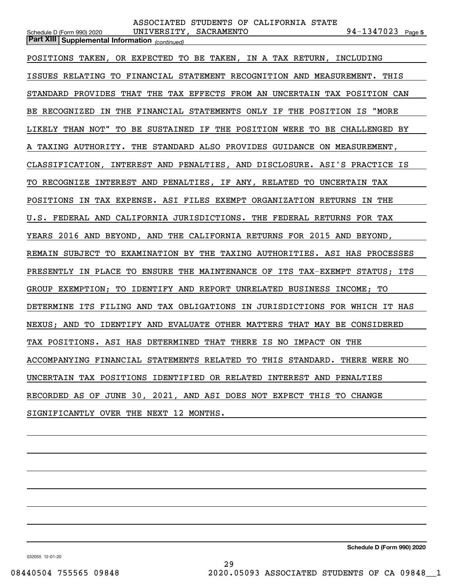| ASSOCIATED STUDENTS OF CALIFORNIA STATE                                                                                     |
|-----------------------------------------------------------------------------------------------------------------------------|
| 94-1347023 Page 5<br>UNIVERSITY, SACRAMENTO<br>Schedule D (Form 990) 2020<br>Part XIII Supplemental Information (continued) |
|                                                                                                                             |
| POSITIONS TAKEN, OR EXPECTED TO BE TAKEN, IN A TAX RETURN, INCLUDING                                                        |
| ISSUES RELATING TO FINANCIAL STATEMENT RECOGNITION AND MEASUREMENT. THIS                                                    |
| STANDARD PROVIDES THAT THE TAX EFFECTS FROM AN UNCERTAIN TAX POSITION CAN                                                   |
| BE RECOGNIZED IN THE FINANCIAL STATEMENTS ONLY IF THE POSITION IS "MORE                                                     |
| LIKELY THAN NOT" TO BE SUSTAINED IF THE POSITION WERE TO BE CHALLENGED BY                                                   |
| A TAXING AUTHORITY. THE STANDARD ALSO PROVIDES GUIDANCE ON MEASUREMENT,                                                     |
| CLASSIFICATION, INTEREST AND PENALTIES, AND DISCLOSURE. ASI'S PRACTICE IS                                                   |
| TO RECOGNIZE INTEREST AND PENALTIES, IF ANY, RELATED TO UNCERTAIN TAX                                                       |
| POSITIONS IN TAX EXPENSE. ASI FILES EXEMPT ORGANIZATION RETURNS IN THE                                                      |
| U.S. FEDERAL AND CALIFORNIA JURISDICTIONS. THE FEDERAL RETURNS FOR TAX                                                      |
| YEARS 2016 AND BEYOND, AND THE CALIFORNIA RETURNS FOR 2015 AND BEYOND,                                                      |
| REMAIN SUBJECT TO EXAMINATION BY THE TAXING AUTHORITIES. ASI HAS PROCESSES                                                  |
| PRESENTLY IN PLACE TO ENSURE THE MAINTENANCE OF ITS TAX-EXEMPT STATUS; ITS                                                  |
| GROUP EXEMPTION; TO IDENTIFY AND REPORT UNRELATED BUSINESS INCOME; TO                                                       |
| DETERMINE ITS FILING AND TAX OBLIGATIONS IN JURISDICTIONS FOR WHICH IT HAS                                                  |
| NEXUS; AND TO IDENTIFY AND EVALUATE OTHER MATTERS THAT MAY BE CONSIDERED                                                    |
| TAX POSITIONS. ASI HAS DETERMINED THAT THERE IS NO IMPACT ON THE                                                            |
| ACCOMPANYING FINANCIAL STATEMENTS RELATED TO THIS STANDARD. THERE WERE NO                                                   |
| UNCERTAIN TAX POSITIONS IDENTIFIED OR RELATED INTEREST AND PENALTIES                                                        |
| RECORDED AS OF JUNE 30, 2021, AND ASI DOES NOT EXPECT THIS TO CHANGE                                                        |
| SIGNIFICANTLY OVER THE NEXT 12 MONTHS.                                                                                      |
|                                                                                                                             |

**Schedule D (Form 990) 2020**

032055 12-01-20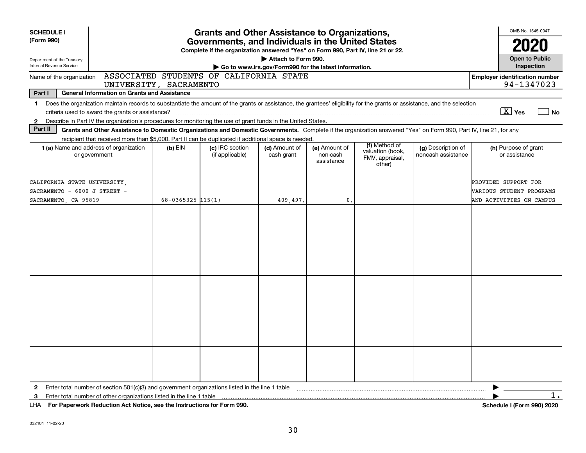| <b>SCHEDULE I</b><br>(Form 990)                                                      |                                                                                                                                                                                                                                                                                           |                        | <b>Grants and Other Assistance to Organizations,</b><br>Governments, and Individuals in the United States |                                                                              |                                         |                                                                |                                          | OMB No. 1545-0047                                                            |
|--------------------------------------------------------------------------------------|-------------------------------------------------------------------------------------------------------------------------------------------------------------------------------------------------------------------------------------------------------------------------------------------|------------------------|-----------------------------------------------------------------------------------------------------------|------------------------------------------------------------------------------|-----------------------------------------|----------------------------------------------------------------|------------------------------------------|------------------------------------------------------------------------------|
| Department of the Treasury<br>Internal Revenue Service                               |                                                                                                                                                                                                                                                                                           |                        | Complete if the organization answered "Yes" on Form 990, Part IV, line 21 or 22.                          | Attach to Form 990.<br>Go to www.irs.gov/Form990 for the latest information. |                                         |                                                                |                                          | 2020<br><b>Open to Public</b><br>Inspection                                  |
| Name of the organization                                                             |                                                                                                                                                                                                                                                                                           | UNIVERSITY, SACRAMENTO | ASSOCIATED STUDENTS OF CALIFORNIA STATE                                                                   |                                                                              |                                         |                                                                |                                          | <b>Employer identification number</b><br>94-1347023                          |
| Part I                                                                               | <b>General Information on Grants and Assistance</b>                                                                                                                                                                                                                                       |                        |                                                                                                           |                                                                              |                                         |                                                                |                                          |                                                                              |
| $\mathbf 1$<br>$\mathbf{2}$                                                          | Does the organization maintain records to substantiate the amount of the grants or assistance, the grantees' eligibility for the grants or assistance, and the selection<br>Describe in Part IV the organization's procedures for monitoring the use of grant funds in the United States. |                        |                                                                                                           |                                                                              |                                         |                                                                |                                          | $\boxed{\text{X}}$ Yes<br>⊿ No                                               |
| Part II                                                                              | Grants and Other Assistance to Domestic Organizations and Domestic Governments. Complete if the organization answered "Yes" on Form 990, Part IV, line 21, for any                                                                                                                        |                        |                                                                                                           |                                                                              |                                         |                                                                |                                          |                                                                              |
|                                                                                      | recipient that received more than \$5,000. Part II can be duplicated if additional space is needed.<br>1 (a) Name and address of organization<br>or government                                                                                                                            | $(b)$ EIN              | (c) IRC section<br>(if applicable)                                                                        | (d) Amount of<br>cash grant                                                  | (e) Amount of<br>non-cash<br>assistance | (f) Method of<br>valuation (book,<br>FMV, appraisal,<br>other) | (g) Description of<br>noncash assistance | (h) Purpose of grant<br>or assistance                                        |
| CALIFORNIA STATE UNIVERSITY,<br>SACRAMENTO - 6000 J STREET -<br>SACRAMENTO, CA 95819 |                                                                                                                                                                                                                                                                                           | $68 - 0365325$ 115(1)  |                                                                                                           | 409,497.                                                                     | 0.                                      |                                                                |                                          | PROVIDED SUPPORT FOR<br>VARIOUS STUDENT PROGRAMS<br>AND ACTIVITIES ON CAMPUS |
|                                                                                      |                                                                                                                                                                                                                                                                                           |                        |                                                                                                           |                                                                              |                                         |                                                                |                                          |                                                                              |
|                                                                                      |                                                                                                                                                                                                                                                                                           |                        |                                                                                                           |                                                                              |                                         |                                                                |                                          |                                                                              |
|                                                                                      |                                                                                                                                                                                                                                                                                           |                        |                                                                                                           |                                                                              |                                         |                                                                |                                          |                                                                              |
|                                                                                      |                                                                                                                                                                                                                                                                                           |                        |                                                                                                           |                                                                              |                                         |                                                                |                                          |                                                                              |
|                                                                                      |                                                                                                                                                                                                                                                                                           |                        |                                                                                                           |                                                                              |                                         |                                                                |                                          |                                                                              |
| $\mathbf{2}$<br>3                                                                    | UIA Des Denamirads Dedication Act Nation and the Instructions for Form 000                                                                                                                                                                                                                |                        |                                                                                                           |                                                                              |                                         |                                                                |                                          | $\overline{1}$ .<br>Calconials I (Famo<br>0.001000                           |

**For Paperwork Reduction Act Notice, see the Instructions for Form 990. Schedule I (Form 990) 2020** LHA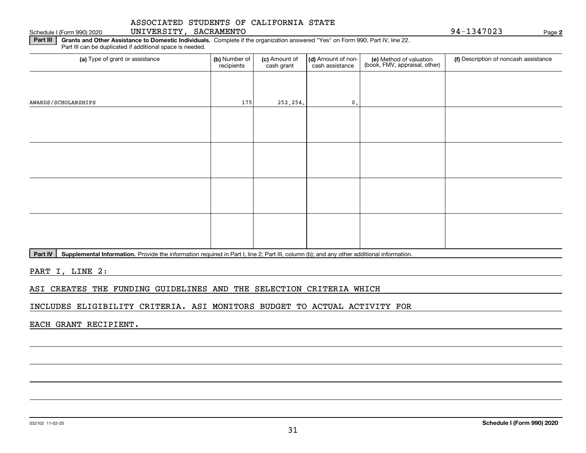#### Schedule I (Form 990) 2020 UNIVERSITY, SACRAMENTO 9 4-1347023 Page

**2**

**Part III | Grants and Other Assistance to Domestic Individuals. Complete if the organization answered "Yes" on Form 990, Part IV, line 22.** Part III can be duplicated if additional space is needed.

| (b) Number of<br>recipients | (c) Amount of<br>cash grant | cash assistance | (e) Method of valuation<br>(book, FMV, appraisal, other) | (f) Description of noncash assistance |
|-----------------------------|-----------------------------|-----------------|----------------------------------------------------------|---------------------------------------|
|                             |                             |                 |                                                          |                                       |
|                             |                             | 0.              |                                                          |                                       |
|                             |                             |                 |                                                          |                                       |
|                             |                             |                 |                                                          |                                       |
|                             |                             |                 |                                                          |                                       |
|                             |                             |                 |                                                          |                                       |
|                             |                             |                 |                                                          |                                       |
|                             |                             |                 |                                                          |                                       |
|                             |                             |                 |                                                          |                                       |
|                             |                             |                 |                                                          |                                       |
|                             |                             | 175             | 252, 254.                                                | (d) Amount of non-                    |

Part IV | Supplemental Information. Provide the information required in Part I, line 2; Part III, column (b); and any other additional information.

PART I, LINE 2:

ASI CREATES THE FUNDING GUIDELINES AND THE SELECTION CRITERIA WHICH

INCLUDES ELIGIBILITY CRITERIA. ASI MONITORS BUDGET TO ACTUAL ACTIVITY FOR

EACH GRANT RECIPIENT.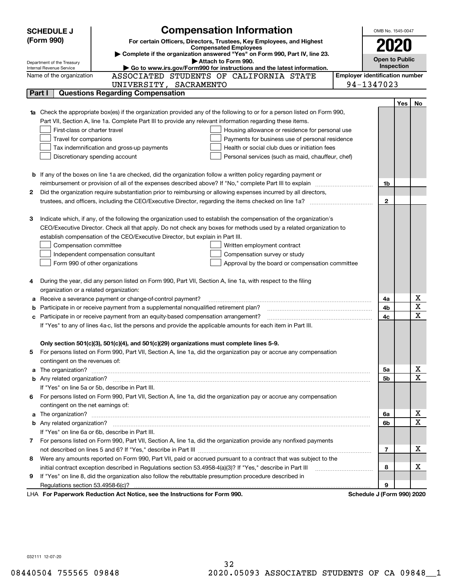| <b>SCHEDULE J</b>                                                                                                                | <b>Compensation Information</b>                                                                                                                                                                                                      |  | OMB No. 1545-0047          |     |                         |  |  |  |  |
|----------------------------------------------------------------------------------------------------------------------------------|--------------------------------------------------------------------------------------------------------------------------------------------------------------------------------------------------------------------------------------|--|----------------------------|-----|-------------------------|--|--|--|--|
| (Form 990)                                                                                                                       | For certain Officers, Directors, Trustees, Key Employees, and Highest                                                                                                                                                                |  |                            |     |                         |  |  |  |  |
| <b>Compensated Employees</b>                                                                                                     |                                                                                                                                                                                                                                      |  |                            |     |                         |  |  |  |  |
| Complete if the organization answered "Yes" on Form 990, Part IV, line 23.<br><b>Open to Public</b><br>Attach to Form 990.       |                                                                                                                                                                                                                                      |  |                            |     |                         |  |  |  |  |
| Department of the Treasury<br>Go to www.irs.gov/Form990 for instructions and the latest information.<br>Internal Revenue Service |                                                                                                                                                                                                                                      |  |                            |     |                         |  |  |  |  |
|                                                                                                                                  | <b>Employer identification number</b><br>ASSOCIATED STUDENTS OF CALIFORNIA STATE<br>Name of the organization                                                                                                                         |  |                            |     |                         |  |  |  |  |
|                                                                                                                                  | UNIVERSITY, SACRAMENTO                                                                                                                                                                                                               |  | 94-1347023                 |     |                         |  |  |  |  |
| Part I                                                                                                                           | <b>Questions Regarding Compensation</b>                                                                                                                                                                                              |  |                            |     |                         |  |  |  |  |
|                                                                                                                                  |                                                                                                                                                                                                                                      |  |                            | Yes | No                      |  |  |  |  |
|                                                                                                                                  | <b>1a</b> Check the appropriate box(es) if the organization provided any of the following to or for a person listed on Form 990,                                                                                                     |  |                            |     |                         |  |  |  |  |
|                                                                                                                                  | Part VII, Section A, line 1a. Complete Part III to provide any relevant information regarding these items.                                                                                                                           |  |                            |     |                         |  |  |  |  |
|                                                                                                                                  | First-class or charter travel<br>Housing allowance or residence for personal use                                                                                                                                                     |  |                            |     |                         |  |  |  |  |
| Travel for companions                                                                                                            | Payments for business use of personal residence                                                                                                                                                                                      |  |                            |     |                         |  |  |  |  |
|                                                                                                                                  | Tax indemnification and gross-up payments<br>Health or social club dues or initiation fees                                                                                                                                           |  |                            |     |                         |  |  |  |  |
|                                                                                                                                  | Discretionary spending account<br>Personal services (such as maid, chauffeur, chef)                                                                                                                                                  |  |                            |     |                         |  |  |  |  |
|                                                                                                                                  |                                                                                                                                                                                                                                      |  |                            |     |                         |  |  |  |  |
|                                                                                                                                  | <b>b</b> If any of the boxes on line 1a are checked, did the organization follow a written policy regarding payment or                                                                                                               |  |                            |     |                         |  |  |  |  |
|                                                                                                                                  | reimbursement or provision of all of the expenses described above? If "No," complete Part III to explain                                                                                                                             |  | 1b                         |     |                         |  |  |  |  |
| 2                                                                                                                                | Did the organization require substantiation prior to reimbursing or allowing expenses incurred by all directors,                                                                                                                     |  |                            |     |                         |  |  |  |  |
|                                                                                                                                  |                                                                                                                                                                                                                                      |  | $\mathbf{2}$               |     |                         |  |  |  |  |
|                                                                                                                                  |                                                                                                                                                                                                                                      |  |                            |     |                         |  |  |  |  |
| З                                                                                                                                | Indicate which, if any, of the following the organization used to establish the compensation of the organization's                                                                                                                   |  |                            |     |                         |  |  |  |  |
|                                                                                                                                  | CEO/Executive Director. Check all that apply. Do not check any boxes for methods used by a related organization to                                                                                                                   |  |                            |     |                         |  |  |  |  |
|                                                                                                                                  | establish compensation of the CEO/Executive Director, but explain in Part III.                                                                                                                                                       |  |                            |     |                         |  |  |  |  |
| Compensation committee                                                                                                           | Written employment contract                                                                                                                                                                                                          |  |                            |     |                         |  |  |  |  |
|                                                                                                                                  | Compensation survey or study<br>Independent compensation consultant                                                                                                                                                                  |  |                            |     |                         |  |  |  |  |
|                                                                                                                                  | Form 990 of other organizations<br>Approval by the board or compensation committee                                                                                                                                                   |  |                            |     |                         |  |  |  |  |
|                                                                                                                                  |                                                                                                                                                                                                                                      |  |                            |     |                         |  |  |  |  |
|                                                                                                                                  | During the year, did any person listed on Form 990, Part VII, Section A, line 1a, with respect to the filing                                                                                                                         |  |                            |     |                         |  |  |  |  |
|                                                                                                                                  | organization or a related organization:                                                                                                                                                                                              |  |                            |     |                         |  |  |  |  |
|                                                                                                                                  | Receive a severance payment or change-of-control payment?                                                                                                                                                                            |  | 4a                         |     | x                       |  |  |  |  |
| b                                                                                                                                | Participate in or receive payment from a supplemental nonqualified retirement plan?                                                                                                                                                  |  |                            |     |                         |  |  |  |  |
| с                                                                                                                                | Participate in or receive payment from an equity-based compensation arrangement?                                                                                                                                                     |  | 4c                         |     | $\overline{\mathbf{x}}$ |  |  |  |  |
| If "Yes" to any of lines 4a-c, list the persons and provide the applicable amounts for each item in Part III.                    |                                                                                                                                                                                                                                      |  |                            |     |                         |  |  |  |  |
|                                                                                                                                  |                                                                                                                                                                                                                                      |  |                            |     |                         |  |  |  |  |
|                                                                                                                                  | Only section 501(c)(3), 501(c)(4), and 501(c)(29) organizations must complete lines 5-9.                                                                                                                                             |  |                            |     |                         |  |  |  |  |
| 5.                                                                                                                               | For persons listed on Form 990, Part VII, Section A, line 1a, did the organization pay or accrue any compensation                                                                                                                    |  |                            |     |                         |  |  |  |  |
| contingent on the revenues of:                                                                                                   |                                                                                                                                                                                                                                      |  |                            |     |                         |  |  |  |  |
|                                                                                                                                  | a The organization? <b>Entitled Strategies and Strategies and Strategies and Strategies and Strategies and Strategies and Strategies and Strategies and Strategies and Strategies and Strategies and Strategies and Strategies a</b> |  | 5a                         |     | <u>x</u>                |  |  |  |  |
|                                                                                                                                  |                                                                                                                                                                                                                                      |  | 5b                         |     | $\overline{\mathbf{x}}$ |  |  |  |  |
|                                                                                                                                  | If "Yes" on line 5a or 5b, describe in Part III.                                                                                                                                                                                     |  |                            |     |                         |  |  |  |  |
| 6.                                                                                                                               | For persons listed on Form 990, Part VII, Section A, line 1a, did the organization pay or accrue any compensation                                                                                                                    |  |                            |     |                         |  |  |  |  |
| contingent on the net earnings of:                                                                                               |                                                                                                                                                                                                                                      |  |                            |     |                         |  |  |  |  |
|                                                                                                                                  |                                                                                                                                                                                                                                      |  | 6a                         |     | <u>x</u>                |  |  |  |  |
|                                                                                                                                  |                                                                                                                                                                                                                                      |  | 6b                         |     | $\overline{\mathbf{x}}$ |  |  |  |  |
|                                                                                                                                  | If "Yes" on line 6a or 6b, describe in Part III.                                                                                                                                                                                     |  |                            |     |                         |  |  |  |  |
|                                                                                                                                  | 7 For persons listed on Form 990, Part VII, Section A, line 1a, did the organization provide any nonfixed payments                                                                                                                   |  |                            |     |                         |  |  |  |  |
|                                                                                                                                  |                                                                                                                                                                                                                                      |  | 7                          |     | х                       |  |  |  |  |
| 8                                                                                                                                | Were any amounts reported on Form 990, Part VII, paid or accrued pursuant to a contract that was subject to the                                                                                                                      |  |                            |     |                         |  |  |  |  |
|                                                                                                                                  |                                                                                                                                                                                                                                      |  | 8                          |     | х                       |  |  |  |  |
| 9                                                                                                                                | If "Yes" on line 8, did the organization also follow the rebuttable presumption procedure described in                                                                                                                               |  |                            |     |                         |  |  |  |  |
|                                                                                                                                  |                                                                                                                                                                                                                                      |  | 9                          |     |                         |  |  |  |  |
|                                                                                                                                  | LHA For Paperwork Reduction Act Notice, see the Instructions for Form 990.                                                                                                                                                           |  | Schedule J (Form 990) 2020 |     |                         |  |  |  |  |
|                                                                                                                                  |                                                                                                                                                                                                                                      |  |                            |     |                         |  |  |  |  |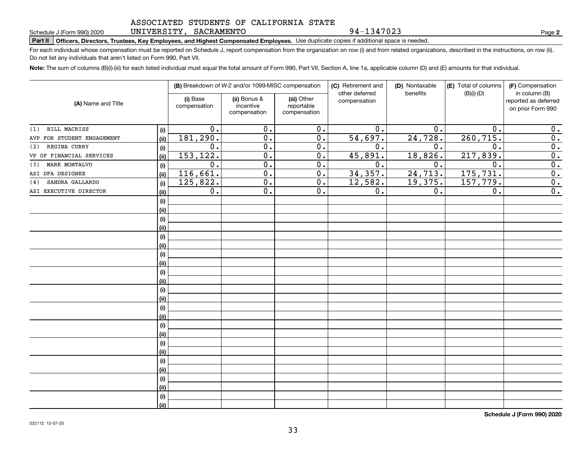#### UNIVERSITY, SACRAMENTO

94-1347023

**2**

## Schedule J (Form 990) 2020 UNLVERSITY,SACRAMENTO<br>Part II | Officers, Directors, Trustees, Key Employees, and Highest Compensated Employees. Use duplicate copies if additional space is needed.

For each individual whose compensation must be reported on Schedule J, report compensation from the organization on row (i) and from related organizations, described in the instructions, on row (ii). Do not list any individuals that aren't listed on Form 990, Part VII.

**Note:**  The sum of columns (B)(i)-(iii) for each listed individual must equal the total amount of Form 990, Part VII, Section A, line 1a, applicable column (D) and (E) amounts for that individual.

|                            |      |                          | (B) Breakdown of W-2 and/or 1099-MISC compensation |                                           | (C) Retirement and<br>other deferred | (D) Nontaxable<br>benefits | (E) Total of columns<br>$(B)(i)-(D)$ | (F) Compensation<br>in column (B)         |
|----------------------------|------|--------------------------|----------------------------------------------------|-------------------------------------------|--------------------------------------|----------------------------|--------------------------------------|-------------------------------------------|
| (A) Name and Title         |      | (i) Base<br>compensation | (ii) Bonus &<br>incentive<br>compensation          | (iii) Other<br>reportable<br>compensation | compensation                         |                            |                                      | reported as deferred<br>on prior Form 990 |
| <b>BILL MACRISS</b><br>(1) | (i)  | 0.                       | 0.                                                 | 0.                                        | 0.                                   | 0.                         | $\mathbf 0$ .                        | 0.                                        |
| AVP FOR STUDENT ENGAGEMENT | (ii) | 181, 290.                | 0.                                                 | $\overline{0}$ .                          | 54,697.                              | 24,728.                    | 260, 715.                            | $\overline{0}$ .                          |
| REGINA CURRY<br>(2)        | (i)  | 0.                       | 0.                                                 | 0.                                        | 0.                                   | 0.                         | $\mathbf 0$ .                        | 0.                                        |
| VP OF FINANCIAL SERVICES   | (ii) | 153,122.                 | 0.                                                 | 0.                                        | 45,891.                              | 18,826.                    | 217,839.                             | $\overline{0}$ .                          |
| MARK MONTALVO<br>(3)       | (i)  | $\overline{0}$ .         | $\overline{0}$ .                                   | $\overline{0}$ .                          | $\overline{0}$ .                     | $\overline{0}$ .           | $\overline{0}$ .                     | $\overline{0}$ .                          |
| ASI DFA DESIGNEE           | (ii) | 116,661.                 | $\overline{0}$ .                                   | $\overline{0}$ .                          | 34, 357.                             | 24, 713.                   | 175, 731.                            | $\overline{0}$ .                          |
| SANDRA GALLARDO<br>(4)     | (i)  | 125,822.                 | $\overline{0}$ .                                   | $\overline{0}$ .                          | 12,582.                              | 19,375.                    | 157,779.                             | $\overline{0}$ .                          |
| ASI EXECUTIVE DIRECTOR     | (ii) | $\overline{0}$ .         | $\overline{0}$ .                                   | $\overline{0}$ .                          | $\overline{0}$ .                     | $\overline{0}$ .           | $\overline{0}$ .                     | $\overline{0}$ .                          |
|                            | (i)  |                          |                                                    |                                           |                                      |                            |                                      |                                           |
|                            | (ii) |                          |                                                    |                                           |                                      |                            |                                      |                                           |
|                            | (i)  |                          |                                                    |                                           |                                      |                            |                                      |                                           |
|                            | (ii) |                          |                                                    |                                           |                                      |                            |                                      |                                           |
|                            | (i)  |                          |                                                    |                                           |                                      |                            |                                      |                                           |
|                            | (ii) |                          |                                                    |                                           |                                      |                            |                                      |                                           |
|                            | (i)  |                          |                                                    |                                           |                                      |                            |                                      |                                           |
|                            | (ii) |                          |                                                    |                                           |                                      |                            |                                      |                                           |
|                            | (i)  |                          |                                                    |                                           |                                      |                            |                                      |                                           |
|                            | (ii) |                          |                                                    |                                           |                                      |                            |                                      |                                           |
|                            | (i)  |                          |                                                    |                                           |                                      |                            |                                      |                                           |
|                            | (ii) |                          |                                                    |                                           |                                      |                            |                                      |                                           |
|                            | (i)  |                          |                                                    |                                           |                                      |                            |                                      |                                           |
|                            | (ii) |                          |                                                    |                                           |                                      |                            |                                      |                                           |
|                            | (i)  |                          |                                                    |                                           |                                      |                            |                                      |                                           |
|                            | (ii) |                          |                                                    |                                           |                                      |                            |                                      |                                           |
|                            | (i)  |                          |                                                    |                                           |                                      |                            |                                      |                                           |
|                            | (ii) |                          |                                                    |                                           |                                      |                            |                                      |                                           |
|                            | (i)  |                          |                                                    |                                           |                                      |                            |                                      |                                           |
|                            | (ii) |                          |                                                    |                                           |                                      |                            |                                      |                                           |
|                            | (i)  |                          |                                                    |                                           |                                      |                            |                                      |                                           |
|                            | (ii) |                          |                                                    |                                           |                                      |                            |                                      |                                           |
|                            | (i)  |                          |                                                    |                                           |                                      |                            |                                      |                                           |
|                            | (ii) |                          |                                                    |                                           |                                      |                            |                                      |                                           |

**Schedule J (Form 990) 2020**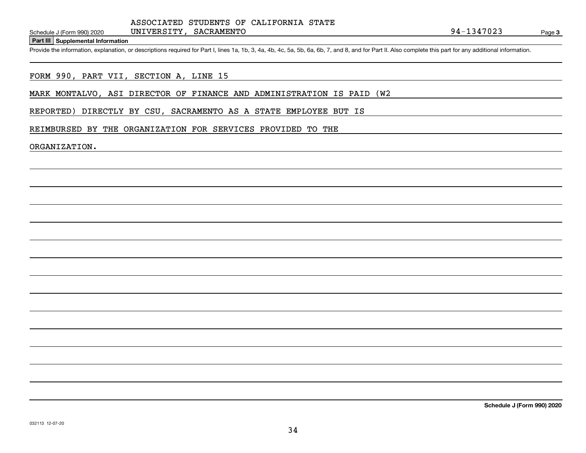**Part III Supplemental Information**

Schedule J (Form 990) 2020 UNIVERSITY, SACRAMENTO<br>
Part III Supplemental Information<br>
Provide the information, explanation, or descriptions required for Part I, lines 1a, 1b, 3, 4a, 4b, 4c, 5a, 5b, 6a, 6b, 7, and 8, and fo

FORM 990, PART VII, SECTION A, LINE 15

MARK MONTALVO, ASI DIRECTOR OF FINANCE AND ADMINISTRATION IS PAID (W2

REPORTED) DIRECTLY BY CSU, SACRAMENTO AS A STATE EMPLOYEE BUT IS

#### REIMBURSED BY THE ORGANIZATION FOR SERVICES PROVIDED TO THE

UNIVERSITY, SACRAMENTO

ORGANIZATION.

**Schedule J (Form 990) 2020**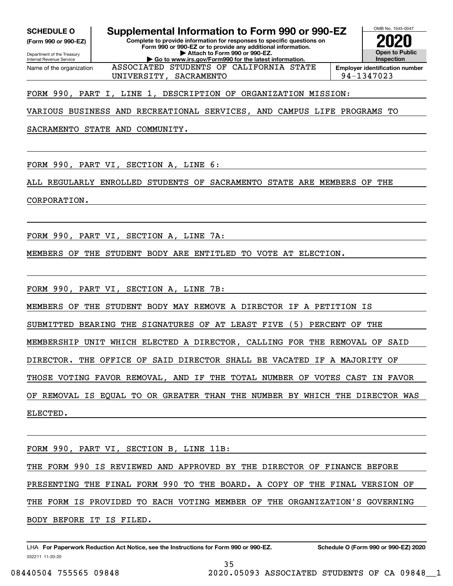Internal Revenue Service

Department of the Treasury **(Form 990 or 990-EZ)**

Name of the organization

**SCHEDULE O Supplemental Information to Form 990 or 990-EZ**

**Complete to provide information for responses to specific questions on Form 990 or 990-EZ or to provide any additional information. | Attach to Form 990 or 990-EZ. | Go to www.irs.gov/Form990 for the latest information.**



UNIVERSITY, SACRAMENTO 94-1347023

FORM 990, PART I, LINE 1, DESCRIPTION OF ORGANIZATION MISSION:

VARIOUS BUSINESS AND RECREATIONAL SERVICES, AND CAMPUS LIFE PROGRAMS TO

ASSOCIATED STUDENTS OF CALIFORNIA STATE

SACRAMENTO STATE AND COMMUNITY.

FORM 990, PART VI, SECTION A, LINE 6:

ALL REGULARLY ENROLLED STUDENTS OF SACRAMENTO STATE ARE MEMBERS OF THE

CORPORATION.

FORM 990, PART VI, SECTION A, LINE 7A:

MEMBERS OF THE STUDENT BODY ARE ENTITLED TO VOTE AT ELECTION.

FORM 990, PART VI, SECTION A, LINE 7B:

MEMBERS OF THE STUDENT BODY MAY REMOVE A DIRECTOR IF A PETITION IS

SUBMITTED BEARING THE SIGNATURES OF AT LEAST FIVE (5) PERCENT OF THE

MEMBERSHIP UNIT WHICH ELECTED A DIRECTOR, CALLING FOR THE REMOVAL OF SAID

DIRECTOR. THE OFFICE OF SAID DIRECTOR SHALL BE VACATED IF A MAJORITY OF

THOSE VOTING FAVOR REMOVAL, AND IF THE TOTAL NUMBER OF VOTES CAST IN FAVOR

OF REMOVAL IS EQUAL TO OR GREATER THAN THE NUMBER BY WHICH THE DIRECTOR WAS ELECTED.

FORM 990, PART VI, SECTION B, LINE 11B:

THE FORM 990 IS REVIEWED AND APPROVED BY THE DIRECTOR OF FINANCE BEFORE PRESENTING THE FINAL FORM 990 TO THE BOARD. A COPY OF THE FINAL VERSION OF THE FORM IS PROVIDED TO EACH VOTING MEMBER OF THE ORGANIZATION'S GOVERNING BODY BEFORE IT IS FILED.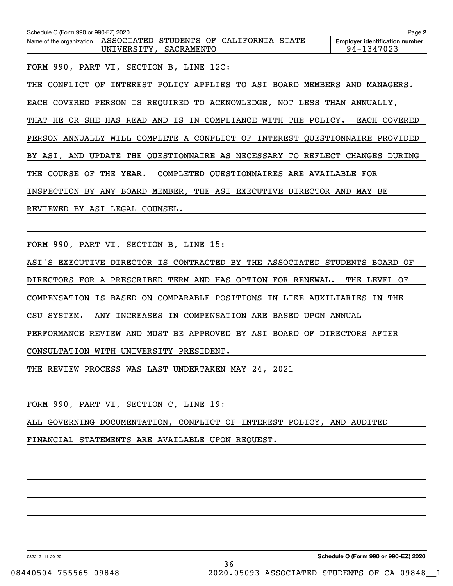| Schedule O (Form 990 or 990-EZ) 2020                                                             | Page 2                                              |
|--------------------------------------------------------------------------------------------------|-----------------------------------------------------|
| ASSOCIATED STUDENTS OF CALIFORNIA STATE<br>Name of the organization<br>UNIVERSITY,<br>SACRAMENTO | <b>Employer identification number</b><br>94-1347023 |
| FORM 990, PART VI, SECTION B, LINE 12C:                                                          |                                                     |
| INTEREST POLICY APPLIES TO ASI BOARD MEMBERS AND MANAGERS.<br>CONFLICT<br>OF<br>THE              |                                                     |
| EACH COVERED PERSON IS REQUIRED TO ACKNOWLEDGE, NOT LESS THAN ANNUALLY,                          |                                                     |
| SHE HAS READ AND IS IN<br>COMPLIANCE<br>WITH THE POLICY.<br>THAT HE<br>OR                        | EACH COVERED                                        |
| PERSON ANNUALLY WILL COMPLETE A CONFLICT OF INTEREST QUESTIONNAIRE PROVIDED                      |                                                     |
| BY ASI, AND UPDATE THE QUESTIONNAIRE AS NECESSARY TO REFLECT                                     | <b>CHANGES</b><br>DURING                            |
| THE YEAR. COMPLETED QUESTIONNAIRES ARE AVAILABLE FOR<br>THE COURSE<br>OF                         |                                                     |
| BY ANY BOARD MEMBER, THE ASI EXECUTIVE DIRECTOR<br>INSPECTION                                    | AND<br>MAY<br>BE                                    |
| REVIEWED BY ASI LEGAL COUNSEL.                                                                   |                                                     |

FORM 990, PART VI, SECTION B, LINE 15:

ASI'S EXECUTIVE DIRECTOR IS CONTRACTED BY THE ASSOCIATED STUDENTS BOARD OF

DIRECTORS FOR A PRESCRIBED TERM AND HAS OPTION FOR RENEWAL. THE LEVEL OF

COMPENSATION IS BASED ON COMPARABLE POSITIONS IN LIKE AUXILIARIES IN THE

CSU SYSTEM. ANY INCREASES IN COMPENSATION ARE BASED UPON ANNUAL

PERFORMANCE REVIEW AND MUST BE APPROVED BY ASI BOARD OF DIRECTORS AFTER

CONSULTATION WITH UNIVERSITY PRESIDENT.

THE REVIEW PROCESS WAS LAST UNDERTAKEN MAY 24, 2021

FORM 990, PART VI, SECTION C, LINE 19:

ALL GOVERNING DOCUMENTATION, CONFLICT OF INTEREST POLICY, AND AUDITED

FINANCIAL STATEMENTS ARE AVAILABLE UPON REQUEST.

032212 11-20-20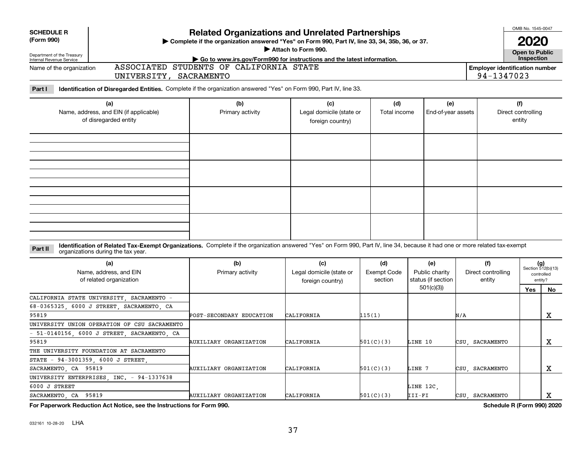| <b>SCHEDULE R</b><br>(Form 990)                                                                                                                                                                                               | OMB No. 1545-0047<br><b>Related Organizations and Unrelated Partnerships</b><br>Complete if the organization answered "Yes" on Form 990, Part IV, line 33, 34, 35b, 36, or 37.<br>Attach to Form 990. |                                                     |                                      |                                                          |                                     |                                     |                                                            |  |  |  |
|-------------------------------------------------------------------------------------------------------------------------------------------------------------------------------------------------------------------------------|-------------------------------------------------------------------------------------------------------------------------------------------------------------------------------------------------------|-----------------------------------------------------|--------------------------------------|----------------------------------------------------------|-------------------------------------|-------------------------------------|------------------------------------------------------------|--|--|--|
| Department of the Treasury<br>Internal Revenue Service                                                                                                                                                                        | Open to Public<br>Inspection<br>Go to www.irs.gov/Form990 for instructions and the latest information.                                                                                                |                                                     |                                      |                                                          |                                     |                                     |                                                            |  |  |  |
| ASSOCIATED STUDENTS OF CALIFORNIA STATE<br>Name of the organization<br><b>Employer identification number</b><br>94-1347023<br>UNIVERSITY, SACRAMENTO                                                                          |                                                                                                                                                                                                       |                                                     |                                      |                                                          |                                     |                                     |                                                            |  |  |  |
| Identification of Disregarded Entities. Complete if the organization answered "Yes" on Form 990, Part IV, line 33.<br>Part I                                                                                                  |                                                                                                                                                                                                       |                                                     |                                      |                                                          |                                     |                                     |                                                            |  |  |  |
| (a)<br>Name, address, and EIN (if applicable)<br>of disregarded entity                                                                                                                                                        | (b)<br>Primary activity                                                                                                                                                                               | (c)<br>Legal domicile (state or<br>foreign country) | (d)<br>Total income                  | (e)<br>End-of-year assets                                |                                     | (f)<br>Direct controlling<br>entity |                                                            |  |  |  |
|                                                                                                                                                                                                                               |                                                                                                                                                                                                       |                                                     |                                      |                                                          |                                     |                                     |                                                            |  |  |  |
|                                                                                                                                                                                                                               |                                                                                                                                                                                                       |                                                     |                                      |                                                          |                                     |                                     |                                                            |  |  |  |
| Identification of Related Tax-Exempt Organizations. Complete if the organization answered "Yes" on Form 990, Part IV, line 34, because it had one or more related tax-exempt<br>Part II<br>organizations during the tax year. |                                                                                                                                                                                                       |                                                     |                                      |                                                          |                                     |                                     |                                                            |  |  |  |
| (a)<br>Name, address, and EIN<br>of related organization                                                                                                                                                                      | (b)<br>Primary activity                                                                                                                                                                               | (c)<br>Legal domicile (state or<br>foreign country) | (d)<br><b>Exempt Code</b><br>section | (e)<br>Public charity<br>status (if section<br>501(c)(3) | (f)<br>Direct controlling<br>entity | Yes                                 | $(g)$<br>Section 512(b)(13)<br>controlled<br>entity?<br>No |  |  |  |
| CALIFORNIA STATE UNIVERSITY SACRAMENTO -<br>6000 J STREET, SACRAMENTO, CA<br>$68 - 0365325$<br>95819                                                                                                                          | POST-SECONDARY EDUCATION                                                                                                                                                                              | CALIFORNIA                                          | 115(1)                               |                                                          | N/A                                 |                                     | $\mathbf X$                                                |  |  |  |
| UNIVERSITY UNION OPERATION OF CSU SACRAMENTO                                                                                                                                                                                  |                                                                                                                                                                                                       |                                                     |                                      |                                                          |                                     |                                     |                                                            |  |  |  |
| 51-0140156, 6000 J STREET, SACRAMENTO, CA                                                                                                                                                                                     |                                                                                                                                                                                                       |                                                     |                                      |                                                          |                                     |                                     |                                                            |  |  |  |
| 95819                                                                                                                                                                                                                         | AUXILIARY ORGANIZATION                                                                                                                                                                                | CALIFORNIA                                          | 501(C)(3)                            | LINE 10                                                  | CSU SACRAMENTO                      |                                     | $\mathbf X$                                                |  |  |  |
| THE UNIVERSITY FOUNDATION AT SACRAMENTO                                                                                                                                                                                       |                                                                                                                                                                                                       |                                                     |                                      |                                                          |                                     |                                     |                                                            |  |  |  |
| STATE - 94-3001359, 6000 J STREET                                                                                                                                                                                             |                                                                                                                                                                                                       |                                                     |                                      |                                                          |                                     |                                     |                                                            |  |  |  |
| SACRAMENTO, CA 95819                                                                                                                                                                                                          | AUXILIARY ORGANIZATION                                                                                                                                                                                | CALIFORNIA                                          | 501(C)(3)                            | LINE 7                                                   | CSU SACRAMENTO                      |                                     | $\mathbf X$                                                |  |  |  |
| UNIVERSITY ENTERPRISES INC. - 94-1337638                                                                                                                                                                                      |                                                                                                                                                                                                       |                                                     |                                      |                                                          |                                     |                                     |                                                            |  |  |  |
| 6000 J STREET                                                                                                                                                                                                                 |                                                                                                                                                                                                       |                                                     |                                      | LINE 12C                                                 |                                     |                                     |                                                            |  |  |  |
| SACRAMENTO CA 95819                                                                                                                                                                                                           | AUXILIARY ORGANIZATION                                                                                                                                                                                | CALIFORNIA                                          | 501(C)(3)                            | III-FI                                                   | CSU SACRAMENTO                      |                                     | $\mathbf X$                                                |  |  |  |
| For Paperwork Reduction Act Notice, see the Instructions for Form 990.                                                                                                                                                        |                                                                                                                                                                                                       |                                                     |                                      |                                                          |                                     | Schedule R (Form 990) 2020          |                                                            |  |  |  |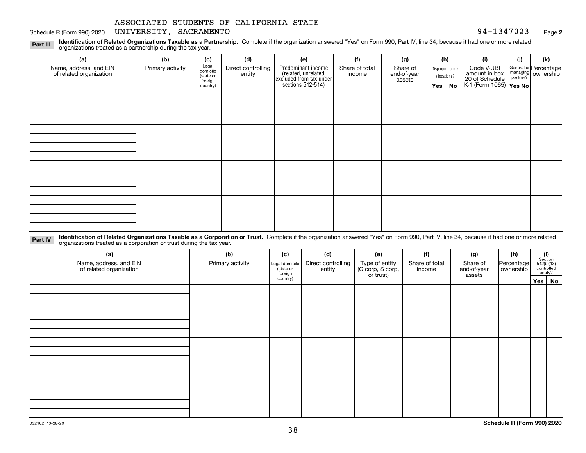#### Schedule R (Form 990) 2020 UNIVERSITY, SACRAMENTO 94-1347023 <sub>Page</sub>

**2**

**Identification of Related Organizations Taxable as a Partnership.** Complete if the organization answered "Yes" on Form 990, Part IV, line 34, because it had one or more related **Part III** organizations treated as a partnership during the tax year.

| (a)                                               | (b)              | (c)                  | (d)                          | (e)                                                                 | (f)                      | (g)                     | (h)              | (i)                                      | (i) | (k)                                                     |
|---------------------------------------------------|------------------|----------------------|------------------------------|---------------------------------------------------------------------|--------------------------|-------------------------|------------------|------------------------------------------|-----|---------------------------------------------------------|
| Name, address, and EIN<br>of related organization | Primary activity | Legal<br>domicile    | Direct controlling<br>entity | Predominant income                                                  | Share of total<br>income | Share of<br>end-of-year | Disproportionate | Code V-UBI<br>amount in box              |     | General or Percentage<br>managing ownership<br>partner? |
|                                                   |                  | (state or<br>foreign |                              | related, unrelated,<br>excluded from tax under<br>sections 512-514) |                          | assets                  | allocations?     |                                          |     |                                                         |
|                                                   |                  | country)             |                              |                                                                     |                          |                         | Yes   No         | 20 of Schedule<br>K-1 (Form 1065) Yes No |     |                                                         |
|                                                   |                  |                      |                              |                                                                     |                          |                         |                  |                                          |     |                                                         |
|                                                   |                  |                      |                              |                                                                     |                          |                         |                  |                                          |     |                                                         |
|                                                   |                  |                      |                              |                                                                     |                          |                         |                  |                                          |     |                                                         |
|                                                   |                  |                      |                              |                                                                     |                          |                         |                  |                                          |     |                                                         |
|                                                   |                  |                      |                              |                                                                     |                          |                         |                  |                                          |     |                                                         |
|                                                   |                  |                      |                              |                                                                     |                          |                         |                  |                                          |     |                                                         |
|                                                   |                  |                      |                              |                                                                     |                          |                         |                  |                                          |     |                                                         |
|                                                   |                  |                      |                              |                                                                     |                          |                         |                  |                                          |     |                                                         |
|                                                   |                  |                      |                              |                                                                     |                          |                         |                  |                                          |     |                                                         |
|                                                   |                  |                      |                              |                                                                     |                          |                         |                  |                                          |     |                                                         |
|                                                   |                  |                      |                              |                                                                     |                          |                         |                  |                                          |     |                                                         |
|                                                   |                  |                      |                              |                                                                     |                          |                         |                  |                                          |     |                                                         |
|                                                   |                  |                      |                              |                                                                     |                          |                         |                  |                                          |     |                                                         |
|                                                   |                  |                      |                              |                                                                     |                          |                         |                  |                                          |     |                                                         |
|                                                   |                  |                      |                              |                                                                     |                          |                         |                  |                                          |     |                                                         |
|                                                   |                  |                      |                              |                                                                     |                          |                         |                  |                                          |     |                                                         |
|                                                   |                  |                      |                              |                                                                     |                          |                         |                  |                                          |     |                                                         |

**Identification of Related Organizations Taxable as a Corporation or Trust.** Complete if the organization answered "Yes" on Form 990, Part IV, line 34, because it had one or more related **Part IV** organizations treated as a corporation or trust during the tax year.

| (a)<br>Name, address, and EIN<br>of related organization | (b)<br>Primary activity | (c)<br>Legal domicile<br>(state or<br>foreign | (d)<br>Direct controlling<br>entity | (e)<br>Type of entity<br>(C corp, S corp,<br>or trust) | (f)<br>Share of total<br>income | (g)<br>Share of<br>end-of-year<br>assets | (h)<br>Percentage<br>ownership | $\begin{array}{c} \textbf{(i)}\\ \text{Section}\\ 512 \text{(b)} \text{(13)}\\ \text{controlled} \\ \text{entity?} \end{array}$ |
|----------------------------------------------------------|-------------------------|-----------------------------------------------|-------------------------------------|--------------------------------------------------------|---------------------------------|------------------------------------------|--------------------------------|---------------------------------------------------------------------------------------------------------------------------------|
|                                                          |                         | country)                                      |                                     |                                                        |                                 |                                          |                                | Yes No                                                                                                                          |
|                                                          |                         |                                               |                                     |                                                        |                                 |                                          |                                |                                                                                                                                 |
|                                                          |                         |                                               |                                     |                                                        |                                 |                                          |                                |                                                                                                                                 |
|                                                          |                         |                                               |                                     |                                                        |                                 |                                          |                                |                                                                                                                                 |
|                                                          |                         |                                               |                                     |                                                        |                                 |                                          |                                |                                                                                                                                 |
|                                                          |                         |                                               |                                     |                                                        |                                 |                                          |                                |                                                                                                                                 |
|                                                          |                         |                                               |                                     |                                                        |                                 |                                          |                                |                                                                                                                                 |
|                                                          |                         |                                               |                                     |                                                        |                                 |                                          |                                |                                                                                                                                 |
|                                                          |                         |                                               |                                     |                                                        |                                 |                                          |                                |                                                                                                                                 |
|                                                          |                         |                                               |                                     |                                                        |                                 |                                          |                                |                                                                                                                                 |
|                                                          |                         |                                               |                                     |                                                        |                                 |                                          |                                |                                                                                                                                 |
|                                                          |                         |                                               |                                     |                                                        |                                 |                                          |                                |                                                                                                                                 |
|                                                          |                         |                                               |                                     |                                                        |                                 |                                          |                                |                                                                                                                                 |
|                                                          |                         |                                               |                                     |                                                        |                                 |                                          |                                |                                                                                                                                 |
|                                                          |                         |                                               |                                     |                                                        |                                 |                                          |                                |                                                                                                                                 |
|                                                          |                         |                                               |                                     |                                                        |                                 |                                          |                                |                                                                                                                                 |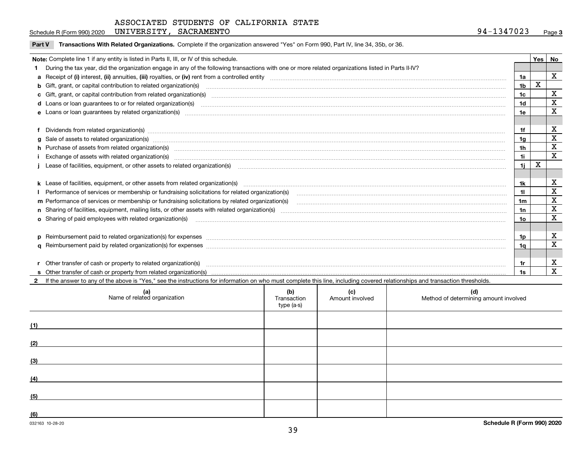| .347023<br><b>SACRAMENTO</b><br>UNIVERSITY<br>94.<br>1347<br>(Form 990) 2020<br>Schedule R (F | Paɑe |  |
|-----------------------------------------------------------------------------------------------|------|--|
|-----------------------------------------------------------------------------------------------|------|--|

 $\overline{\phantom{a}}$ 

**Part V** T**ransactions With Related Organizations.** Complete if the organization answered "Yes" on Form 990, Part IV, line 34, 35b, or 36.

| Note: Complete line 1 if any entity is listed in Parts II, III, or IV of this schedule.<br><b>Yes</b><br>1 During the tax year, did the organization engage in any of the following transactions with one or more related organizations listed in Parts II-IV?<br>1a<br>X<br><b>b</b> Gift, grant, or capital contribution to related organization(s)<br>1b<br>c Gift, grant, or capital contribution from related organization(s) manufaction contribution from related organization(s) manufaction contribution from related organization(s) manufaction contribution from related organiza<br>1c<br>1d<br>d Loans or loan guarantees to or for related organization(s)<br>e Loans or loan quarantees by related organization(s)<br>1e<br>f Dividends from related organization(s) manufactured contains and contained and contained contained and contained and contained and contained and contained and contained and contained and contained and contained and conta<br>g Sale of assets to related organization(s) www.assettion.com/www.assettion.com/www.assettion.com/www.assettion.com/www.assettion.com/www.assettion.com/www.assettion.com/www.assettion.com/www.assettion.com/www.assettion.co<br>1g<br>h Purchase of assets from related organization(s) manufactured and content to the content of the content of the content of the content of the content of the content of the content of the content of the content of the conte<br>1h<br>Exchange of assets with related organization(s) www.array.com/www.array.com/www.array.com/www.array.com/www.array.com/www.array.com/www.array.com/www.array.com/www.array.com/www.array.com/www.array.com/www.array.com/www.ar<br>1i.<br>X<br>1i. |             |
|-----------------------------------------------------------------------------------------------------------------------------------------------------------------------------------------------------------------------------------------------------------------------------------------------------------------------------------------------------------------------------------------------------------------------------------------------------------------------------------------------------------------------------------------------------------------------------------------------------------------------------------------------------------------------------------------------------------------------------------------------------------------------------------------------------------------------------------------------------------------------------------------------------------------------------------------------------------------------------------------------------------------------------------------------------------------------------------------------------------------------------------------------------------------------------------------------------------------------------------------------------------------------------------------------------------------------------------------------------------------------------------------------------------------------------------------------------------------------------------------------------------------------------------------------------------------------------------------------------------------------------------------------------------------------------------------------------------------|-------------|
|                                                                                                                                                                                                                                                                                                                                                                                                                                                                                                                                                                                                                                                                                                                                                                                                                                                                                                                                                                                                                                                                                                                                                                                                                                                                                                                                                                                                                                                                                                                                                                                                                                                                                                                 | No          |
|                                                                                                                                                                                                                                                                                                                                                                                                                                                                                                                                                                                                                                                                                                                                                                                                                                                                                                                                                                                                                                                                                                                                                                                                                                                                                                                                                                                                                                                                                                                                                                                                                                                                                                                 |             |
|                                                                                                                                                                                                                                                                                                                                                                                                                                                                                                                                                                                                                                                                                                                                                                                                                                                                                                                                                                                                                                                                                                                                                                                                                                                                                                                                                                                                                                                                                                                                                                                                                                                                                                                 | X           |
|                                                                                                                                                                                                                                                                                                                                                                                                                                                                                                                                                                                                                                                                                                                                                                                                                                                                                                                                                                                                                                                                                                                                                                                                                                                                                                                                                                                                                                                                                                                                                                                                                                                                                                                 |             |
|                                                                                                                                                                                                                                                                                                                                                                                                                                                                                                                                                                                                                                                                                                                                                                                                                                                                                                                                                                                                                                                                                                                                                                                                                                                                                                                                                                                                                                                                                                                                                                                                                                                                                                                 | х           |
|                                                                                                                                                                                                                                                                                                                                                                                                                                                                                                                                                                                                                                                                                                                                                                                                                                                                                                                                                                                                                                                                                                                                                                                                                                                                                                                                                                                                                                                                                                                                                                                                                                                                                                                 | $\mathbf X$ |
|                                                                                                                                                                                                                                                                                                                                                                                                                                                                                                                                                                                                                                                                                                                                                                                                                                                                                                                                                                                                                                                                                                                                                                                                                                                                                                                                                                                                                                                                                                                                                                                                                                                                                                                 | X           |
|                                                                                                                                                                                                                                                                                                                                                                                                                                                                                                                                                                                                                                                                                                                                                                                                                                                                                                                                                                                                                                                                                                                                                                                                                                                                                                                                                                                                                                                                                                                                                                                                                                                                                                                 |             |
|                                                                                                                                                                                                                                                                                                                                                                                                                                                                                                                                                                                                                                                                                                                                                                                                                                                                                                                                                                                                                                                                                                                                                                                                                                                                                                                                                                                                                                                                                                                                                                                                                                                                                                                 | $\mathbf X$ |
|                                                                                                                                                                                                                                                                                                                                                                                                                                                                                                                                                                                                                                                                                                                                                                                                                                                                                                                                                                                                                                                                                                                                                                                                                                                                                                                                                                                                                                                                                                                                                                                                                                                                                                                 | X           |
|                                                                                                                                                                                                                                                                                                                                                                                                                                                                                                                                                                                                                                                                                                                                                                                                                                                                                                                                                                                                                                                                                                                                                                                                                                                                                                                                                                                                                                                                                                                                                                                                                                                                                                                 | X           |
|                                                                                                                                                                                                                                                                                                                                                                                                                                                                                                                                                                                                                                                                                                                                                                                                                                                                                                                                                                                                                                                                                                                                                                                                                                                                                                                                                                                                                                                                                                                                                                                                                                                                                                                 | $\mathbf x$ |
|                                                                                                                                                                                                                                                                                                                                                                                                                                                                                                                                                                                                                                                                                                                                                                                                                                                                                                                                                                                                                                                                                                                                                                                                                                                                                                                                                                                                                                                                                                                                                                                                                                                                                                                 |             |
|                                                                                                                                                                                                                                                                                                                                                                                                                                                                                                                                                                                                                                                                                                                                                                                                                                                                                                                                                                                                                                                                                                                                                                                                                                                                                                                                                                                                                                                                                                                                                                                                                                                                                                                 |             |
| 1k                                                                                                                                                                                                                                                                                                                                                                                                                                                                                                                                                                                                                                                                                                                                                                                                                                                                                                                                                                                                                                                                                                                                                                                                                                                                                                                                                                                                                                                                                                                                                                                                                                                                                                              | X           |
| Performance of services or membership or fundraising solicitations for related organization(s)<br>11                                                                                                                                                                                                                                                                                                                                                                                                                                                                                                                                                                                                                                                                                                                                                                                                                                                                                                                                                                                                                                                                                                                                                                                                                                                                                                                                                                                                                                                                                                                                                                                                            | X           |
| m Performance of services or membership or fundraising solicitations by related organization(s)<br>1m                                                                                                                                                                                                                                                                                                                                                                                                                                                                                                                                                                                                                                                                                                                                                                                                                                                                                                                                                                                                                                                                                                                                                                                                                                                                                                                                                                                                                                                                                                                                                                                                           | X           |
| 1n                                                                                                                                                                                                                                                                                                                                                                                                                                                                                                                                                                                                                                                                                                                                                                                                                                                                                                                                                                                                                                                                                                                                                                                                                                                                                                                                                                                                                                                                                                                                                                                                                                                                                                              | X           |
| 10                                                                                                                                                                                                                                                                                                                                                                                                                                                                                                                                                                                                                                                                                                                                                                                                                                                                                                                                                                                                                                                                                                                                                                                                                                                                                                                                                                                                                                                                                                                                                                                                                                                                                                              | X           |
|                                                                                                                                                                                                                                                                                                                                                                                                                                                                                                                                                                                                                                                                                                                                                                                                                                                                                                                                                                                                                                                                                                                                                                                                                                                                                                                                                                                                                                                                                                                                                                                                                                                                                                                 |             |
| p Reimbursement paid to related organization(s) for expenses [1111] and the content of the content of the content of the content of the content of the content of the content of the content of the content of the content of<br>1p.                                                                                                                                                                                                                                                                                                                                                                                                                                                                                                                                                                                                                                                                                                                                                                                                                                                                                                                                                                                                                                                                                                                                                                                                                                                                                                                                                                                                                                                                            | х           |
| 1a                                                                                                                                                                                                                                                                                                                                                                                                                                                                                                                                                                                                                                                                                                                                                                                                                                                                                                                                                                                                                                                                                                                                                                                                                                                                                                                                                                                                                                                                                                                                                                                                                                                                                                              | X           |
|                                                                                                                                                                                                                                                                                                                                                                                                                                                                                                                                                                                                                                                                                                                                                                                                                                                                                                                                                                                                                                                                                                                                                                                                                                                                                                                                                                                                                                                                                                                                                                                                                                                                                                                 |             |
| r Other transfer of cash or property to related organization(s)                                                                                                                                                                                                                                                                                                                                                                                                                                                                                                                                                                                                                                                                                                                                                                                                                                                                                                                                                                                                                                                                                                                                                                                                                                                                                                                                                                                                                                                                                                                                                                                                                                                 | х           |
| 1s                                                                                                                                                                                                                                                                                                                                                                                                                                                                                                                                                                                                                                                                                                                                                                                                                                                                                                                                                                                                                                                                                                                                                                                                                                                                                                                                                                                                                                                                                                                                                                                                                                                                                                              | X           |

**2**If the answer to any of the above is "Yes," see the instructions for information on who must complete this line, including covered relationships and transaction thresholds.

| (a)<br>Name of related organization | (b)<br>Transaction<br>type (a-s) | (c)<br>Amount involved | (d)<br>Method of determining amount involved |
|-------------------------------------|----------------------------------|------------------------|----------------------------------------------|
| (1)                                 |                                  |                        |                                              |
| (2)                                 |                                  |                        |                                              |
| (3)                                 |                                  |                        |                                              |
| (4)                                 |                                  |                        |                                              |
| (5)                                 |                                  |                        |                                              |
| (6)                                 |                                  |                        |                                              |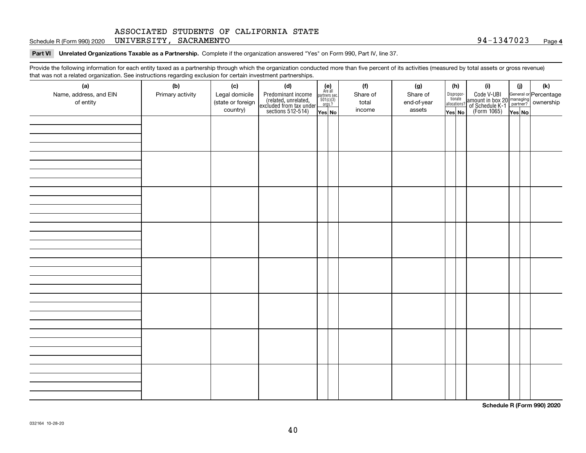Schedule R (Form 990) 2020 UNIVERSITY, SACRAMENTO 94-1347023 <sub>Page</sub>

**Part VI Unrelated Organizations Taxable as a Partnership. Complete if the organization answered "Yes" on Form 990, Part IV, line 37.** 

Provide the following information for each entity taxed as a partnership through which the organization conducted more than five percent of its activities (measured by total assets or gross revenue) that was not a related organization. See instructions regarding exclusion for certain investment partnerships.

| ັ                      | ັ<br>ັ           |                   | . .                                                                                        |                                                                                              |          |             |                                  |                                                                                                        |        |     |
|------------------------|------------------|-------------------|--------------------------------------------------------------------------------------------|----------------------------------------------------------------------------------------------|----------|-------------|----------------------------------|--------------------------------------------------------------------------------------------------------|--------|-----|
| (a)                    | (b)              | (c)               | (d)                                                                                        | (e)<br>Are all                                                                               | (f)      | (g)         | (h)                              | (i)                                                                                                    | (i)    | (k) |
| Name, address, and EIN | Primary activity | Legal domicile    |                                                                                            | $\begin{array}{c}\n\text{partners} & \text{sec.} \\ 501(c)(3) & \text{orgs.?} \n\end{array}$ | Share of | Share of    | Disproportionate<br>allocations? |                                                                                                        |        |     |
| of entity              |                  | (state or foreign |                                                                                            |                                                                                              | total    | end-of-year |                                  |                                                                                                        |        |     |
|                        |                  | country)          | Predominant income<br>(related, unrelated,<br>excluded from tax under<br>sections 512-514) | Yes No                                                                                       | income   | assets      | Yes No                           | Code V-UBI<br>amount in box 20 managing<br>of Schedule K-1 partner? ownership<br>(Form 1065)<br>ves No | Yes No |     |
|                        |                  |                   |                                                                                            |                                                                                              |          |             |                                  |                                                                                                        |        |     |
|                        |                  |                   |                                                                                            |                                                                                              |          |             |                                  |                                                                                                        |        |     |
|                        |                  |                   |                                                                                            |                                                                                              |          |             |                                  |                                                                                                        |        |     |
|                        |                  |                   |                                                                                            |                                                                                              |          |             |                                  |                                                                                                        |        |     |
|                        |                  |                   |                                                                                            |                                                                                              |          |             |                                  |                                                                                                        |        |     |
|                        |                  |                   |                                                                                            |                                                                                              |          |             |                                  |                                                                                                        |        |     |
|                        |                  |                   |                                                                                            |                                                                                              |          |             |                                  |                                                                                                        |        |     |
|                        |                  |                   |                                                                                            |                                                                                              |          |             |                                  |                                                                                                        |        |     |
|                        |                  |                   |                                                                                            |                                                                                              |          |             |                                  |                                                                                                        |        |     |
|                        |                  |                   |                                                                                            |                                                                                              |          |             |                                  |                                                                                                        |        |     |
|                        |                  |                   |                                                                                            |                                                                                              |          |             |                                  |                                                                                                        |        |     |
|                        |                  |                   |                                                                                            |                                                                                              |          |             |                                  |                                                                                                        |        |     |
|                        |                  |                   |                                                                                            |                                                                                              |          |             |                                  |                                                                                                        |        |     |
|                        |                  |                   |                                                                                            |                                                                                              |          |             |                                  |                                                                                                        |        |     |
|                        |                  |                   |                                                                                            |                                                                                              |          |             |                                  |                                                                                                        |        |     |
|                        |                  |                   |                                                                                            |                                                                                              |          |             |                                  |                                                                                                        |        |     |
|                        |                  |                   |                                                                                            |                                                                                              |          |             |                                  |                                                                                                        |        |     |
|                        |                  |                   |                                                                                            |                                                                                              |          |             |                                  |                                                                                                        |        |     |
|                        |                  |                   |                                                                                            |                                                                                              |          |             |                                  |                                                                                                        |        |     |
|                        |                  |                   |                                                                                            |                                                                                              |          |             |                                  |                                                                                                        |        |     |
|                        |                  |                   |                                                                                            |                                                                                              |          |             |                                  |                                                                                                        |        |     |
|                        |                  |                   |                                                                                            |                                                                                              |          |             |                                  |                                                                                                        |        |     |
|                        |                  |                   |                                                                                            |                                                                                              |          |             |                                  |                                                                                                        |        |     |
|                        |                  |                   |                                                                                            |                                                                                              |          |             |                                  |                                                                                                        |        |     |
|                        |                  |                   |                                                                                            |                                                                                              |          |             |                                  |                                                                                                        |        |     |
|                        |                  |                   |                                                                                            |                                                                                              |          |             |                                  |                                                                                                        |        |     |
|                        |                  |                   |                                                                                            |                                                                                              |          |             |                                  |                                                                                                        |        |     |
|                        |                  |                   |                                                                                            |                                                                                              |          |             |                                  |                                                                                                        |        |     |
|                        |                  |                   |                                                                                            |                                                                                              |          |             |                                  |                                                                                                        |        |     |
|                        |                  |                   |                                                                                            |                                                                                              |          |             |                                  |                                                                                                        |        |     |
|                        |                  |                   |                                                                                            |                                                                                              |          |             |                                  |                                                                                                        |        |     |
|                        |                  |                   |                                                                                            |                                                                                              |          |             |                                  |                                                                                                        |        |     |
|                        |                  |                   |                                                                                            |                                                                                              |          |             |                                  |                                                                                                        |        |     |
|                        |                  |                   |                                                                                            |                                                                                              |          |             |                                  |                                                                                                        |        |     |
|                        |                  |                   |                                                                                            |                                                                                              |          |             |                                  |                                                                                                        |        |     |
|                        |                  |                   |                                                                                            |                                                                                              |          |             |                                  |                                                                                                        |        |     |
|                        |                  |                   |                                                                                            |                                                                                              |          |             |                                  |                                                                                                        |        |     |

**Schedule R (Form 990) 2020**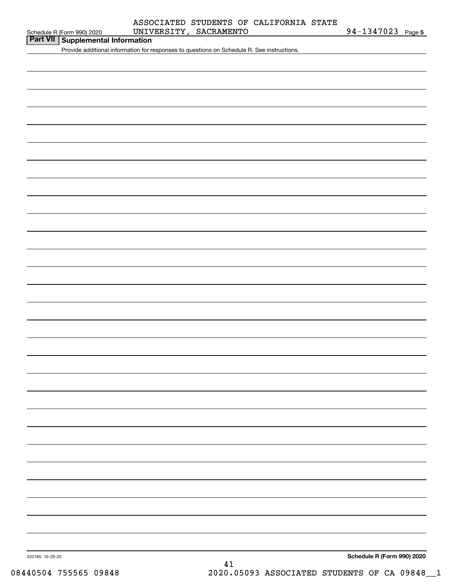| Schedule R (Form 990) 2020 |  |  |
|----------------------------|--|--|

#### Schedule R (Form 990) 2020 UNIVERSITY, SACRAMENTO 94-1347023 Page ASSOCIATED STUDENTS OF CALIFORNIA STATE

**5**

| Part VII Supplemental Information |  |
|-----------------------------------|--|
|-----------------------------------|--|

Provide additional information for responses to questions on Schedule R. See instructions.

**Schedule R (Form 990) 2020**

032165 10-28-20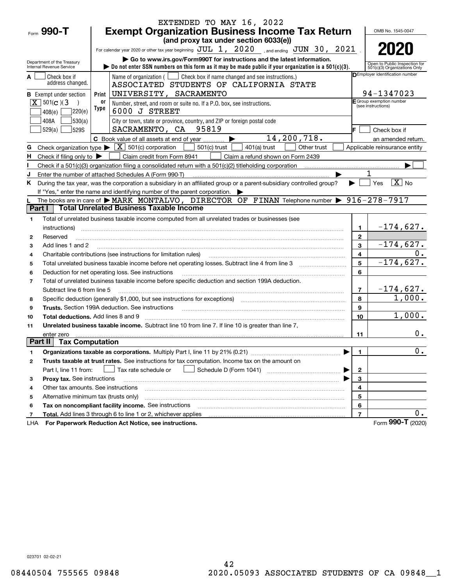|                |                                                                                                                                                                                       |                                                                                                                                                                         | EXTENDED TO MAY 16, 2022                                                                                                                                                                                                                                                                                                                                                                                                                                                              |                         |                                                |  |  |  |  |  |
|----------------|---------------------------------------------------------------------------------------------------------------------------------------------------------------------------------------|-------------------------------------------------------------------------------------------------------------------------------------------------------------------------|---------------------------------------------------------------------------------------------------------------------------------------------------------------------------------------------------------------------------------------------------------------------------------------------------------------------------------------------------------------------------------------------------------------------------------------------------------------------------------------|-------------------------|------------------------------------------------|--|--|--|--|--|
|                | Form 990-T                                                                                                                                                                            |                                                                                                                                                                         | <b>Exempt Organization Business Income Tax Return</b>                                                                                                                                                                                                                                                                                                                                                                                                                                 |                         | OMB No. 1545-0047                              |  |  |  |  |  |
|                |                                                                                                                                                                                       |                                                                                                                                                                         | (and proxy tax under section 6033(e))                                                                                                                                                                                                                                                                                                                                                                                                                                                 |                         |                                                |  |  |  |  |  |
|                |                                                                                                                                                                                       |                                                                                                                                                                         | For calendar year 2020 or other tax year beginning $JUL$ $1, 2020$ , and ending $JUN$ $30, 2021$ .                                                                                                                                                                                                                                                                                                                                                                                    |                         | 2020                                           |  |  |  |  |  |
|                | Go to www.irs.gov/Form990T for instructions and the latest information.<br>Department of the Treasury                                                                                 |                                                                                                                                                                         |                                                                                                                                                                                                                                                                                                                                                                                                                                                                                       |                         |                                                |  |  |  |  |  |
|                | Internal Revenue Service                                                                                                                                                              | Open to Public Inspection for<br>bo not enter SSN numbers on this form as it may be made public if your organization is a $501(c)(3)$ .<br>501(c)(3) Organizations Only |                                                                                                                                                                                                                                                                                                                                                                                                                                                                                       |                         |                                                |  |  |  |  |  |
|                | DEmployer identification number<br>Name of organization ( $\Box$ Check box if name changed and see instructions.)<br>Check box if                                                     |                                                                                                                                                                         |                                                                                                                                                                                                                                                                                                                                                                                                                                                                                       |                         |                                                |  |  |  |  |  |
|                | address changed.                                                                                                                                                                      |                                                                                                                                                                         | ASSOCIATED STUDENTS OF CALIFORNIA STATE                                                                                                                                                                                                                                                                                                                                                                                                                                               |                         |                                                |  |  |  |  |  |
|                | <b>B</b> Exempt under section                                                                                                                                                         | Print                                                                                                                                                                   | UNIVERSITY, SACRAMENTO                                                                                                                                                                                                                                                                                                                                                                                                                                                                |                         | 94-1347023                                     |  |  |  |  |  |
|                | $\boxed{\mathbf{X}}$ 501(c)(3                                                                                                                                                         | 0ľ<br>Type                                                                                                                                                              | Number, street, and room or suite no. If a P.O. box, see instructions.                                                                                                                                                                                                                                                                                                                                                                                                                |                         | E Group exemption number<br>(see instructions) |  |  |  |  |  |
|                | 220(e)<br>408(e)                                                                                                                                                                      |                                                                                                                                                                         | 6000 J STREET                                                                                                                                                                                                                                                                                                                                                                                                                                                                         |                         |                                                |  |  |  |  |  |
|                | 530(a) <br>408A                                                                                                                                                                       |                                                                                                                                                                         | City or town, state or province, country, and ZIP or foreign postal code                                                                                                                                                                                                                                                                                                                                                                                                              |                         |                                                |  |  |  |  |  |
|                | 529(a)<br>529S                                                                                                                                                                        |                                                                                                                                                                         | SACRAMENTO, CA 95819                                                                                                                                                                                                                                                                                                                                                                                                                                                                  |                         | Check box if                                   |  |  |  |  |  |
|                |                                                                                                                                                                                       |                                                                                                                                                                         | 14,200,718.<br>C Book value of all assets at end of year                                                                                                                                                                                                                                                                                                                                                                                                                              |                         | an amended return.                             |  |  |  |  |  |
|                | G Check organization type $\blacktriangleright$                                                                                                                                       |                                                                                                                                                                         | $\boxed{\mathbf{X}}$ 501(c) corporation<br>$501(c)$ trust<br>Other trust<br>$401(a)$ trust                                                                                                                                                                                                                                                                                                                                                                                            |                         | Applicable reinsurance entity                  |  |  |  |  |  |
| н.             | Check if filing only to $\blacktriangleright$                                                                                                                                         |                                                                                                                                                                         | Claim credit from Form 8941<br>Claim a refund shown on Form 2439                                                                                                                                                                                                                                                                                                                                                                                                                      |                         |                                                |  |  |  |  |  |
|                |                                                                                                                                                                                       |                                                                                                                                                                         |                                                                                                                                                                                                                                                                                                                                                                                                                                                                                       |                         |                                                |  |  |  |  |  |
| J              |                                                                                                                                                                                       |                                                                                                                                                                         | Enter the number of attached Schedules A (Form 990-T)                                                                                                                                                                                                                                                                                                                                                                                                                                 |                         |                                                |  |  |  |  |  |
|                | $\boxed{\text{X}}$ No<br>During the tax year, was the corporation a subsidiary in an affiliated group or a parent-subsidiary controlled group?<br>Yes<br>K.                           |                                                                                                                                                                         |                                                                                                                                                                                                                                                                                                                                                                                                                                                                                       |                         |                                                |  |  |  |  |  |
|                | If "Yes," enter the name and identifying number of the parent corporation.                                                                                                            |                                                                                                                                                                         |                                                                                                                                                                                                                                                                                                                                                                                                                                                                                       |                         |                                                |  |  |  |  |  |
|                | The books are in care of $\triangleright$ MARK MONTALVO, DIRECTOR OF FINAN Telephone number $\triangleright$ 916-278-7917<br><b>Total Unrelated Business Taxable Income</b><br>Part I |                                                                                                                                                                         |                                                                                                                                                                                                                                                                                                                                                                                                                                                                                       |                         |                                                |  |  |  |  |  |
|                |                                                                                                                                                                                       |                                                                                                                                                                         |                                                                                                                                                                                                                                                                                                                                                                                                                                                                                       |                         |                                                |  |  |  |  |  |
| 1              | instructions)                                                                                                                                                                         |                                                                                                                                                                         | Total of unrelated business taxable income computed from all unrelated trades or businesses (see                                                                                                                                                                                                                                                                                                                                                                                      | 1                       | $-174,627.$                                    |  |  |  |  |  |
| $\mathbf{2}$   | Reserved                                                                                                                                                                              |                                                                                                                                                                         |                                                                                                                                                                                                                                                                                                                                                                                                                                                                                       | $\overline{2}$          |                                                |  |  |  |  |  |
| 3              | Add lines 1 and 2                                                                                                                                                                     |                                                                                                                                                                         |                                                                                                                                                                                                                                                                                                                                                                                                                                                                                       | 3                       | $-174,627.$                                    |  |  |  |  |  |
| 4              |                                                                                                                                                                                       |                                                                                                                                                                         | Charitable contributions (see instructions for limitation rules)                                                                                                                                                                                                                                                                                                                                                                                                                      | $\overline{\mathbf{4}}$ | 0.                                             |  |  |  |  |  |
| 5              |                                                                                                                                                                                       |                                                                                                                                                                         |                                                                                                                                                                                                                                                                                                                                                                                                                                                                                       | 5                       | $-174,627.$                                    |  |  |  |  |  |
| 6              |                                                                                                                                                                                       |                                                                                                                                                                         | Deduction for net operating loss. See instructions                                                                                                                                                                                                                                                                                                                                                                                                                                    | 6                       |                                                |  |  |  |  |  |
| $\overline{7}$ |                                                                                                                                                                                       |                                                                                                                                                                         | Total of unrelated business taxable income before specific deduction and section 199A deduction.                                                                                                                                                                                                                                                                                                                                                                                      |                         |                                                |  |  |  |  |  |
|                | Subtract line 6 from line 5                                                                                                                                                           |                                                                                                                                                                         |                                                                                                                                                                                                                                                                                                                                                                                                                                                                                       | $\overline{7}$          | $-174,627.$                                    |  |  |  |  |  |
| 8              |                                                                                                                                                                                       |                                                                                                                                                                         | Specific deduction (generally \$1,000, but see instructions for exceptions) manufactured controller and the set                                                                                                                                                                                                                                                                                                                                                                       | 8                       | 1,000.                                         |  |  |  |  |  |
| 9              |                                                                                                                                                                                       |                                                                                                                                                                         | <b>Trusts.</b> Section 199A deduction. See instructions<br>$\overline{a_1, \ldots, a_n, \ldots, a_n, \ldots, a_n, \ldots, a_n, \ldots, a_n, \ldots, a_n, \ldots, a_n, \ldots, a_n, \ldots, a_n, \ldots, a_n, \ldots, a_n, \ldots, a_n, \ldots, a_n, \ldots, a_n, \ldots, a_n, \ldots, a_n, \ldots, a_n, \ldots, a_n, \ldots, a_n, \ldots, a_n, \ldots, a_n, \ldots, a_n, \ldots, a_n, \ldots, a_n, \ldots, a_n, \ldots, a_n, \ldots, a_n, \ldots, a_n, \ldots, a_n, \ldots, a_n, \ld$ | 9                       |                                                |  |  |  |  |  |
| 10             | <b>Total deductions.</b> Add lines 8 and 9                                                                                                                                            |                                                                                                                                                                         |                                                                                                                                                                                                                                                                                                                                                                                                                                                                                       | 10                      | 1,000.                                         |  |  |  |  |  |
| 11             |                                                                                                                                                                                       |                                                                                                                                                                         | Unrelated business taxable income. Subtract line 10 from line 7. If line 10 is greater than line 7,                                                                                                                                                                                                                                                                                                                                                                                   |                         |                                                |  |  |  |  |  |
|                | enter zero                                                                                                                                                                            |                                                                                                                                                                         |                                                                                                                                                                                                                                                                                                                                                                                                                                                                                       | 11                      | $0$ .                                          |  |  |  |  |  |
| Part II        | <b>Tax Computation</b>                                                                                                                                                                |                                                                                                                                                                         |                                                                                                                                                                                                                                                                                                                                                                                                                                                                                       |                         |                                                |  |  |  |  |  |
| 1              |                                                                                                                                                                                       |                                                                                                                                                                         |                                                                                                                                                                                                                                                                                                                                                                                                                                                                                       | 1.                      | $\overline{0}$ .                               |  |  |  |  |  |
| 2              |                                                                                                                                                                                       |                                                                                                                                                                         | Trusts taxable at trust rates. See instructions for tax computation. Income tax on the amount on                                                                                                                                                                                                                                                                                                                                                                                      |                         |                                                |  |  |  |  |  |
|                | Part I, line 11 from:                                                                                                                                                                 |                                                                                                                                                                         | Tax rate schedule or                                                                                                                                                                                                                                                                                                                                                                                                                                                                  | $\mathbf 2$             |                                                |  |  |  |  |  |
| з              | Proxy tax. See instructions                                                                                                                                                           |                                                                                                                                                                         |                                                                                                                                                                                                                                                                                                                                                                                                                                                                                       | 3                       |                                                |  |  |  |  |  |
| 4              | Other tax amounts. See instructions                                                                                                                                                   |                                                                                                                                                                         |                                                                                                                                                                                                                                                                                                                                                                                                                                                                                       | 4                       |                                                |  |  |  |  |  |
| 5              | Alternative minimum tax (trusts only)                                                                                                                                                 |                                                                                                                                                                         |                                                                                                                                                                                                                                                                                                                                                                                                                                                                                       | 5                       |                                                |  |  |  |  |  |
| 6              |                                                                                                                                                                                       |                                                                                                                                                                         | Tax on noncompliant facility income. See instructions                                                                                                                                                                                                                                                                                                                                                                                                                                 | 6                       |                                                |  |  |  |  |  |
| 7              |                                                                                                                                                                                       |                                                                                                                                                                         | Total. Add lines 3 through 6 to line 1 or 2, whichever applies                                                                                                                                                                                                                                                                                                                                                                                                                        | $\overline{7}$          | 0.                                             |  |  |  |  |  |
| LHA            |                                                                                                                                                                                       |                                                                                                                                                                         | For Paperwork Reduction Act Notice, see instructions.                                                                                                                                                                                                                                                                                                                                                                                                                                 |                         | Form 990-T (2020)                              |  |  |  |  |  |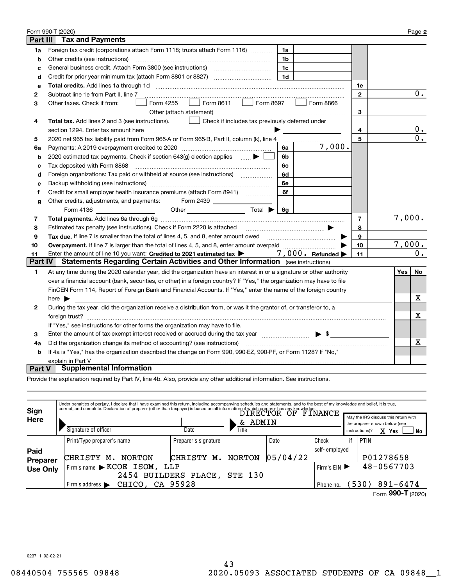|              | Form 990-T (2020)                                                                                                                                                                  |                |      | Page 2           |  |  |  |  |  |  |
|--------------|------------------------------------------------------------------------------------------------------------------------------------------------------------------------------------|----------------|------|------------------|--|--|--|--|--|--|
| Part III     | <b>Tax and Payments</b>                                                                                                                                                            |                |      |                  |  |  |  |  |  |  |
| 1a           | Foreign tax credit (corporations attach Form 1118; trusts attach Form 1116)<br>1a                                                                                                  |                |      |                  |  |  |  |  |  |  |
| b            | Other credits (see instructions)<br>1 <sub>b</sub>                                                                                                                                 |                |      |                  |  |  |  |  |  |  |
| c            | 1 <sub>c</sub>                                                                                                                                                                     |                |      |                  |  |  |  |  |  |  |
| d            | Credit for prior year minimum tax (attach Form 8801 or 8827)<br>1 <sub>d</sub>                                                                                                     |                |      |                  |  |  |  |  |  |  |
| е            |                                                                                                                                                                                    | 1e             |      |                  |  |  |  |  |  |  |
| $\mathbf{2}$ | Subtract line 1e from Part II, line 7                                                                                                                                              | $\mathbf{2}$   |      | $0$ .            |  |  |  |  |  |  |
| 3            | Form 8611     Form 8697<br>Form 4255<br>Form 8866<br>Other taxes. Check if from:<br>$\mathbb{R}^n$                                                                                 |                |      |                  |  |  |  |  |  |  |
|              | Other (attach statement)<br>3                                                                                                                                                      |                |      |                  |  |  |  |  |  |  |
| 4            | Total tax. Add lines 2 and 3 (see instructions).<br>Check if includes tax previously deferred under                                                                                |                |      |                  |  |  |  |  |  |  |
|              | section 1294. Enter tax amount here                                                                                                                                                | 4              |      | 0.               |  |  |  |  |  |  |
| 5            | 2020 net 965 tax liability paid from Form 965-A or Form 965-B, Part II, column (k), line 4                                                                                         | 5              |      | $\overline{0}$ . |  |  |  |  |  |  |
| 6a           | 7,000.<br>Payments: A 2019 overpayment credited to 2020 [11] [11] maximum materials and Payments: A 2019 overpayment credited to 2020 [11] maximum materials and Payments: A<br>6a |                |      |                  |  |  |  |  |  |  |
| b            | 2020 estimated tax payments. Check if section 643(g) election applies<br>6b                                                                                                        |                |      |                  |  |  |  |  |  |  |
| c            | Tax deposited with Form 8868<br>6с                                                                                                                                                 |                |      |                  |  |  |  |  |  |  |
| d            | Foreign organizations: Tax paid or withheld at source (see instructions) [<br>6d                                                                                                   |                |      |                  |  |  |  |  |  |  |
| е            | 6e                                                                                                                                                                                 |                |      |                  |  |  |  |  |  |  |
| f            | 6f                                                                                                                                                                                 |                |      |                  |  |  |  |  |  |  |
| g            | Other credits, adjustments, and payments: Form 2439                                                                                                                                |                |      |                  |  |  |  |  |  |  |
|              | Other $\overline{\qquad \qquad }$ Total $\blacktriangleright \boxed{6g}$<br>Form 4136 $\qquad$                                                                                     |                |      |                  |  |  |  |  |  |  |
| 7            |                                                                                                                                                                                    | $\overline{7}$ |      | 7,000.           |  |  |  |  |  |  |
| 8            |                                                                                                                                                                                    | 8              |      |                  |  |  |  |  |  |  |
| 9            | Tax due. If line 7 is smaller than the total of lines 4, 5, and 8, enter amount owed <i>manumerane infinition</i>                                                                  | 9              |      |                  |  |  |  |  |  |  |
| 10           |                                                                                                                                                                                    | 10             |      | 7,000.           |  |  |  |  |  |  |
| 11           | Enter the amount of line 10 you want: Credited to 2021 estimated tax $\blacktriangleright$ 7,000. Refunded $\blacktriangleright$                                                   | 11             |      | $0$ .            |  |  |  |  |  |  |
| Part IV      | <b>Statements Regarding Certain Activities and Other Information</b> (see instructions)                                                                                            |                |      |                  |  |  |  |  |  |  |
| 1.           | At any time during the 2020 calendar year, did the organization have an interest in or a signature or other authority                                                              |                | Yes∣ | No               |  |  |  |  |  |  |
|              | over a financial account (bank, securities, or other) in a foreign country? If "Yes," the organization may have to file                                                            |                |      |                  |  |  |  |  |  |  |
|              | FinCEN Form 114, Report of Foreign Bank and Financial Accounts. If "Yes," enter the name of the foreign country                                                                    |                |      |                  |  |  |  |  |  |  |
|              | here $\blacktriangleright$                                                                                                                                                         |                |      | х                |  |  |  |  |  |  |
| 2            | During the tax year, did the organization receive a distribution from, or was it the grantor of, or transferor to, a                                                               |                |      |                  |  |  |  |  |  |  |
|              |                                                                                                                                                                                    |                |      | X                |  |  |  |  |  |  |
|              | If "Yes," see instructions for other forms the organization may have to file.                                                                                                      |                |      |                  |  |  |  |  |  |  |
| 3            | Enter the amount of tax-exempt interest received or accrued during the tax year manufactured $\blacktriangleright$ \$                                                              |                |      |                  |  |  |  |  |  |  |
| 4a           | Did the organization change its method of accounting? (see instructions)                                                                                                           |                |      | X                |  |  |  |  |  |  |
| b            | If 4a is "Yes," has the organization described the change on Form 990, 990-EZ, 990-PF, or Form 1128? If "No,"                                                                      |                |      |                  |  |  |  |  |  |  |
|              | explain in Part V                                                                                                                                                                  |                |      |                  |  |  |  |  |  |  |
| Part V       | <b>Supplemental Information</b>                                                                                                                                                    |                |      |                  |  |  |  |  |  |  |

Provide the explanation required by Part IV, line 4b. Also, provide any other additional information. See instructions.

| Sign            |                                       | Under penalties of perjury, I declare that I have examined this return, including accompanying schedules and statements, and to the best of my knowledge and belief, it is true,<br>correct, and complete. Declaration of preparer (other than taxpayer) is based on all information of which preparer has any knowledge.<br>$\mathrm{DTRECTOR}\;\;\mathrm{OF}\;\;\mathrm{FINANCE}$ |                      |          |               |                                                                                                        |                   |  |  |  |  |
|-----------------|---------------------------------------|-------------------------------------------------------------------------------------------------------------------------------------------------------------------------------------------------------------------------------------------------------------------------------------------------------------------------------------------------------------------------------------|----------------------|----------|---------------|--------------------------------------------------------------------------------------------------------|-------------------|--|--|--|--|
| Here            | Signature of officer                  | Date                                                                                                                                                                                                                                                                                                                                                                                | ADMIN<br>&.<br>Title |          |               | May the IRS discuss this return with<br>the preparer shown below (see<br>X Yes<br>No<br>instructions)? |                   |  |  |  |  |
|                 | Print/Type preparer's name            | Preparer's signature                                                                                                                                                                                                                                                                                                                                                                | Date                 |          | Check         | if                                                                                                     | PTIN              |  |  |  |  |
| Paid            |                                       |                                                                                                                                                                                                                                                                                                                                                                                     |                      |          | self-employed |                                                                                                        |                   |  |  |  |  |
| <b>Preparer</b> | <b>CHRISTY</b><br><b>NORTON</b><br>м. | <b>CHRISTY</b><br>м.                                                                                                                                                                                                                                                                                                                                                                | <b>NORTON</b>        | 05/04/22 |               |                                                                                                        | P01278658         |  |  |  |  |
| <b>Use Only</b> |                                       | Firm's name > KCOE ISOM, LLP<br>Firm's $EIN$                                                                                                                                                                                                                                                                                                                                        |                      |          |               |                                                                                                        |                   |  |  |  |  |
|                 |                                       | 2454 BUILDERS PLACE,                                                                                                                                                                                                                                                                                                                                                                | <b>STE 130</b>       |          |               |                                                                                                        |                   |  |  |  |  |
|                 | Firm's address $\blacktriangleright$  | CHICO, CA 95928                                                                                                                                                                                                                                                                                                                                                                     |                      |          |               |                                                                                                        |                   |  |  |  |  |
|                 |                                       |                                                                                                                                                                                                                                                                                                                                                                                     |                      |          |               |                                                                                                        | Form 990-T (2020) |  |  |  |  |
|                 |                                       |                                                                                                                                                                                                                                                                                                                                                                                     |                      |          |               |                                                                                                        |                   |  |  |  |  |

023711 02-02-21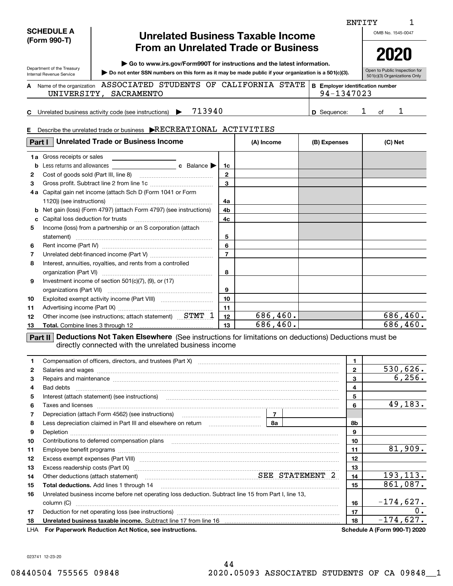| <b>SCHEDULE A</b> |
|-------------------|
| (Form 990-T)      |

Department of the Treasury Internal Revenue Service

**A**

## **Unrelated Business Taxable Income From an Unrelated Trade or Business**

**| Go to www.irs.gov/Form990T for instructions and the latest information.**

**Do not enter SSN numbers on this form as it may be made public if your organization is a 501(c)(3). |** 

501(c)(3) Organizations Only Name of the organization ASSOCIATED STUDENTS OF CALIFORNIA STATE **B** Employer identification number **BE**UNIVERSITY, SACRAMENTO 94-1347023

**C**Unrelated business activity code (see instructions)  $\blacktriangleright$  713940  $\blacktriangleright$   $\blacktriangleright$  Sequence: 1 of

**D**713940 1 1

|              | Describe the unrelated trade or business ERECREATIONAL ACTIVITIES                                                                                                                                                                   |                 |            |    |          |              |              |         |           |
|--------------|-------------------------------------------------------------------------------------------------------------------------------------------------------------------------------------------------------------------------------------|-----------------|------------|----|----------|--------------|--------------|---------|-----------|
|              | Part I   Unrelated Trade or Business Income                                                                                                                                                                                         |                 | (A) Income |    |          | (B) Expenses |              | (C) Net |           |
|              | 1a Gross receipts or sales                                                                                                                                                                                                          |                 |            |    |          |              |              |         |           |
|              | <b>b</b> Less returns and allowances<br>c Balance                                                                                                                                                                                   | 1c              |            |    |          |              |              |         |           |
| $\mathbf{2}$ |                                                                                                                                                                                                                                     | $\mathbf{2}$    |            |    |          |              |              |         |           |
| 3            |                                                                                                                                                                                                                                     | 3               |            |    |          |              |              |         |           |
|              | 4a Capital gain net income (attach Sch D (Form 1041 or Form                                                                                                                                                                         |                 |            |    |          |              |              |         |           |
|              | 1120)) (see instructions)                                                                                                                                                                                                           | 4a              |            |    |          |              |              |         |           |
| b            | Net gain (loss) (Form 4797) (attach Form 4797) (see instructions)                                                                                                                                                                   | 4b              |            |    |          |              |              |         |           |
| с            |                                                                                                                                                                                                                                     | 4c              |            |    |          |              |              |         |           |
| 5            | Income (loss) from a partnership or an S corporation (attach                                                                                                                                                                        |                 |            |    |          |              |              |         |           |
|              |                                                                                                                                                                                                                                     | 5               |            |    |          |              |              |         |           |
| 6            |                                                                                                                                                                                                                                     | 6               |            |    |          |              |              |         |           |
| 7            |                                                                                                                                                                                                                                     | $\overline{7}$  |            |    |          |              |              |         |           |
| 8            | Interest, annuities, royalties, and rents from a controlled                                                                                                                                                                         |                 |            |    |          |              |              |         |           |
|              |                                                                                                                                                                                                                                     | 8               |            |    |          |              |              |         |           |
| 9            | Investment income of section $501(c)(7)$ , (9), or (17)                                                                                                                                                                             |                 |            |    |          |              |              |         |           |
|              |                                                                                                                                                                                                                                     | 9               |            |    |          |              |              |         |           |
| 10           |                                                                                                                                                                                                                                     | 10              |            |    |          |              |              |         |           |
| 11           |                                                                                                                                                                                                                                     | 11              |            |    |          |              |              |         |           |
| 12           | Other income (see instructions; attach statement) STMT 1                                                                                                                                                                            | 12              |            |    | 686,460. |              |              |         | 686,460.  |
| 13           |                                                                                                                                                                                                                                     | 686, 460.<br>13 |            |    |          |              |              |         | 686, 460. |
|              | <b>Part II</b> Deductions Not Taken Elsewhere (See instructions for limitations on deductions) Deductions must be<br>directly connected with the unrelated business income                                                          |                 |            |    |          |              |              |         |           |
| 1            | Compensation of officers, directors, and trustees (Part X) [11] [2010] [2010] [2010] [2010] [2010] [2010] [2010] [2010] [2010] [2010] [2010] [2010] [2010] [2010] [2010] [2010] [2010] [2010] [2010] [2010] [2010] [2010] [201      |                 |            |    |          |              | 1            |         |           |
| 2            | Salaries and wages with the continuum contract of the contract of the contract of the contract of the contract of the contract of the contract of the contract of the contract of the contract of the contract of the contract      |                 |            |    |          |              | $\mathbf{2}$ |         | 530,626.  |
| з            | Repairs and maintenance material continuum contract and maintenance material contract and maintenance material                                                                                                                      |                 |            |    |          |              | 3            |         | 6, 256.   |
| 4            | Bad debts                                                                                                                                                                                                                           |                 |            |    |          |              | 4            |         |           |
| 5            | Interest (attach statement) (see instructions) <b>manually construct in the construction</b> of the construction of the constructions of the construction of the construction of the construction of the construction of the constr |                 |            |    |          |              | 5            |         |           |
| 6            | Taxes and licenses <b>with a construction of the construction of the construction of the construction</b>                                                                                                                           |                 |            |    |          |              | 6            |         | 49,183.   |
| 7            | Depreciation (attach Form 4562) (see instructions)                                                                                                                                                                                  |                 |            | 7  |          |              |              |         |           |
| 8            |                                                                                                                                                                                                                                     |                 |            | 8а |          |              | 8b           |         |           |
| 9            |                                                                                                                                                                                                                                     |                 |            |    |          |              | 9            |         |           |
| 10           | Contributions to deferred compensation plans [10] matter contracts and the contributions to deferred compensation plans                                                                                                             |                 |            |    |          |              | 10           |         |           |
| 11           |                                                                                                                                                                                                                                     |                 |            |    |          |              | 11           |         | 81,909.   |
| 12           | Excess exempt expenses (Part VIII) <b>manually constructed and the experimental construction of the expenses</b> (Part VIII)                                                                                                        |                 |            |    |          |              | 12           |         |           |
| 13           |                                                                                                                                                                                                                                     |                 |            |    |          |              | 13           |         |           |
| 14           | SEE STATEMENT 2<br>Other deductions (attach statement)                                                                                                                                                                              |                 |            |    |          |              | 14           |         | 193,113.  |
| 15           | Total deductions. Add lines 1 through 14                                                                                                                                                                                            |                 |            |    |          |              | 15           |         | 861,087.  |
| 16           | Unrelated business income before net operating loss deduction. Subtract line 15 from Part I, line 13,                                                                                                                               |                 |            |    |          |              |              |         |           |

**1718**

LHA

**16**

-174,627.

ENTITY

OMB No. 1545-0047

Open to Public Inspection for

**2020**

1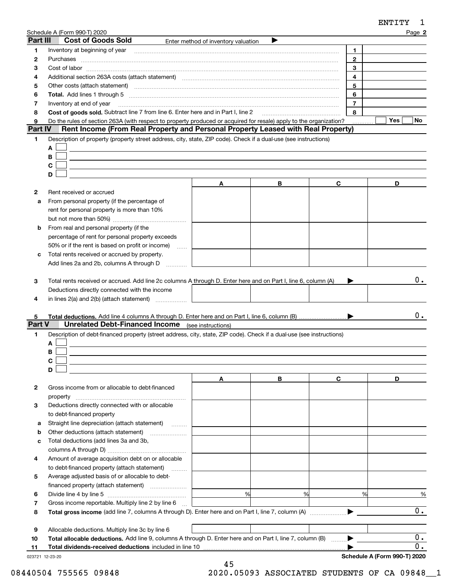|          | Schedule A (Form 990-T) 2020                                                                                                                                                                                                   |                                     |   |                | Page 2           |
|----------|--------------------------------------------------------------------------------------------------------------------------------------------------------------------------------------------------------------------------------|-------------------------------------|---|----------------|------------------|
| Part III | <b>Cost of Goods Sold</b>                                                                                                                                                                                                      | Enter method of inventory valuation |   |                |                  |
| 1        | Inventory at beginning of year [11] manufactured and manufactured and the manufactured and manufactured and ma                                                                                                                 |                                     |   | 1              |                  |
| 2        | Purchases                                                                                                                                                                                                                      |                                     |   | $\overline{2}$ |                  |
| 3        |                                                                                                                                                                                                                                |                                     |   | 3              |                  |
| 4        | Additional section 263A costs (attach statement) material content and according to the Additional section 263A                                                                                                                 |                                     |   | 4              |                  |
| 5        | Other costs (attach statement) with a construction of the costs (attach statement)                                                                                                                                             |                                     |   | 5              |                  |
| 6        | Total. Add lines 1 through 5 [11] manufactured and manufactured and manufactured and manufactured and manufactured and manufactured and manufactured and manufactured and manufactured and manufactured and manufactured and m |                                     |   | 6              |                  |
| 7        | Inventory at end of year                                                                                                                                                                                                       |                                     |   | $\overline{7}$ |                  |
| 8        | Cost of goods sold. Subtract line 7 from line 6. Enter here and in Part I, line 2                                                                                                                                              |                                     |   | 8              |                  |
| 9        | Do the rules of section 263A (with respect to property produced or acquired for resale) apply to the organization?                                                                                                             |                                     |   |                | Yes<br>No.       |
| Part IV  | Rent Income (From Real Property and Personal Property Leased with Real Property)                                                                                                                                               |                                     |   |                |                  |
| 1        | Description of property (property street address, city, state, ZIP code). Check if a dual-use (see instructions)                                                                                                               |                                     |   |                |                  |
|          | A                                                                                                                                                                                                                              |                                     |   |                |                  |
|          | В                                                                                                                                                                                                                              |                                     |   |                |                  |
|          | C                                                                                                                                                                                                                              |                                     |   |                |                  |
|          | D                                                                                                                                                                                                                              |                                     |   |                |                  |
|          |                                                                                                                                                                                                                                | A                                   | В | C              | D                |
| 2        | Rent received or accrued                                                                                                                                                                                                       |                                     |   |                |                  |
| a        | From personal property (if the percentage of                                                                                                                                                                                   |                                     |   |                |                  |
|          | rent for personal property is more than 10%                                                                                                                                                                                    |                                     |   |                |                  |
|          |                                                                                                                                                                                                                                |                                     |   |                |                  |
| b        | From real and personal property (if the                                                                                                                                                                                        |                                     |   |                |                  |
|          | percentage of rent for personal property exceeds                                                                                                                                                                               |                                     |   |                |                  |
|          | 50% or if the rent is based on profit or income)<br><b>Section</b>                                                                                                                                                             |                                     |   |                |                  |
| c        | Total rents received or accrued by property.                                                                                                                                                                                   |                                     |   |                |                  |
|          | Add lines 2a and 2b, columns A through D                                                                                                                                                                                       |                                     |   |                |                  |
| 4<br>5   | Deductions directly connected with the income<br>in lines $2(a)$ and $2(b)$ (attach statement) $\ldots$                                                                                                                        |                                     |   |                | 0.               |
| Part V   | <b>Unrelated Debt-Financed Income</b> (see instructions)                                                                                                                                                                       |                                     |   |                |                  |
| 1        | Description of debt-financed property (street address, city, state, ZIP code). Check if a dual-use (see instructions)                                                                                                          |                                     |   |                |                  |
|          | A                                                                                                                                                                                                                              |                                     |   |                |                  |
|          | В                                                                                                                                                                                                                              |                                     |   |                |                  |
|          |                                                                                                                                                                                                                                |                                     |   |                |                  |
|          | D                                                                                                                                                                                                                              |                                     |   |                |                  |
|          |                                                                                                                                                                                                                                | A                                   | В | C              | D                |
| 2        | Gross income from or allocable to debt-financed                                                                                                                                                                                |                                     |   |                |                  |
|          | property                                                                                                                                                                                                                       |                                     |   |                |                  |
| 3        | Deductions directly connected with or allocable                                                                                                                                                                                |                                     |   |                |                  |
|          | to debt-financed property                                                                                                                                                                                                      |                                     |   |                |                  |
| а        | Straight line depreciation (attach statement)                                                                                                                                                                                  |                                     |   |                |                  |
| b        | Other deductions (attach statement)                                                                                                                                                                                            |                                     |   |                |                  |
| c        | Total deductions (add lines 3a and 3b,                                                                                                                                                                                         |                                     |   |                |                  |
|          |                                                                                                                                                                                                                                |                                     |   |                |                  |
| 4        | Amount of average acquisition debt on or allocable                                                                                                                                                                             |                                     |   |                |                  |
|          | to debt-financed property (attach statement)                                                                                                                                                                                   |                                     |   |                |                  |
| 5        | Average adjusted basis of or allocable to debt-                                                                                                                                                                                |                                     |   |                |                  |
|          | financed property (attach statement)                                                                                                                                                                                           |                                     |   |                |                  |
| 6        |                                                                                                                                                                                                                                | %                                   | % | %              | %                |
| 7        | Gross income reportable. Multiply line 2 by line 6                                                                                                                                                                             |                                     |   |                |                  |
| 8        |                                                                                                                                                                                                                                |                                     |   |                | 0.               |
|          |                                                                                                                                                                                                                                |                                     |   |                |                  |
| 9        | Allocable deductions. Multiply line 3c by line 6                                                                                                                                                                               |                                     |   |                |                  |
| 10       | Total allocable deductions. Add line 9, columns A through D. Enter here and on Part I, line 7, column (B)                                                                                                                      |                                     |   |                | 0.               |
| 11       |                                                                                                                                                                                                                                |                                     |   |                | $\overline{0}$ . |

023721 12-23-20

45 08440504 755565 09848 2020.05093 ASSOCIATED STUDENTS OF CA 09848\_\_1

**Schedule A (Form 990-T) 2020**

ENTITY 1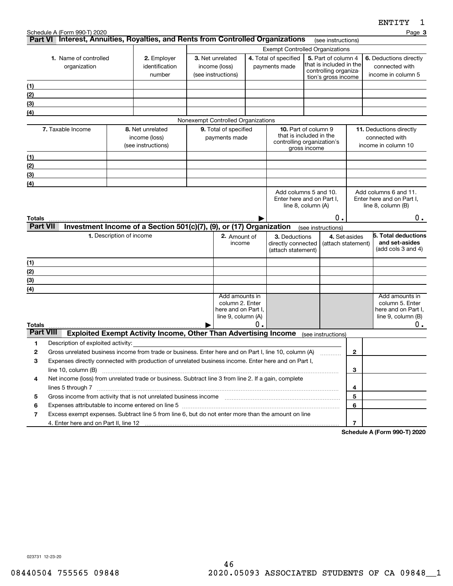|                  | Schedule A (Form 990-T) 2020                                                                                                                                                                                                                          |                          |                                                                        |        |                                    |    |                                                       |                                        |                                                |                                                    | Page 3                                   |  |
|------------------|-------------------------------------------------------------------------------------------------------------------------------------------------------------------------------------------------------------------------------------------------------|--------------------------|------------------------------------------------------------------------|--------|------------------------------------|----|-------------------------------------------------------|----------------------------------------|------------------------------------------------|----------------------------------------------------|------------------------------------------|--|
|                  | Part VI Interest, Annuities, Royalties, and Rents from Controlled Organizations                                                                                                                                                                       |                          |                                                                        |        |                                    |    |                                                       |                                        | (see instructions)                             |                                                    |                                          |  |
|                  |                                                                                                                                                                                                                                                       |                          |                                                                        |        |                                    |    |                                                       | <b>Exempt Controlled Organizations</b> |                                                |                                                    |                                          |  |
|                  | 1. Name of controlled                                                                                                                                                                                                                                 |                          | 2. Employer<br>identification                                          |        | 3. Net unrelated<br>income (loss)  |    | 4. Total of specified<br>payments made                |                                        | 5. Part of column 4<br>that is included in the |                                                    | 6. Deductions directly<br>connected with |  |
|                  | organization                                                                                                                                                                                                                                          |                          | number                                                                 |        | (see instructions)                 |    |                                                       |                                        | controlling organiza-                          |                                                    | income in column 5                       |  |
|                  |                                                                                                                                                                                                                                                       |                          |                                                                        |        |                                    |    |                                                       |                                        | tion's gross income                            |                                                    |                                          |  |
| (1)<br>(2)       |                                                                                                                                                                                                                                                       |                          |                                                                        |        |                                    |    |                                                       |                                        |                                                |                                                    |                                          |  |
| (3)              |                                                                                                                                                                                                                                                       |                          |                                                                        |        |                                    |    |                                                       |                                        |                                                |                                                    |                                          |  |
| (4)              |                                                                                                                                                                                                                                                       |                          |                                                                        |        |                                    |    |                                                       |                                        |                                                |                                                    |                                          |  |
|                  |                                                                                                                                                                                                                                                       |                          |                                                                        |        | Nonexempt Controlled Organizations |    |                                                       |                                        |                                                |                                                    |                                          |  |
|                  | 7. Taxable Income                                                                                                                                                                                                                                     |                          | 8. Net unrelated                                                       |        | 9. Total of specified              |    | <b>10.</b> Part of column 9                           |                                        |                                                |                                                    | 11. Deductions directly                  |  |
|                  |                                                                                                                                                                                                                                                       |                          | income (loss)                                                          |        | payments made                      |    | that is included in the<br>controlling organization's |                                        |                                                |                                                    | connected with                           |  |
|                  |                                                                                                                                                                                                                                                       |                          | (see instructions)                                                     |        |                                    |    |                                                       | gross income                           |                                                |                                                    | income in column 10                      |  |
| (1)              |                                                                                                                                                                                                                                                       |                          |                                                                        |        |                                    |    |                                                       |                                        |                                                |                                                    |                                          |  |
| (2)              |                                                                                                                                                                                                                                                       |                          |                                                                        |        |                                    |    |                                                       |                                        |                                                |                                                    |                                          |  |
| (3)              |                                                                                                                                                                                                                                                       |                          |                                                                        |        |                                    |    |                                                       |                                        |                                                |                                                    |                                          |  |
| (4)              |                                                                                                                                                                                                                                                       |                          |                                                                        |        |                                    |    |                                                       |                                        |                                                |                                                    |                                          |  |
|                  | Add columns 5 and 10.<br>Enter here and on Part I,                                                                                                                                                                                                    |                          |                                                                        |        |                                    |    |                                                       |                                        |                                                | Add columns 6 and 11.<br>Enter here and on Part I, |                                          |  |
|                  | line 8, column (A)                                                                                                                                                                                                                                    |                          |                                                                        |        |                                    |    |                                                       |                                        |                                                | line $8$ , column $(B)$                            |                                          |  |
| Totals           |                                                                                                                                                                                                                                                       |                          |                                                                        |        |                                    |    |                                                       |                                        | О.                                             |                                                    | 0.                                       |  |
| <b>Part VII</b>  |                                                                                                                                                                                                                                                       |                          | Investment Income of a Section 501(c)(7), (9), or (17) Organization    |        |                                    |    |                                                       |                                        | (see instructions)                             |                                                    |                                          |  |
|                  |                                                                                                                                                                                                                                                       | 1. Description of income |                                                                        |        | 2. Amount of                       |    | 3. Deductions                                         |                                        |                                                | 4. Set-asides                                      | 5. Total deductions                      |  |
|                  |                                                                                                                                                                                                                                                       |                          |                                                                        | income |                                    |    | directly connected<br>(attach statement)              |                                        |                                                |                                                    | and set-asides                           |  |
|                  |                                                                                                                                                                                                                                                       |                          |                                                                        |        |                                    |    | (attach statement)                                    |                                        |                                                |                                                    | (add cols 3 and 4)                       |  |
| (1)              |                                                                                                                                                                                                                                                       |                          |                                                                        |        |                                    |    |                                                       |                                        |                                                |                                                    |                                          |  |
| (2)              |                                                                                                                                                                                                                                                       |                          |                                                                        |        |                                    |    |                                                       |                                        |                                                |                                                    |                                          |  |
| (3)              |                                                                                                                                                                                                                                                       |                          |                                                                        |        |                                    |    |                                                       |                                        |                                                |                                                    |                                          |  |
| (4)              |                                                                                                                                                                                                                                                       |                          |                                                                        |        | Add amounts in                     |    |                                                       |                                        |                                                |                                                    | Add amounts in                           |  |
|                  |                                                                                                                                                                                                                                                       |                          |                                                                        |        | column 2. Enter                    |    |                                                       |                                        |                                                |                                                    | column 5. Enter                          |  |
|                  |                                                                                                                                                                                                                                                       |                          |                                                                        |        | here and on Part I,                |    |                                                       |                                        |                                                |                                                    | here and on Part I,                      |  |
| Totals           |                                                                                                                                                                                                                                                       |                          |                                                                        |        | line 9, column (A)                 | О. |                                                       |                                        |                                                |                                                    | line $9$ , column $(B)$<br>0.            |  |
| <b>Part VIII</b> |                                                                                                                                                                                                                                                       |                          | <b>Exploited Exempt Activity Income, Other Than Advertising Income</b> |        |                                    |    |                                                       |                                        | (see instructions)                             |                                                    |                                          |  |
| 1                | Description of exploited activity:                                                                                                                                                                                                                    |                          |                                                                        |        |                                    |    |                                                       |                                        |                                                |                                                    |                                          |  |
| 2                | Gross unrelated business income from trade or business. Enter here and on Part I, line 10, column (A)                                                                                                                                                 |                          |                                                                        |        |                                    |    |                                                       |                                        |                                                | 2                                                  |                                          |  |
| 3                | Expenses directly connected with production of unrelated business income. Enter here and on Part I,                                                                                                                                                   |                          |                                                                        |        |                                    |    |                                                       |                                        |                                                |                                                    |                                          |  |
|                  | line 10, column (B)<br>3                                                                                                                                                                                                                              |                          |                                                                        |        |                                    |    |                                                       |                                        |                                                |                                                    |                                          |  |
| 4                | Net income (loss) from unrelated trade or business. Subtract line 3 from line 2. If a gain, complete                                                                                                                                                  |                          |                                                                        |        |                                    |    |                                                       |                                        |                                                |                                                    |                                          |  |
|                  |                                                                                                                                                                                                                                                       |                          |                                                                        |        |                                    |    |                                                       |                                        |                                                | 4                                                  |                                          |  |
| 5                | Gross income from activity that is not unrelated business income [11] [11] content material content from activity that is not unrelated business income [11] [11] [11] $\alpha$ [11] $\alpha$ [11] $\alpha$ [11] $\alpha$ [11] $\alpha$ [11] $\alpha$ |                          |                                                                        |        |                                    |    |                                                       |                                        |                                                | 5                                                  |                                          |  |
| 6                | Expenses attributable to income entered on line 5 [[11] manufacture manufacture attributable to income entered on line 5 [[11] manufacture manufacture attributable to income entered on line 5 [[11] manufacture manufacture                         |                          |                                                                        |        |                                    |    |                                                       |                                        |                                                | 6                                                  |                                          |  |
| 7                | Excess exempt expenses. Subtract line 5 from line 6, but do not enter more than the amount on line                                                                                                                                                    |                          |                                                                        |        |                                    |    |                                                       |                                        |                                                |                                                    |                                          |  |
|                  |                                                                                                                                                                                                                                                       |                          |                                                                        |        |                                    |    |                                                       |                                        |                                                | $\overline{7}$                                     | 000T0000                                 |  |

**Schedule A (Form 990-T) 2020**

023731 12-23-20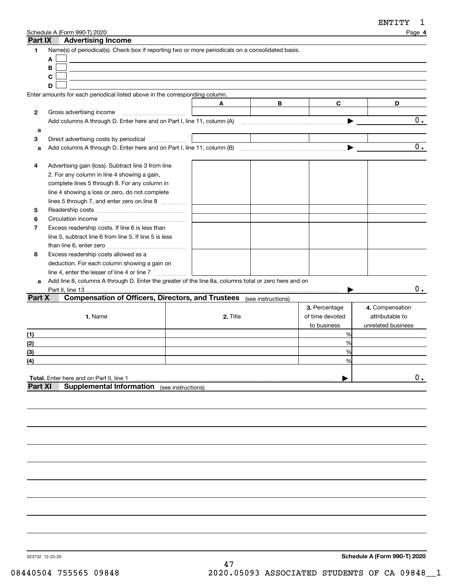| Part IX        | Schedule A (Form 990-T) 2020<br><b>Advertising Income</b>                                                      |                    |          |   |                 | Page 4             |
|----------------|----------------------------------------------------------------------------------------------------------------|--------------------|----------|---|-----------------|--------------------|
| 1              | Name(s) of periodical(s). Check box if reporting two or more periodicals on a consolidated basis.              |                    |          |   |                 |                    |
|                | A                                                                                                              |                    |          |   |                 |                    |
|                | B                                                                                                              |                    |          |   |                 |                    |
|                | C                                                                                                              |                    |          |   |                 |                    |
|                | D                                                                                                              |                    |          |   |                 |                    |
|                | Enter amounts for each periodical listed above in the corresponding column.                                    |                    |          |   |                 |                    |
|                |                                                                                                                |                    | A        | В | C               | D                  |
| 2              | Gross advertising income                                                                                       |                    |          |   |                 |                    |
|                | Add columns A through D. Enter here and on Part I, line 11, column (A) manufactured columns A through D. Enter |                    |          |   |                 | 0.                 |
| a              |                                                                                                                |                    |          |   |                 |                    |
| 3              | Direct advertising costs by periodical                                                                         |                    |          |   |                 |                    |
| a              |                                                                                                                |                    |          |   |                 | 0.                 |
|                |                                                                                                                |                    |          |   |                 |                    |
| 4              | Advertising gain (loss). Subtract line 3 from line                                                             |                    |          |   |                 |                    |
|                | 2. For any column in line 4 showing a gain,                                                                    |                    |          |   |                 |                    |
|                | complete lines 5 through 8. For any column in                                                                  |                    |          |   |                 |                    |
|                | line 4 showing a loss or zero, do not complete                                                                 |                    |          |   |                 |                    |
|                | lines 5 through 7, and enter zero on line 8                                                                    |                    |          |   |                 |                    |
| 5              |                                                                                                                |                    |          |   |                 |                    |
| 6              |                                                                                                                |                    |          |   |                 |                    |
| $\overline{7}$ | Excess readership costs. If line 6 is less than                                                                |                    |          |   |                 |                    |
|                | line 5, subtract line 6 from line 5. If line 5 is less                                                         |                    |          |   |                 |                    |
|                |                                                                                                                |                    |          |   |                 |                    |
| 8              | Excess readership costs allowed as a                                                                           |                    |          |   |                 |                    |
|                | deduction. For each column showing a gain on                                                                   |                    |          |   |                 |                    |
|                | line 4, enter the lesser of line 4 or line 7                                                                   |                    |          |   |                 |                    |
| a              | Add line 8, columns A through D. Enter the greater of the line 8a, columns total or zero here and on           |                    |          |   |                 |                    |
|                | Part II, line 13                                                                                               |                    |          |   |                 | 0.                 |
| Part X         | <b>Compensation of Officers, Directors, and Trustees</b> (see instructions)                                    |                    |          |   |                 |                    |
|                |                                                                                                                |                    |          |   | 3. Percentage   | 4. Compensation    |
|                | 1. Name                                                                                                        |                    | 2. Title |   | of time devoted | attributable to    |
|                |                                                                                                                |                    |          |   | to business     | unrelated business |
| (1)            |                                                                                                                |                    |          |   | %               |                    |
| (2)            |                                                                                                                |                    |          |   | %               |                    |
| (3)            |                                                                                                                |                    |          |   | %               |                    |
| (4)            |                                                                                                                |                    |          |   | %               |                    |
|                |                                                                                                                |                    |          |   |                 |                    |
|                | <b>Total.</b> Enter here and on Part II, line 1                                                                |                    |          |   |                 | 0.                 |
| <b>Part XI</b> | <b>Supplemental Information</b>                                                                                | (see instructions) |          |   |                 |                    |
|                |                                                                                                                |                    |          |   |                 |                    |
|                |                                                                                                                |                    |          |   |                 |                    |

023732 12-23-20

**Schedule A (Form 990-T) 2020** 47 08440504 755565 09848 2020.05093 ASSOCIATED STUDENTS OF CA 09848\_\_1